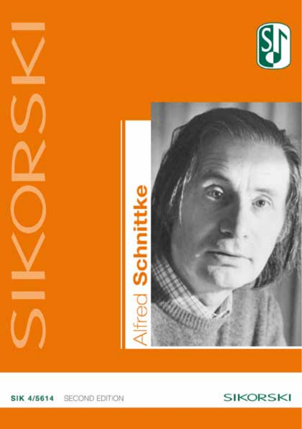### SECOND EDITION SIK 4/5614





# chmi



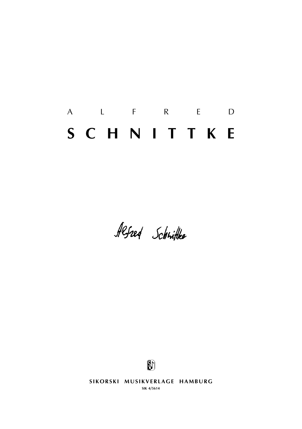# a l f r e d **s c h n i t t k e**

Alfred Schrifte



SIKORSKI MUSIKVERLAGE HAMBURG **sik 4/5614**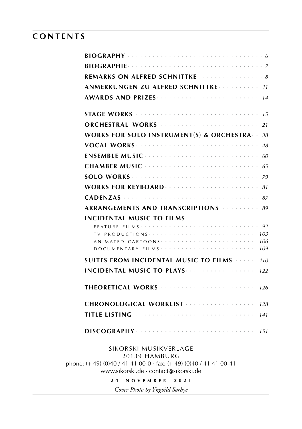# **c o n t e n t s**

| REMARKS ON ALFRED SCHNITTKE $\cdots$ 8                                                                                                                                                                                                   |            |
|------------------------------------------------------------------------------------------------------------------------------------------------------------------------------------------------------------------------------------------|------------|
| ANMERKUNGEN ZU ALFRED SCHNITTKE Andereder 11                                                                                                                                                                                             |            |
|                                                                                                                                                                                                                                          |            |
|                                                                                                                                                                                                                                          |            |
| ORCHESTRAL WORKS <b>Superintent CALITATION</b>                                                                                                                                                                                           |            |
| WORKS FOR SOLO INSTRUMENT(S) & ORCHESTRA $38$                                                                                                                                                                                            |            |
|                                                                                                                                                                                                                                          |            |
|                                                                                                                                                                                                                                          |            |
|                                                                                                                                                                                                                                          |            |
|                                                                                                                                                                                                                                          |            |
| <b>WORKS FOR KEYBOARD</b>                                                                                                                                                                                                                |            |
|                                                                                                                                                                                                                                          |            |
| ARRANGEMENTS AND TRANSCRIPTIONS And the state of 89                                                                                                                                                                                      |            |
| <b>INCIDENTAL MUSIC TO FILMS</b>                                                                                                                                                                                                         |            |
|                                                                                                                                                                                                                                          |            |
| ANIMATED CARTOONS                                                                                                                                                                                                                        | 103<br>106 |
|                                                                                                                                                                                                                                          | 109        |
| SUITES FROM INCIDENTAL MUSIC TO FILMS                                                                                                                                                                                                    | 110        |
| <b>INCIDENTAL MUSIC TO PLAYS Express the contract of the set of the set of the set of the set of the set of the set of the set of the set of the set of the set of the set of the set of the set of the set of the set of the </b>       | 122        |
|                                                                                                                                                                                                                                          |            |
| CHRONOLOGICAL WORKLIST                                                                                                                                                                                                                   | 128        |
| <b>TITLE LISTING <i>All the Committee Committee Listen Committee Committee Committee Committee Listen Committee Listen Committee Listen Committee Listen Committee Listen Committee Listen Committee Listen Committee Listen Com</i></b> | 141        |
|                                                                                                                                                                                                                                          | 151        |
| SIKORSKI MUSIKVERLAGE                                                                                                                                                                                                                    |            |
| 20139 HAMBURG<br>phone: (+ 49) (0)40 / 41 41 00-0 · fax: (+ 49) (0)40 / 41 41 00-41                                                                                                                                                      |            |
|                                                                                                                                                                                                                                          |            |

www.sikorski.de · contact@sikorski.de

**2 4 n o v e m b e r 2 0 2 1**

*Cover Photo by Yngvild Sørbye*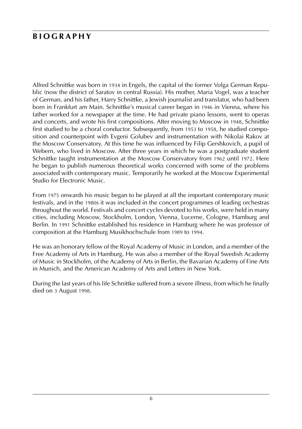# **b i o g r a p h y**

Alfred Schnittke was born in 1934 in Engels, the capital of the former Volga German Republic (now the district of Saratov in central Russia). His mother, Maria Vogel, was a teacher of German, and his father, Harry Schnittke, a Jewish journalist and translator, who had been born in Frankfurt am Main. Schnittke's musical career began in 1946 in Vienna, where his father worked for a newspaper at the time. He had private piano lessons, went to operas and concerts, and wrote his first compositions. After moving to Moscow in 1948, Schnittke first studied to be a choral conductor. Subsequently, from 1953 to 1958, he studied composition and counterpoint with Evgeni Golubev and instrumentation with Nikolai Rakov at the Moscow Conservatory. At this time he was influenced by Filip Gershkovich, a pupil of Webern, who lived in Moscow. After three years in which he was a postgraduate student Schnittke taught instrumentation at the Moscow Conservatory from 1962 until 1972. Here he began to publish numerous theoretical works concerned with some of the problems associated with contemporary music. Temporarily he worked at the Moscow Experimental Studio for Electronic Music.

From 1975 onwards his music began to be played at all the important contemporary music festivals, and in the 1980s it was included in the concert programmes of leading orchestras throughout the world. Festivals and concert cycles devoted to his works, were held in many cities, including Moscow, Stockholm, London, Vienna, Lucerne, Cologne, Hamburg and Berlin. In 1991 Schnittke established his residence in Hamburg where he was professor of composition at the Hamburg Musikhochschule from 1989 to 1994.

He was an honorary fellow of the Royal Academy of Music in London, and a member of the Free Academy of Arts in Hamburg. He was also a member of the Royal Swedish Academy of Music in Stockholm, of the Academy of Arts in Berlin, the Bavarian Academy of Fine Arts in Munich, and the American Academy of Arts and Letters in New York.

During the last years of his life Schnittke suffered from a severe illness, from which he finally died on 3 August 1998.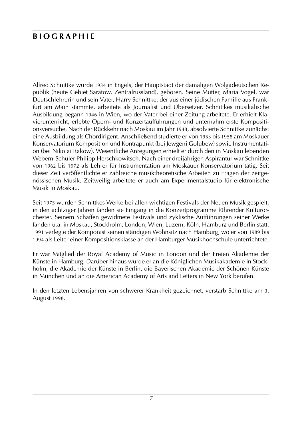# **b i o g r a p h i e**

Alfred Schnittke wurde 1934 in Engels, der Hauptstadt der damaligen Wolgadeutschen Republik (heute Gebiet Saratow, Zentralrussland), geboren. Seine Mutter, Maria Vogel, war Deutschlehrerin und sein Vater, Harry Schnittke, der aus einer jüdischen Familie aus Frankfurt am Main stammte, arbeitete als Journalist und Übersetzer. Schnittkes musikalische Ausbildung begann 1946 in Wien, wo der Vater bei einer Zeitung arbeitete. Er erhielt Klavierunterricht, erlebte Opern- und Konzertaufführungen und unternahm erste Kompositionsversuche. Nach der Rückkehr nach Moskau im Jahr 1948, absolvierte Schnittke zunächst eine Ausbildung als Chordirigent. Anschließend studierte er von 1953 bis 1958 am Moskauer Konservatorium Komposition und Kontrapunkt (bei Jewgeni Golubew) sowie Instrumentation (bei Nikolai Rakow). Wesentliche Anregungen erhielt er durch den in Moskau lebenden Webern-Schüler Philipp Herschkowitsch. Nach einer dreijährigen Aspirantur war Schnittke von 1962 bis 1972 als Lehrer für Instrumentation am Moskauer Konservatorium tätig. Seit dieser Zeit veröffentlichte er zahlreiche musiktheoretische Arbeiten zu Fragen der zeitgenössischen Musik. Zeitweilig arbeitete er auch am Experimentalstudio für elektronische Musik in Moskau.

Seit 1975 wurden Schnittkes Werke bei allen wichtigen Festivals der Neuen Musik gespielt, in den achtziger Jahren fanden sie Eingang in die Konzertprogramme führender Kulturorchester. Seinem Schaffen gewidmete Festivals und zyklische Aufführungen seiner Werke fanden u.a. in Moskau, Stockholm, London, Wien, Luzern, Köln, Hamburg und Berlin statt. 1991 verlegte der Komponist seinen ständigen Wohnsitz nach Hamburg, wo er von 1989 bis 1994 als Leiter einer Kompositionsklasse an der Hamburger Musikhochschule unterrichtete.

Er war Mitglied der Royal Academy of Music in London und der Freien Akademie der Künste in Hamburg. Darüber hinaus wurde er an die Königlichen Musikakademie in Stockholm, die Akademie der Künste in Berlin, die Bayerischen Akademie der Schönen Künste in München und an die American Academy of Arts and Letters in New York berufen.

In den letzten Lebensjahren von schwerer Krankheit gezeichnet, verstarb Schnittke am 3. August 1998.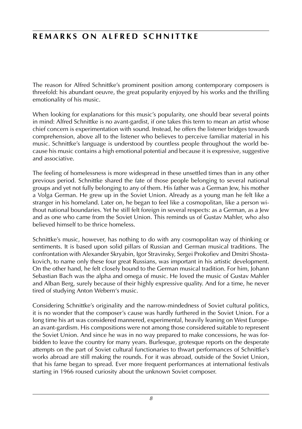# **REMARKS ON ALFRED SCHNITTKE**

The reason for Alfred Schnittke's prominent position among contemporary composers is threefold: his abundant oeuvre, the great popularity enjoyed by his works and the thrilling emotionality of his music.

When looking for explanations for this music's popularity, one should bear several points in mind: Alfred Schnittke is no avant-gardist, if one takes this term to mean an artist whose chief concern is experimentation with sound. Instead, he offers the listener bridges towards comprehension, above all to the listener who believes to perceive familiar material in his music. Schnittke's language is understood by countless people throughout the world because his music contains a high emotional potential and because it is expressive, suggestive and associative.

The feeling of homelessness is more widespread in these unsettled times than in any other previous period. Schnittke shared the fate of those people belonging to several national groups and yet not fully belonging to any of them. His father was a German Jew, his mother a Volga German. He grew up in the Soviet Union. Already as a young man he felt like a stranger in his homeland. Later on, he began to feel like a cosmopolitan, like a person without national boundaries. Yet he still felt foreign in several respects: as a German, as a Jew and as one who came from the Soviet Union. This reminds us of Gustav Mahler, who also believed himself to be thrice homeless.

Schnittke's music, however, has nothing to do with any cosmopolitan way of thinking or sentiments. It is based upon solid pillars of Russian and German musical traditions. The confrontation with Alexander Skryabin, Igor Stravinsky, Sergei Prokofiev and Dmitri Shostakovich, to name only these four great Russians, was important in his artistic development. On the other hand, he felt closely bound to the German musical tradition. For him, Johann Sebastian Bach was the alpha and omega of music. He loved the music of Gustav Mahler and Alban Berg, surely because of their highly expressive quality. And for a time, he never tired of studying Anton Webern's music.

Considering Schnittke's originality and the narrow-mindedness of Soviet cultural politics, it is no wonder that the composer's cause was hardly furthered in the Soviet Union. For a long time his art was considered mannered, experimental, heavily leaning on West European avant-gardism. His compositions were not among those considered suitable to represent the Soviet Union. And since he was in no way prepared to make concessions, he was forbidden to leave the country for many years. Burlesque, grotesque reports on the desperate attempts on the part of Soviet cultural functionaries to thwart performances of Schnittke's works abroad are still making the rounds. For it was abroad, outside of the Soviet Union, that his fame began to spread. Ever more frequent performances at international festivals starting in 1966 roused curiosity about the unknown Soviet composer.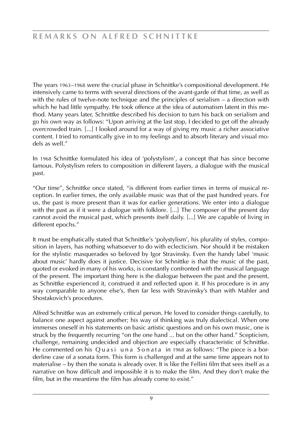The years 1963–1968 were the crucial phase in Schnittke's compositional development. He intensively came to terms with several directions of the avant-garde of that time, as well as with the rules of twelve-note technique and the principles of serialism – a direction with which he had little sympathy. He took offence at the idea of automatism latent in this method. Many years later, Schnittke described his decision to turn his back on serialism and go his own way as follows: "Upon arriving at the last stop, I decided to get off the already overcrowded train. [...] I looked around for a way of giving my music a richer associative content. I tried to romantically give in to my feelings and to absorb literary and visual models as well."

In 1968 Schnittke formulated his idea of 'polystylism', a concept that has since become famous. Polystylism refers to composition in different layers, a dialogue with the musical past.

"Our time", Schnittke once stated, "is different from earlier times in terms of musical reception. In earlier times, the only available music was that of the past hundred years. For us, the past is more present than it was for earlier generations. We enter into a dialogue with the past as if it were a dialogue with folklore. [...] The composer of the present day cannot avoid the musical past, which presents itself daily. [...] We are capable of living in different epochs."

It must be emphatically stated that Schnittke's 'polystylism', his plurality of styles, composition in layers, has nothing whatsoever to do with eclecticism. Nor should it be mistaken for the stylistic masquerades so beloved by Igor Stravinsky. Even the handy label 'music about music' hardly does it justice. Decisive for Schnittke is that the music of the past, quoted or evoked in many of his works, is constantly confronted with the musical language of the present. The important thing here is the dialogue between the past and the present, as Schnittke experienced it, construed it and reflected upon it. If his procedure is in any way comparable to anyone else's, then far less with Stravinsky's than with Mahler and Shostakovich's procedures.

Alfred Schnittke was an extremely critical person. He loved to consider things carefully, to balance one aspect against another; his way of thinking was truly dialectical. When one immerses oneself in his statements on basic artistic questions and on his own music, one is struck by the frequently recurring "on the one hand ... but on the other hand." Scepticism, challenge, remaining undecided and objection are especially characteristic of Schnittke. He commented on his Quasiuna Sonata in 1968 as follows: "The piece is a borderline case of a sonata form. This form is challenged and at the same time appears not to materialise – by then the sonata is already over. It is like the Fellini film that sees itself as a narrative on how difficult and impossible it is to make the film. And they don't make the film, but in the meantime the film has already come to exist."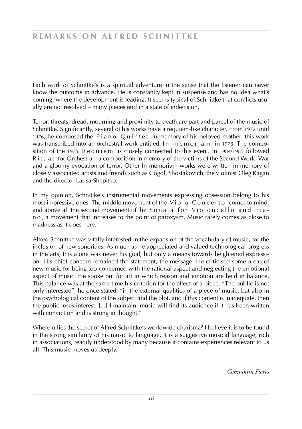Each work of Schnittke's is a spiritual adventure in the sense that the listener can never know the outcome in advance. He is constantly kept in suspense and has no idea what's coming, where the development is leading. It seems typical of Schnittke that conflicts usually are not resolved – many pieces end in a state of indecision.

Terror, threats, dread, mourning and proximity to death are part and parcel of the music of Schnittke. Significantly, several of his works have a requiem-like character. From 1972 until 1976, he composed the Piano Quintet in memory of his beloved mother; this work was transcribed into an orchestral work entitled In memoriam in 1978. The composition of the 1975 Requiem is closely connected to this event. In 1984/1985 followed R i t u a l for Orchestra – a composition in memory of the victims of the Second World War and a gloomy evocation of terror. Other In memoriam works were written in memory of closely associated artists and friends such as Gogol, Shostakovich, the violinist Oleg Kagan and the director Larisa Shepitko.

In my opinion, Schnittke's instrumental movements expressing obsession belong to his most impressive ones. The middle movement of the  $V$ i o l a  $C$  o n c e r t o comes to mind, and above all the second movement of the Sonata for Violoncello and Pian o , a movement that increases to the point of paroxysm. Music rarely comes as close to madness as it does here.

Alfred Schnittke was vitally interested in the expansion of the vocabulary of music, for the inclusion of new sonorities. As much as he appreciated and valued technological progress in the arts, this alone was never his goal, but only a means towards heightened expression. His chief concern remained the statement, the message. He criticised some areas of new music for being too concerned with the rational aspect and neglecting the emotional aspect of music. He spoke out for art in which reason and emotion are held in balance. This balance was at the same time his criterion for the effect of a piece. "The public is not only interested", he once stated, "in the external qualities of a piece of music, but also in the psychological content of the subject and the plot, and if this content is inadequate, then the public loses interest. [...] I maintain: music will find its audience if it has been written with conviction and is strong in thought."

Wherein lies the secret of Alfred Schnittke's worldwide charisma? I believe it is to be found in the strong similarity of his music to language. It is a suggestive musical language, rich in associations, readily understood by many because it contains experiences relevant to us all. This music moves us deeply.

*Constantin Floros*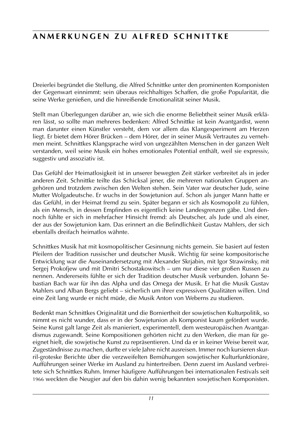# **ANMERKUNGEN ZU ALFRED SCHNITTKE**

Dreierlei begründet die Stellung, die Alfred Schnittke unter den prominenten Komponisten der Gegenwart einnimmt: sein überaus reichhaltiges Schaffen, die große Popularität, die seine Werke genießen, und die hinreißende Emotionalität seiner Musik.

Stellt man Überlegungen darüber an, wie sich die enorme Beliebtheit seiner Musik erklären lässt, so sollte man mehreres bedenken: Alfred Schnittke ist kein Avantgardist, wenn man darunter einen Künstler versteht, dem vor allem das Klangexperiment am Herzen liegt. Er bietet dem Hörer Brücken – dem Hörer, der in seiner Musik Vertrautes zu vernehmen meint. Schnittkes Klangsprache wird von ungezählten Menschen in der ganzen Welt verstanden, weil seine Musik ein hohes emotionales Potential enthält, weil sie expressiv, suggestiv und assoziativ ist.

Das Gefühl der Heimatlosigkeit ist in unserer bewegten Zeit stärker verbreitet als in jeder anderen Zeit. Schnittke teilte das Schicksal jener, die mehreren nationalen Gruppen angehören und trotzdem zwischen den Welten stehen. Sein Vater war deutscher Jude, seine Mutter Wolgadeutsche. Er wuchs in der Sowjetunion auf. Schon als junger Mann hatte er das Gefühl, in der Heimat fremd zu sein. Später begann er sich als Kosmopolit zu fühlen, als ein Mensch, in dessen Empfinden es eigentlich keine Landesgrenzen gäbe. Und dennoch fühlte er sich in mehrfacher Hinsicht fremd: als Deutscher, als Jude und als einer. der aus der Sowjetunion kam. Das erinnert an die Befindlichkeit Gustav Mahlers, der sich ebenfalls dreifach heimatlos wähnte.

Schnittkes Musik hat mit kosmopolitischer Gesinnung nichts gemein. Sie basiert auf festen Pfeilern der Tradition russischer und deutscher Musik. Wichtig für seine kompositorische Entwicklung war die Auseinandersetzung mit Alexander Skrjabin, mit Igor Strawinsky, mit Sergej Prokofjew und mit Dmitri Schostakowitsch – um nur diese vier großen Russen zu nennen. Andererseits fühlte er sich der Tradition deutscher Musik verbunden. Johann Sebastian Bach war für ihn das Alpha und das Omega der Musik. Er hat die Musik Gustav Mahlers und Alban Bergs geliebt – sicherlich um ihrer expressiven Qualitäten willen. Und eine Zeit lang wurde er nicht müde, die Musik Anton von Weberns zu studieren.

Bedenkt man Schnittkes Originalität und die Borniertheit der sowjetischen Kulturpolitik, so nimmt es nicht wunder, dass er in der Sowjetunion als Komponist kaum gefördert wurde. Seine Kunst galt lange Zeit als manieriert, experimentell, dem westeuropäischen Avantgardismus zugewandt. Seine Kompositionen gehörten nicht zu den Werken, die man für geeignet hielt, die sowjetische Kunst zu repräsentieren. Und da er in keiner Weise bereit war, Zugeständnisse zu machen, durfte er viele Jahre nicht ausreisen. Immer noch kursieren skurril-groteske Berichte über die verzweifelten Bemühungen sowjetischer Kulturfunktionäre, Aufführungen seiner Werke im Ausland zu hintertreiben. Denn zuerst im Ausland verbreitete sich Schnittkes Ruhm. Immer häufigere Aufführungen bei internationalen Festivals seit 1966 weckten die Neugier auf den bis dahin wenig bekannten sowjetischen Komponisten.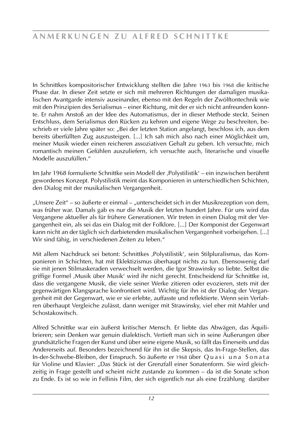In Schnittkes kompositorischer Entwicklung stellten die Jahre 1963 bis 1968 die kritische Phase dar. In dieser Zeit setzte er sich mit mehreren Richtungen der damaligen musikalischen Avantgarde intensiv auseinander, ebenso mit den Regeln der Zwölftontechnik wie mit den Prinzipien des Serialismus – einer Richtung, mit der er sich nicht anfreunden konnte. Er nahm Anstoß an der Idee des Automatismus, der in dieser Methode steckt. Seinen Entschluss, dem Serialismus den Rücken zu kehren und eigene Wege zu beschreiten, beschrieb er viele Jahre später so: "Bei der letzten Station angelangt, beschloss ich, aus dem bereits überfüllten Zug auszusteigen. [...] Ich sah mich also nach einer Möglichkeit um, meiner Musik wieder einen reicheren assoziativen Gehalt zu geben. Ich versuchte, mich romantisch meinen Gefühlen auszuliefern, ich versuchte auch, literarische und visuelle Modelle auszufüllen."

Im Jahr 1968 formulierte Schnittke sein Modell der ,Polystilistik' – ein inzwischen berühmt gewordenes Konzept. Polystilistik meint das Komponieren in unterschiedlichen Schichten, den Dialog mit der musikalischen Vergangenheit.

"Unsere Zeit" – so äußerte er einmal – "unterscheidet sich in der Musikrezeption von dem, was früher war. Damals gab es nur die Musik der letzten hundert Jahre. Für uns wird das Vergangene aktueller als für frühere Generationen. Wir treten in einen Dialog mit der Vergangenheit ein, als sei das ein Dialog mit der Folklore. [...] Der Komponist der Gegenwart kann nicht an der täglich sich darbietenden musikalischen Vergangenheit vorbeigehen. [...] Wir sind fähig, in verschiedenen Zeiten zu leben."

Mit allem Nachdruck sei betont: Schnittkes ,Polystilistik', sein Stilpluralismus, das Komponieren in Schichten, hat mit Eklektizismus überhaupt nichts zu tun. Ebensowenig darf sie mit jenen Stilmaskeraden verwechselt werden, die Igor Strawinsky so liebte. Selbst die griffige Formel ,Musik über Musik' wird ihr nicht gerecht. Entscheidend für Schnittke ist, dass die vergangene Musik, die viele seiner Werke zitieren oder evozieren, stets mit der gegenwärtigen Klangsprache konfrontiert wird. Wichtig für ihn ist der Dialog der Vergangenheit mit der Gegenwart, wie er sie erlebte, auffasste und reflektierte. Wenn sein Verfahren überhaupt Vergleiche zulässt, dann weniger mit Strawinsky, viel eher mit Mahler und Schostakowitsch.

Alfred Schnittke war ein äußerst kritischer Mensch. Er liebte das Abwägen, das Äquilibrieren; sein Denken war genuin dialektisch. Vertieft man sich in seine Äußerungen über grundsätzliche Fragen der Kunst und über seine eigene Musik, so fällt das Einerseits und das Andererseits auf. Besonders bezeichnend für ihn ist die Skepsis, das In-Frage-Stellen, das In-der-Schwebe-Bleiben, der Einspruch. So äußerte er 1968 über Q u a s i u n a S o n a t a für Violine und Klavier: "Das Stück ist der Grenzfall einer Sonatenform. Sie wird gleichzeitig in Frage gestellt und scheint nicht zustande zu kommen – da ist die Sonate schon zu Ende. Es ist so wie in Fellinis Film, der sich eigentlich nur als eine Erzählung darüber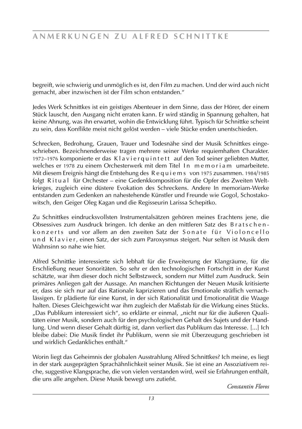begreift, wie schwierig und unmöglich es ist, den Film zu machen. Und der wird auch nicht gemacht, aber inzwischen ist der Film schon entstanden."

Jedes Werk Schnittkes ist ein geistiges Abenteuer in dem Sinne, dass der Hörer, der einem Stück lauscht, den Ausgang nicht erraten kann. Er wird ständig in Spannung gehalten, hat keine Ahnung, was ihn erwartet, wohin die Entwicklung führt. Typisch für Schnittke scheint zu sein, dass Konflikte meist nicht gelöst werden – viele Stücke enden unentschieden.

Schrecken, Bedrohung, Grauen, Trauer und Todesnähe sind der Musik Schnittkes eingeschrieben. Bezeichnenderweise tragen mehrere seiner Werke requiemhaften Charakter. 1972–1976 komponierte er das Klavier quintett auf den Tod seiner geliebten Mutter, welches er 1978 zu einem Orchesterwerk mit dem Titel In memoriam umarbeitete. Mit diesem Ereignis hängt die Entstehung des R e q u i e m s von 1975 zusammen. 1984/1985 folgt Ritual für Orchester – eine Gedenkkomposition für die Opfer des Zweiten Weltkrieges, zugleich eine düstere Evokation des Schreckens. Andere In memoriam-Werke entstanden zum Gedenken an nahestehende Künstler und Freunde wie Gogol, Schostakowitsch, den Geiger Oleg Kagan und die Regisseurin Larissa Schepitko.

Zu Schnittkes eindrucksvollsten Instrumentalsätzen gehören meines Erachtens jene, die Obsessives zum Ausdruck bringen. Ich denke an den mittleren Satz des Bratschenk on z erts und vor allem an den zweiten Satz der Son a te für Violon cello und Klavier, einen Satz, der sich zum Paroxysmus steigert. Nur selten ist Musik dem Wahnsinn so nahe wie hier.

Alfred Schnittke interessierte sich lebhaft für die Erweiterung der Klangräume, für die Erschließung neuer Sonoritäten. So sehr er den technologischen Fortschritt in der Kunst schätzte, war ihm dieser doch nicht Selbstzweck, sondern nur Mittel zum Ausdruck. Sein primäres Anliegen galt der Aussage. An manchen Richtungen der Neuen Musik kritisierte er, dass sie sich nur auf das Rationale kaprizieren und das Emotionale sträflich vernachlässigen. Er plädierte für eine Kunst, in der sich Rationalität und Emotionalität die Waage halten. Dieses Gleichgewicht war ihm zugleich der Maßstab für die Wirkung eines Stücks. "Das Publikum interessiert sich", so erklärte er einmal, "nicht nur für die äußeren Qualitäten einer Musik, sondern auch für den psychologischen Gehalt des Sujets und der Handlung. Und wenn dieser Gehalt dürftig ist, dann verliert das Publikum das Interesse. [...] Ich bleibe dabei: Die Musik findet ihr Publikum, wenn sie mit Überzeugung geschrieben ist und wirklich Gedankliches enthält."

Worin liegt das Geheimnis der globalen Ausstrahlung Alfred Schnittkes? Ich meine, es liegt in der stark ausgeprägten Sprachähnlichkeit seiner Musik. Sie ist eine an Assoziativem reiche, suggestive Klangsprache, die von vielen verstanden wird, weil sie Erfahrungen enthält, die uns alle angehen. Diese Musik bewegt uns zutiefst.

*Constantin Floros*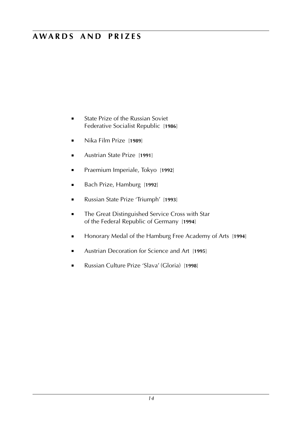# **a w a r d s a n d p r i z e s**

- State Prize of the Russian Soviet Federative Socialist Republic [**1986**]
- Nika Film Prize [**1989**]
- Austrian State Prize [**1991**]
- Praemium Imperiale, Tokyo [**1992**]
- Bach Prize, Hamburg [**1992**]
- Russian State Prize 'Triumph' [**1993**]
- The Great Distinguished Service Cross with Star of the Federal Republic of Germany [**1994**]
- Honorary Medal of the Hamburg Free Academy of Arts [**1994**]
- Austrian Decoration for Science and Art [**1995**]
- Russian Culture Prize 'Slava' (Gloria) [**1998**]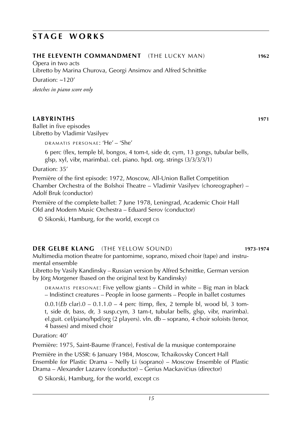Duration: ~120'

Opera in two acts

*sketches in piano score only*

### **LABYRINTHS 1971**

Ballet in five episodes Libretto by Vladimir Vasilyev

DRAMATIS PERSONAE: 'He' - 'She'

6 perc (flex, temple bl, bongos, 4 tom-t, side dr, cym, 13 gongs, tubular bells, glsp, xyl, vibr, marimba). cel. piano. hpd. org. strings (3/3/3/3/1)

Duration: 35'

Première of the first episode: 1972, Moscow, All-Union Ballet Competition Chamber Orchestra of the Bolshoi Theatre – Vladimir Vasilyev (choreographer) – Adolf Bruk (conductor)

Première of the complete ballet: 7 June 1978, Leningrad, Academic Choir Hall Old and Modern Music Orchestra – Eduard Serov (conductor)

© Sikorski, Hamburg, for the world, except cis

### **DER GELBE KLANG** (the yellow sound) **1973**-**1974**

Multimedia motion theatre for pantomime, soprano, mixed choir (tape) and instrumental ensemble

Libretto by Vasily Kandinsky – Russian version by Alfred Schnittke, German version by Jörg Morgener (based on the original text by Kandinsky)

DRAMATIS PERSONAE: Five yellow giants – Child in white – Big man in black – Indistinct creatures – People in loose garments – People in ballet costumes

0.0.1(*Eb* clar).0 – 0.1.1.0 – 4 perc (timp, flex, 2 temple bl, wood bl, 3 tomt, side dr, bass, dr, 3 susp.cym, 3 tam-t, tubular bells, glsp, vibr, marimba). el.guit. cel/piano/hpd/org (2 players). vln. db – soprano, 4 choir soloists (tenor, 4 basses) and mixed choir

Duration: 40'

Première: 1975, Saint-Baume (France), Festival de la musique contemporaine

Première in the USSR: 6 January 1984, Moscow, Tchaikovsky Concert Hall Ensemble for Plastic Drama – Nelly Li (soprano) – Moscow Ensemble of Plastic Drama – Alexander Lazarev (conductor) – Gerius Mackavičius (director)

© Sikorski, Hamburg, for the world, except cis

**the eleventh commandment** (the lucky man) **1962**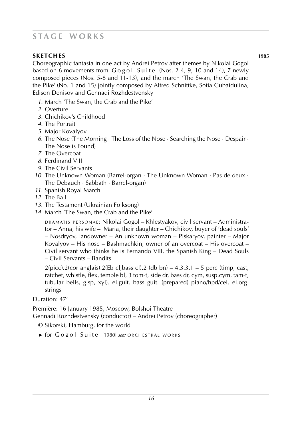**SKETCHES 1985** Choreographic fantasia in one act by Andrei Petrov after themes by Nikolai Gogol based on 6 movements from  $G \circ g \circ l$  Suite (Nos. 2-4, 9, 10 and 14), 7 newly composed pieces (Nos. 5-8 and 11-13), and the march 'The Swan, the Crab and the Pike' (No. 1 and 15) jointly composed by Alfred Schnittke, Sofia Gubaidulina, Edison Denisov and Gennadi Rozhdestvensky

- *1*. March 'The Swan, the Crab and the Pike'
- *2*. Overture
- *3*. Chichikov's Childhood
- *4*. The Portrait
- *5*. Major Kovalyov
- *6*. The Nose (The Morning · The Loss of the Nose · Searching the Nose · Despair · The Nose is Found)
- *7*. The Overcoat
- *8*. Ferdinand VIII
- *9*. The Civil Servants
- *10*. The Unknown Woman (Barrel-organ · The Unknown Woman · Pas de deux · The Debauch · Sabbath · Barrel-organ)
- *11*. Spanish Royal March
- *12*. The Ball
- *13*. The Testament (Ukrainian Folksong)
- *14*. March 'The Swan, the Crab and the Pike'

DRAMATIS PERSONAE: Nikolai Gogol – Khlestyakov, civil servant – Administrator – Anna, his wife – Maria, their daughter – Chichikov, buyer of 'dead souls' – Nosdryov, landowner – An unknown woman – Piskaryov, painter – Major Kovalyov – His nose – Bashmachkin, owner of an overcoat – His overcoat – Civil servant who thinks he is Fernando VIII, the Spanish King – Dead Souls – Civil Servants – Bandits

 $2$ (picc).2(cor anglais).2(Eb cl,bass cl).2 (db bn) – 4.3.3.1 – 5 perc (timp, cast, ratchet, whistle, flex, temple bl, 3 tom-t, side dr, bass dr, cym, susp.cym, tam-t, tubular bells, glsp, xyl). el.guit. bass guit. (prepared) piano/hpd/cel. el.org. strings

Duration: 47'

Première: 16 January 1985, Moscow, Bolshoi Theatre

Gennadi Rozhdestvensky (conductor) – Andrei Petrov (choreographer)

© Sikorski, Hamburg, for the world

► for Gogol Suite [1980] *see:* ORCHESTRAL WORKS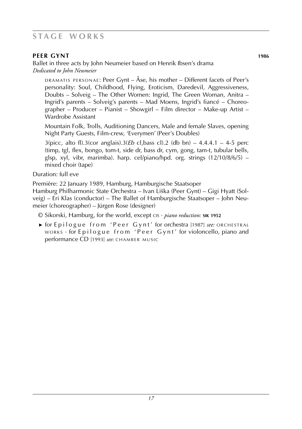# **PEER GYNT 1986**

Ballet in three acts by John Neumeier based on Henrik Ibsen's drama *Dedicated to John Neumeier*

 $R$   $R$  and  $R$  p exponded from  $R$  and  $R$  are  $\Delta R$  is mother – Different facets of Peer's personality: Soul, Childhood, Flying, Eroticism, Daredevil, Aggressiveness, Doubts – Solveig – The Other Women: Ingrid, The Green Woman, Anitra – Ingrid's parents – Solveig's parents – Mad Moens, Ingrid's fiancé – Choreographer – Producer – Pianist – Showgirl – Film director – Make-up Artist – Wardrobe Assistant

Mountain Folk, Trolls, Auditioning Dancers, Male and female Slaves, opening Night Party Guests, Film-crew, 'Everymen' (Peer's Doubles)

3(picc, alto fl).3(cor anglais).3(*Eb* cl,bass cl).2 (db bn) – 4.4.4.1 – 4-5 perc (timp, tgl, flex, bongo, tom-t, side dr, bass dr, cym, gong, tam-t, tubular bells, glsp, xyl, vibr, marimba). harp. cel/piano/hpd. org. strings (12/10/8/6/5) – mixed choir (tape)

### Duration: full eve

Première: 22 January 1989, Hamburg, Hamburgische Staatsoper

Hamburg Philharmonic State Orchestra – Ivan Liška (Peer Gynt) – Gigi Hyatt (Solveig) – Eri Klas (conductor) – The Ballet of Hamburgische Staatsoper – John Neumeier (choreographer) – Jürgen Rose (designer)

© Sikorski, Hamburg, for the world, except cis · *piano reduction:* **sik 1952**

► for Epilogue from 'Peer Gynt' for orchestra [1987] *see:* ORCHESTRAL  $W$ ORKS  $\cdot$  for Epilogue from 'Peer Gynt' for violoncello, piano and performance CD [1993] see: CHAMBER MUSIC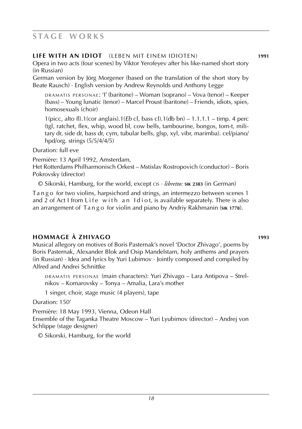# **life with an idiot** (leben mit einem idioten) **1991**

Opera in two acts (four scenes) by Viktor Yerofeyev after his like-named short story (in Russian)

German version by Jörg Morgener (based on the translation of the short story by Beate Rausch) · English version by Andrew Reynolds und Anthony Legge

DRAMATIS PERSONAE: 'I' (baritone) – Woman (soprano) – Vova (tenor) – Keeper (bass) – Young lunatic (tenor) – Marcel Proust (baritone) – Friends, idiots, spies, homosexuals (choir)

1(picc, alto fl).1(cor anglais).1(*Eb* cl, bass cl).1(db bn) – 1.1.1.1 – timp. 4 perc (tgl, ratchet, flex, whip, wood bl, cow bells, tambourine, bongos, tom-t, military dr, side dr, bass dr, cym, tubular bells, glsp, xyl, vibr, marimba). cel/piano/ hpd/org. strings (5/5/4/4/5)

Duration: full eve

Première: 13 April 1992, Amsterdam,

Het Rotterdams Philharmonisch Orkest – Mstislav Rostropovich (conductor) – Boris Pokrovsky (director)

© Sikorski, Hamburg, for the world, except cis · *libretto:* **sik 2383** (in German)

Ta n g o for two violins, harpsichord and strings, an intermezzo between scenes 1 and 2 of Act I from L ife with an I diot, is available separately. There is also an arrangement of Ta n g o for violin and piano by Andriy Rakhmanin (**sik 1778**).

# **hommage à zhivago 1993**

Musical allegory on motives of Boris Pasternak's novel 'Doctor Zhivago', poems by Boris Pasternak, Alexander Blok and Osip Mandelstam, holy anthems and prayers  $(in Russian) \cdot Idea$  and lyrics by Yuri Lubimov  $\cdot$  Jointly composed and compiled by Alfred and Andrei Schnittke

DRAMATIS PERSONAE (main characters): Yuri Zhivago – Lara Antipova – Strelnikov – Komarovsky – Tonya – Amalia, Lara's mother

1 singer, choir, stage music (4 players), tape

Duration: 150'

Première: 18 May 1993, Vienna, Odeon Hall

Ensemble of the Taganka Theatre Moscow – Yuri Lyubimov (director) – Andrej von Schlippe (stage designer)

© Sikorski, Hamburg, for the world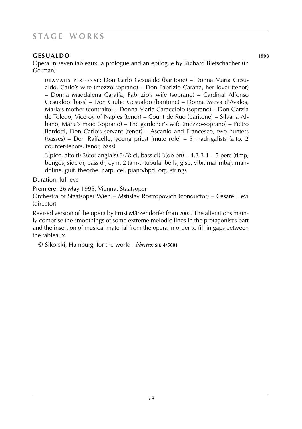# **gesualdo 1993**

Opera in seven tableaux, a prologue and an epilogue by Richard Bletschacher (in German)

d r a m at i s p e r s o n a e : Don Carlo Gesualdo (baritone) – Donna Maria Gesualdo, Carlo's wife (mezzo-soprano) – Don Fabrizio Caraffa, her lover (tenor) – Donna Maddalena Caraffa, Fabrizio's wife (soprano) – Cardinal Alfonso Gesualdo (bass) – Don Giulio Gesualdo (baritone) – Donna Sveva d'Avalos, Maria's mother (contralto) – Donna Maria Caracciolo (soprano) – Don Garzia de Toledo, Viceroy of Naples (tenor) – Count de Ruo (baritone) – Silvana Albano, Maria's maid (soprano) – The gardener's wife (mezzo-soprano) – Pietro Bardotti, Don Carlo's servant (tenor) – Ascanio and Francesco, two hunters (basses) – Don Raffaello, young priest (mute role) – 5 madrigalists (alto, 2 counter-tenors, tenor, bass)

3(picc, alto fl).3(cor anglais).3(*Eb* cl, bass cl).3(db bn) – 4.3.3.1 – 5 perc (timp, bongos, side dr, bass dr, cym, 2 tam-t, tubular bells, glsp, vibr, marimba). mandoline. guit. theorbe. harp. cel. piano/hpd. org. strings

Duration: full eve

Première: 26 May 1995, Vienna, Staatsoper

Orchestra of Staatsoper Wien – Mstislav Rostropovich (conductor) – Cesare Lievi (director)

Revised version of the opera by Ernst Märzendorfer from 2000. The alterations mainly comprise the smoothings of some extreme melodic lines in the protagonist's part and the insertion of musical material from the opera in order to fill in gaps between the tableaux.

© Sikorski, Hamburg, for the world · *libretto:* **sik 4/5601**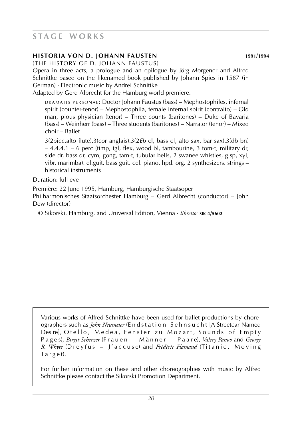### **historia von d. johann fausten 1991**/**1994**

(the history of d. johann faustus)

Opera in three acts, a prologue and an epilogue by Jörg Morgener and Alfred Schnittke based on the likenamed book published by Johann Spies in 1587 (in German) · Electronic music by Andrei Schnittke

Adapted by Gerd Albrecht for the Hamburg world premiere.

DRAMATIS PERSONAE: Doctor Johann Faustus (bass) – Mephostophiles, infernal spirit (counter-tenor) – Mephostophila, female infernal spirit (contralto) – Old man, pious physician (tenor) – Three counts (baritones) – Duke of Bavaria (bass) – Weinherr (bass) – Three students (baritones) – Narrator (tenor) – Mixed choir – Ballet

3(2picc,alto flute).3(cor anglais).3(2*Eb* cl, bass cl, alto sax, bar sax).3(db bn) – 4.4.4.1 – 6 perc (timp, tgl, flex, wood bl, tambourine, 3 tom-t, military dr, side dr, bass dr, cym, gong, tam-t, tubular bells, 2 swanee whistles, glsp, xyl, vibr, marimba). el.guit. bass guit. cel. piano. hpd. org. 2 synthesizers. strings – historical instruments

Duration: full eve

Première: 22 June 1995, Hamburg, Hamburgische Staatsoper Philharmonisches Staatsorchester Hamburg – Gerd Albrecht (conductor) – John Dew (director)

© Sikorski, Hamburg, and Universal Edition, Vienna · *libretto:* **sik 4/5602**

Various works of Alfred Schnittke have been used for ballet productions by choreographers such as *John Neumeier* (E n d s t a t i o n S e h n s u c h t [A Streetcar Named Desire], Otello, Medea, Fenster zu Mozart, Sounds of Empty P a g e s), *Birgit Scherzer* (F r a u e n – M ä n n e r – P a a r e), *Valery Panov* and *George R. Whyte* (D r e y f u s - )' a c c u s e) and *Frédéric Flamand* (Titanic, Moving Ta r g e t).

For further information on these and other choreographies with music by Alfred Schnittke please contact the Sikorski Promotion Department.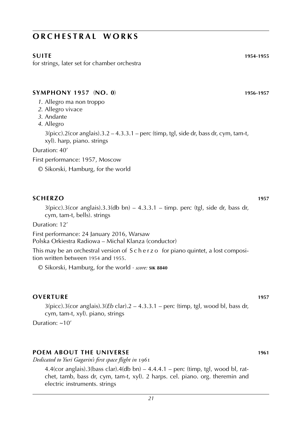for strings, later set for chamber orchestra

### **symphony 1957** (**No. 0**) **1956**-**1957**

- *1*. Allegro ma non troppo
- *2*. Allegro vivace
- *3*. Andante
- *4*. Allegro

 $3(picc)$ .  $2(cor$  anglais $)$ .  $3.2 - 4.3.3.1 -$  perc (timp, tgl, side dr, bass dr, cym, tam-t, xyl). harp, piano. strings

Duration: 40'

First performance: 1957, Moscow

© Sikorski, Hamburg, for the world

### **scherzo 1957**

 $3(pice).3(cor \text{ anglais}).3.3(db \text{ bn}) - 4.3.3.1 - \text{time}$ , perc (tgl, side dr, bass dr, cym, tam-t, bells). strings

Duration: 12'

First performance: 24 January 2016, Warsaw Polska Orkiestra Radiowa – Michal Klanza (conductor)

This may be an orchestral version of S c h e r z o for piano quintet, a lost composition written between 1954 and 1955.

© Sikorski, Hamburg, for the world · *score:* **sik 8840**

### **OVERTURE** 1957

3(picc).3(cor anglais).3(*Eb* clar).2 – 4.3.3.1 – perc (timp, tgl, wood bl, bass dr, cym, tam-t, xyl). piano, strings

Duration: ~10'

### **poem about the universe 1961**

*Dedicated to Yuri Gagarin's first space flight in* 1961

4.4(cor anglais).3(bass clar).4(db bn)  $-$  4.4.4.1 – perc (timp, tgl, wood bl, ratchet, tamb, bass dr, cym, tam-t, xyl). 2 harps. cel. piano. org. theremin and electric instruments. strings

**suite 1954-1955**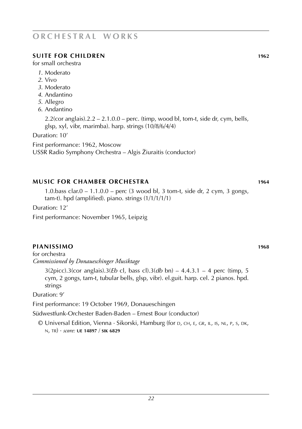# **suite for children 1962**

for small orchestra

- *1*. Moderato
- *2*. Vivo
- *3*. Moderato
- *4*. Andantino
- *5*. Allegro
- *6*. Andantino

 $2.2$ (cor anglais). $2.2 - 2.1.0.0 -$  perc. (timp, wood bl, tom-t, side dr, cym, bells, glsp, xyl, vibr, marimba). harp. strings (10/8/6/4/4)

Duration: 10'

First performance: 1962, Moscow

USSR Radio Symphony Orchestra – Algis Žiuraitis (conductor)

# **music for chamber orchestra 1964**

1.0.bass clar.0 – 1.1.0.0 – perc (3 wood bl, 3 tom-t, side dr, 2 cym, 3 gongs, tam-t). hpd (amplified). piano. strings (1/1/1/1/1)

Duration: 12'

First performance: November 1965, Leipzig

# **pianissimo 1968**

for orchestra *Commissioned by Donaueschinger Musiktage*

> 3(2picc).3(cor anglais).3(*Eb* cl, bass cl).3(*db* bn) – 4.4.3.1 – 4 perc (timp, 5 cym, 2 gongs, tam-t, tubular bells, glsp, vibr). el.guit. harp. cel. 2 pianos. hpd. strings

Duration: 9'

First performance: 19 October 1969, Donaueschingen

Südwestfunk-Orchester Baden-Baden – Ernest Bour (conductor)

© Universal Edition, Vienna · Sikorski, Hamburg (for d, ch, e, gr, il, is, nl, p, s, dk, n, tr) · *score:* **ue 14897** / **sik 6829**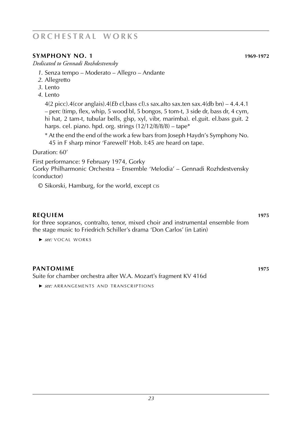### **SYMPHONY NO. 1 1969**-**1972**

*Dedicated to Gennadi Rozhdestvensky*

- *1*. Senza tempo Moderato Allegro Andante
- *2*. Allegretto
- *3*. Lento
- *4*. Lento

4(2 picc).4(cor anglais).4(*Eb* cl,bass cl).s sax.alto sax.ten sax.4(db bn) – 4.4.4.1 – perc (timp, flex, whip, 5 wood bl, 5 bongos, 5 tom-t, 3 side dr, bass dr, 4 cym, hi hat, 2 tam-t, tubular bells, glsp, xyl, vibr, marimba). el.guit. el.bass guit. 2 harps. cel. piano. hpd. org. strings (12/12/8/8/8) – tape\*

\* At the end the end of the work a few bars from Joseph Haydn's Symphony No. 45 in F sharp minor 'Farewell' Hob. I:45 are heard on tape.

Duration: 60'

First performance: 9 February 1974, Gorky

Gorky Philharmonic Orchestra – Ensemble 'Melodia' – Gennadi Rozhdestvensky (conductor)

© Sikorski, Hamburg, for the world, except cis

### **REQUIEM 1975**

for three sopranos, contralto, tenor, mixed choir and instrumental ensemble from the stage music to Friedrich Schiller's drama 'Don Carlos' (in Latin)

► *see:* VOCAL WORKS

### *pantomime* **1975**

Suite for chamber orchestra after W.A. Mozart's fragment KV 416d

► *see:* ARRANGEMENTS AND TRANSCRIPTIONS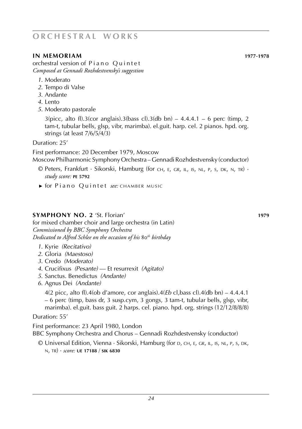# **IN MEMORIAM 1977**-**1978**

orchestral version of Piano Quintet *Composed at Gennadi Rozhdestvensky's suggestion*

- *1*. Moderato
- *2*. Tempo di Valse
- *3*. Andante
- *4*. Lento
- *5*. Moderato pastorale

 $3(pice, alto fl).3(cor anglais).3(bass cl).3(db bn) - 4.4.4.1 - 6 perc (time, 2)$ tam-t, tubular bells, glsp, vibr, marimba). el.guit. harp. cel. 2 pianos. hpd. org. strings (at least 7/6/5/4/3)

Duration: 25'

First performance: 20 December 1979, Moscow Moscow Philharmonic Symphony Orchestra – Gennadi Rozhdestvensky (conductor)

- © Peters, Frankfurt · Sikorski, Hamburg (for ch, e, gr, il, is, nl, p, s, dk, n, tr) · *study score:* **pe 5792**
- ► for Piano Quintet see: CHAMBER MUSIC

### **SYMPHONY NO. 2** 'St. Florian' **1979**

for mixed chamber choir and large orchestra (in Latin) *Commissioned by BBC Symphony Orchestra Dedicated to Alfred Schlee on the occasion of his* 80*th birthday*

- *1*. Kyrie *(Recitativo)*
- *2*. Gloria *(Maestoso)*
- *3*. Credo *(Moderato)*
- *4*. Crucifixus *(Pesante)* –– Et resurrexit *(Agitato)*
- *5*. Sanctus. Benedictus *(Andante)*
- *6*. Agnus Dei *(Andante)*

4(2 picc, alto fl).4(ob d'amore, cor anglais).4(*Eb* cl,bass cl).4(db bn) – 4.4.4.1 – 6 perc (timp, bass dr, 3 susp.cym, 3 gongs, 3 tam-t, tubular bells, glsp, vibr, marimba). el.guit. bass guit. 2 harps. cel. piano. hpd. org. strings (12/12/8/8/8)

Duration: 55'

First performance: 23 April 1980, London BBC Symphony Orchestra and Chorus – Gennadi Rozhdestvensky (conductor)

© Universal Edition, Vienna · Sikorski, Hamburg (for d, ch, e, gr, il, is, nl, p, s, dk, n, tr) · *score:* **ue 17188** / **sik 6830**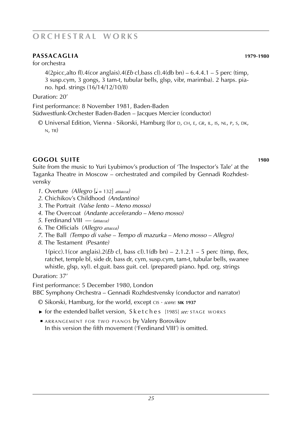# **PASSACAGLIA 1979**-**1980**

for orchestra

4(2picc,alto fl).4(cor anglais).4(*Eb* cl,bass cl).4(db bn) – 6.4.4.1 – 5 perc (timp, 3 susp.cym, 3 gongs, 3 tam-t, tubular bells, glsp, vibr, marimba). 2 harps. piano. hpd. strings (16/14/12/10/8)

Duration: 20'

First performance: 8 November 1981, Baden-Baden Südwestfunk-Orchester Baden-Baden – Jacques Mercier (conductor)

© Universal Edition, Vienna · Sikorski, Hamburg (for d, ch, e, gr, il, is, nl, p, s, dk, n, tr)

# **gogol suite 1980**

Suite from the music to Yuri Lyubimov's production of 'The Inspector's Tale' at the Taganka Theatre in Moscow – orchestrated and compiled by Gennadi Rozhdestvensky

- *1*. Overture *(Allegro* [ $\bullet$  = 132] *attacca)*
- *2*. Chichikov's Childhood *(Andantino)*
- *3*. The Portrait *(Valse lento Meno mosso)*
- *4*. The Overcoat *(Andante accelerando Meno mosso)*
- *5*. Ferdinand VIII –– *(attacca)*
- *6*. The Officials *(Allegro attacca)*
- *7*. The Ball *(Tempo di valse Tempo di mazurka Meno mosso Allegro)*
- *8*. The Testament *(Pesante)*

1(picc).1(cor anglais).2(*Eb* cl, bass cl).1(db bn) – 2.1.2.1 – 5 perc (timp, flex, ratchet, temple bl, side dr, bass dr, cym, susp.cym, tam-t, tubular bells, swanee whistle, glsp, xyl). el.guit. bass guit. cel. (prepared) piano. hpd. org. strings

Duration: 37'

First performance: 5 December 1980, London

BBC Symphony Orchestra – Gennadi Rozhdestvensky (conductor and narrator)

- © Sikorski, Hamburg, for the world, except cis · *score:* **sik 1937**
- ► for the extended ballet version, Sketches, [1985] *see*: STAGE WORKS
- **E ARRANGEMENT FOR TWO PIANOS by Valery Borovikov** In this version the fifth movement ('Ferdinand VIII') is omitted.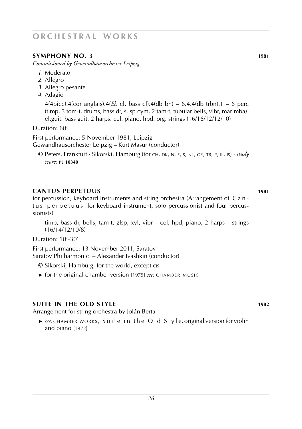# **symphony no. 3 1981**

*Commissioned by Gewandhausorchester Leipzig*

- *1*. Moderato
- *2*. Allegro
- *3*. Allegro pesante
- *4*. Adagio

 $4(4picc)$ . $4(cor$  anglais). $4(Eb \text{ cl}, \text{bass cl})$ . $4(db \text{ bn}) - 6.4.4(db \text{ trbn})$ . $1 - 6$  perc (timp, 3 tom-t, drums, bass dr, susp.cym, 2 tam-t, tubular bells, vibr, marimba). el.guit. bass guit. 2 harps. cel. piano. hpd. org. strings (16/16/12/12/10)

Duration: 60'

First performance: 5 November 1981, Leipzig

Gewandhausorchester Leipzig – Kurt Masur (conductor)

© Peters, Frankfurt · Sikorski, Hamburg (for ch, dk, n, e, s, nl, gr, tr, p, il, is) · *study score:* **pe 10340**

### **cantus perpetuus 1981**

for percussion, keyboard instruments and string orchestra (Arrangement of C a n tus perpetuus for keyboard instrument, solo percussionist and four percussionists)

timp, bass dr, bells, tam-t, glsp, xyl, vibr – cel, hpd, piano, 2 harps – strings (16/14/12/10/8)

Duration: 10'-30'

First performance: 13 November 2011, Saratov Saratov Philharmonic – Alexander Ivashkin (conductor)

© Sikorski, Hamburg, for the world, except cis

► for the original chamber version [1975] *see:* CHAMBER MUSIC

# **suite in the old style 1982**

Arrangement for string orchestra by Jolán Berta

► *see*: CHAMBER WORKS, Suite in the Old Style, original version for violin and piano [1972]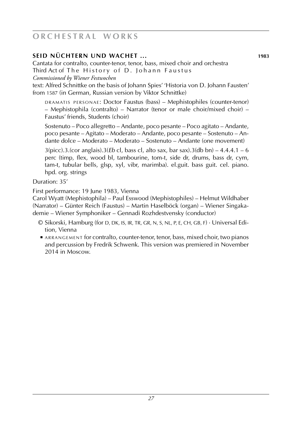# **seid nüchtern und wachet ... 1983**

Cantata for contralto, counter-tenor, tenor, bass, mixed choir and orchestra Third Act of The History of D. Johann Faustus

*Commissioned by Wiener Festwochen*

text: Alfred Schnittke on the basis of Johann Spies' 'Historia von D. Johann Fausten' from 1587 (in German, Russian version by Viktor Schnittke)

DRAMATIS PERSONAE: Doctor Faustus (bass) – Mephistophiles (counter-tenor) – Mephistophila (contralto) – Narrator (tenor or male choir/mixed choir) – Faustus' friends, Students (choir)

Sostenuto – Poco allegretto – Andante, poco pesante – Poco agitato – Andante, poco pesante – Agitato – Moderato – Andante, poco pesante – Sostenuto – Andante dolce – Moderato – Moderato – Sostenuto – Andante (one movement)

3(picc).3.(cor anglais).3(*Eb* cl, bass cl, alto sax, bar sax).3(db bn) – 4.4.4.1 – 6 perc (timp, flex, wood bl, tambourine, tom-t, side dr, drums, bass dr, cym, tam-t, tubular bells, glsp, xyl, vibr, marimba). el.guit. bass guit. cel. piano. hpd. org. strings

Duration: 35'

First performance: 19 June 1983, Vienna

Carol Wyatt (Mephistophila) – Paul Esswood (Mephistophiles) – Helmut Wildhaber (Narrator) – Günter Reich (Faustus) – Martin Haselböck (organ) – Wiener Singakademie – Wiener Symphoniker – Gennadi Rozhdestvensky (conductor)

- © Sikorski, Hamburg (for D, DK, IS, IR, TR, GR, N, S, NL, P, E, CH, GB, F) · Universal Edi tion, Vienna
- ARRANGEMENT for contralto, counter-tenor, tenor, bass, mixed choir, two pianos and percussion by Fredrik Schwenk. This version was premiered in November 2014 in Moscow.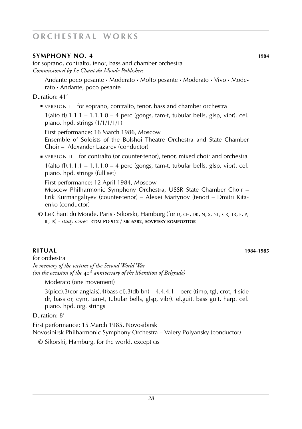### **symphony no. 4 1984**

for soprano, contralto, tenor, bass and chamber orchestra *Commissioned by Le Chant du Monde Publishers*

Andante poco pesante **·** Moderato **·** Molto pesante **·** Moderato **·** Vivo **·** Moderato **·** Andante, poco pesante

Duration: 41'

■ VERSION 1 for soprano, contralto, tenor, bass and chamber orchestra

 $1$ (alto fl).1.1.1 – 1.1.1.0 – 4 perc (gongs, tam-t, tubular bells, glsp, vibr). cel. piano. hpd. strings (1/1/1/1/1)

 First performance: 16 March 1986, Moscow Ensemble of Soloists of the Bolshoi Theatre Orchestra and State Chamber Choir – Alexander Lazarev (conductor)

■ VERSION II for contralto (or counter-tenor), tenor, mixed choir and orchestra

 $1(\text{alto fl}).1.1.1 - 1.1.1.0 - 4 \text{ perc (gongs, tam-t, tubular bells, glsp, vibr). cel.$ piano. hpd. strings (full set)

First performance: 12 April 1984, Moscow

Moscow Philharmonic Symphony Orchestra, USSR State Chamber Choir – Erik Kurmangaliyev (counter-tenor) – Alexei Martynov (tenor) – Dmitri Kitaenko (conductor)

© Le Chant du Monde, Paris · Sikorski, Hamburg (for d, ch, dk, n, s, nl, gr, tr, e, p, il, is) · *study scores:* **cdm PO 912** / **sik 6782**, **sovetsky kompozitor**

# **Ritual 1984**-**1985**

for orchestra *In memory of the victims of the Second World War (on the occasion of the* 40*th anniversary of the liberation of Belgrade)*

Moderato (one movement)

 $3$ (picc).3(cor anglais).4(bass cl).3(db bn) – 4.4.4.1 – perc (timp, tgl, crot, 4 side dr, bass dr, cym, tam-t, tubular bells, glsp, vibr). el.guit. bass guit. harp. cel. piano. hpd. org. strings

Duration: 8'

First performance: 15 March 1985, Novosibirsk

Novosibirsk Philharmonic Symphony Orchestra – Valery Polyansky (conductor)

© Sikorski, Hamburg, for the world, except cis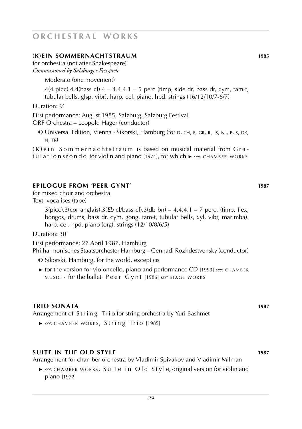# (**K**)**ein Sommernachtstraum 1985**

for orchestra (not after Shakespeare) *Commissioned by Salzburger Festspiele*

Moderato (one movement)

4(4 picc).4.4(bass cl).4 – 4.4.4.1 – 5 perc (timp, side dr, bass dr, cym, tam-t, tubular bells, glsp, vibr). harp. cel. piano. hpd. strings (16/12/10/7-8/7)

Duration: 9'

First performance: August 1985, Salzburg, Salzburg Festival ORF Orchestra – Leopold Hager (conductor)

 $\odot$  Universal Edition, Vienna  $\cdot$  Sikorski, Hamburg (for D, CH, E, GR, IL, IS, NL, P, S, DK,  $N$ , TR)

 $(K)$  e in Sommernachtstraum is based on musical material from  $Gra$ t u l a t i o n s r o n d o for violin and piano [1974], for which ► *see:* CHAMBER WORKS

### **epilogue from 'peer gynt' 1987**

for mixed choir and orchestra Text: vocalises (tape)

> 3(picc).3(cor anglais).3(*Eb* cl/bass cl).3(db bn) – 4.4.4.1 – 7 perc. (timp, flex, bongos, drums, bass dr, cym, gong, tam-t, tubular bells, xyl, vibr, marimba). harp. cel. hpd. piano (org). strings (12/10/8/6/5)

Duration: 30'

First performance: 27 April 1987, Hamburg Philharmonisches Staatsorchester Hamburg – Gennadi Rozhdestvensky (conductor)

- © Sikorski, Hamburg, for the world, except cis
- ► for the version for violoncello, piano and performance CD [1993] *see*: CHAMBER music · for the ballet Peer Gynt [1986] see: STAGE WORKS

### **trio sonata 1987**

Arrangement of String Trio for string orchestra by Yuri Bashmet

**►** see: CHAMBER WORKS, String Trio [1985]

### **suite in the OLD STYLE 1987**

Arrangement for chamber orchestra by Vladimir Spivakov and Vladimir Milman

**►** *see*: CHAMBER WORKS, Suite in Old Style, original version for violin and piano [1972]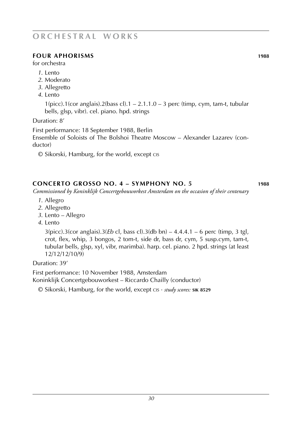### **four Aphorisms 1988**

for orchestra

- *1*. Lento
- *2*. Moderato
- *3*. Allegretto
- *4*. Lento

 $1(pice)$ .1(cor anglais).2(bass cl).1 – 2.1.1.0 – 3 perc (timp, cym, tam-t, tubular bells, glsp, vibr). cel. piano. hpd. strings

Duration: 8'

First performance: 18 September 1988, Berlin Ensemble of Soloists of The Bolshoi Theatre Moscow – Alexander Lazarev (conductor)

© Sikorski, Hamburg, for the world, except cis

# **concerto grosso NO. 4 – sYMphony no. 5 1988**

*Commissioned by Koninklijk Concertgebouworkest Amsterdam on the occasion of their centenary*

- *1*. Allegro
- *2*. Allegretto
- *3*. Lento Allegro
- *4*. Lento

3(picc).3(cor anglais).3(*Eb* cl, bass cl).3(db bn) – 4.4.4.1 – 6 perc (timp, 3 tgl, crot, flex, whip, 3 bongos, 2 tom-t, side dr, bass dr, cym, 5 susp.cym, tam-t, tubular bells, glsp, xyl, vibr, marimba). harp. cel. piano. 2 hpd. strings (at least 12/12/12/10/9)

Duration: 39'

First performance: 10 November 1988, Amsterdam Koninklijk Concertgebouworkest – Riccardo Chailly (conductor)

© Sikorski, Hamburg, for the world, except cis · *study scores:* **sik 8529**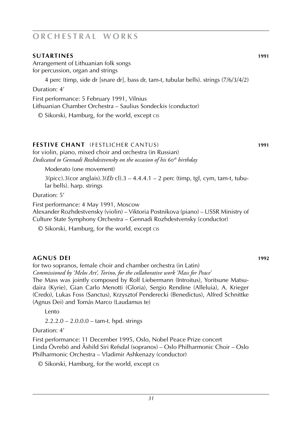### **sutartines 1991**

Arrangement of Lithuanian folk songs for percussion, organ and strings

4 perc (timp, side dr [snare dr], bass dr, tam-t, tubular bells). strings (7/6/3/4/2)

Duration: 4'

First performance: 5 February 1991, Vilnius Lithuanian Chamber Orchestra – Saulius Sondeckis (conductor)

© Sikorski, Hamburg, for the world, except cis

# **festive chant** (festlicher cantus) **1991**

for violin, piano, mixed choir and orchestra (in Russian) *Dedicated to Gennadi Rozhdestvensky on the occasion of his* 60*th birthday*

Moderato (one movement)

3(picc).3(cor anglais).3(*Eb* cl).3 – 4.4.4.1 – 2 perc (timp, tgl, cym, tam-t, tubular bells). harp. strings

Duration: 5'

First performance: 4 May 1991, Moscow

Alexander Rozhdestvensky (violin) – Viktoria Postnikova (piano) – USSR Ministry of Culture State Symphony Orchestra – Gennadi Rozhdestvensky (conductor)

© Sikorski, Hamburg, for the world, except cis

# **agnus dei 1992**

for two sopranos, female choir and chamber orchestra (in Latin) *Commissioned by 'Melos Art', Torino, for the collaborative work 'Mass for Peace'* The Mass was jointly composed by Rolf Liebermann (Introitus), Yoritsune Matsudaira (Kyrie), Gian Carlo Menotti (Gloria), Sergio Rendine (Alleluia), A. Krieger (Credo), Lukas Foss (Sanctus), Krzysztof Penderecki (Benedictus), Alfred Schnittke (Agnus Dei) and Tomás Marco (Laudamus te)

Lento

2.2.2.0 – 2.0.0.0 – tam-t. hpd. strings

# Duration: 4'

First performance: 11 December 1995, Oslo, Nobel Peace Prize concert Linda Övrebö and Åshild Siri Refsdal (sopranos) – Oslo Philharmonic Choir – Oslo Philharmonic Orchestra – Vladimir Ashkenazy (conductor)

© Sikorski, Hamburg, for the world, except cis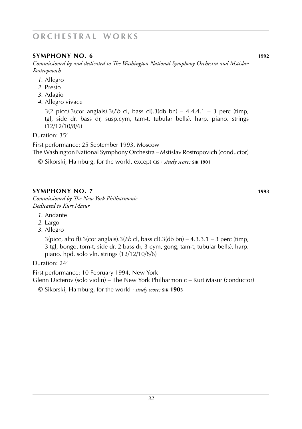# **symphony No. 6 1992**

*Commissioned by and dedicated to The Washington National Symphony Orchestra and Mstislav Rostropovich*

- *1*. Allegro
- *2*. Presto
- *3*. Adagio
- *4*. Allegro vivace

3(2 picc).3(cor anglais).3(*Eb* cl, bass cl).3(db bn) – 4.4.4.1 – 3 perc (timp, tgl, side dr, bass dr, susp.cym, tam-t, tubular bells). harp. piano. strings (12/12/10/8/6)

Duration: 35'

First performance: 25 September 1993, Moscow

The Washington National Symphony Orchestra – Mstislav Rostropovich (conductor)

© Sikorski, Hamburg, for the world, except cis · *study score:* **sik 1901**

# **symphony no. 7 1993**

*Commissioned by The New York Philharmonic Dedicated to Kurt Masur*

- *1*. Andante
- *2*. Largo
- *3*. Allegro

3(picc, alto fl).3(cor anglais).3(*Eb* cl, bass cl).3(db bn) – 4.3.3.1 – 3 perc (timp, 3 tgl, bongo, tom-t, side dr, 2 bass dr, 3 cym, gong, tam-t, tubular bells). harp. piano. hpd. solo vln. strings (12/12/10/8/6)

Duration: 24'

First performance: 10 February 1994, New York Glenn Dicterov (solo violin) – The New York Philharmonic – Kurt Masur (conductor)

© Sikorski, Hamburg, for the world · *study score:* **sik 1903**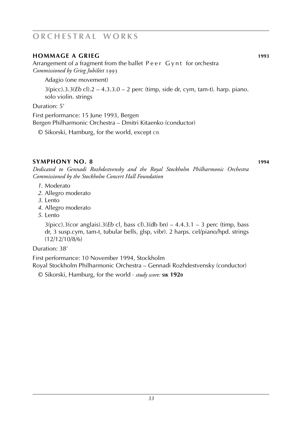### **hommage a Grieg 1993**

Arrangement of a fragment from the ballet Peer Gynt for orchestra *Commissioned by Grieg Jubiléet* 1993

Adagio (one movement)

3(picc).3.3(*Eb* cl).2 – 4.3.3.0 – 2 perc (timp, side dr, cym, tam-t). harp. piano. solo violin. strings

### Duration: 5'

First performance: 15 June 1993, Bergen Bergen Philharmonic Orchestra – Dmitri Kitaenko (conductor)

© Sikorski, Hamburg, for the world, except cis

# **symphony no. 8 1994**

*Dedicated to Gennadi Rozhdestvensky and the Royal Stockholm Philharmonic Orchestra Commissioned by the Stockholm Concert Hall Foundation*

- *1*. Moderato
- *2*. Allegro moderato
- *3*. Lento
- *4*. Allegro moderato
- *5*. Lento

3(picc).3(cor anglais).3(*Eb* cl, bass cl).3(db bn) – 4.4.3.1 – 3 perc (timp, bass dr, 3 susp.cym, tam-t, tubular bells, glsp, vibr). 2 harps. cel/piano/hpd. strings (12/12/10/8/6)

Duration: 38'

First performance: 10 November 1994, Stockholm

Royal Stockholm Philharmonic Orchestra – Gennadi Rozhdestvensky (conductor)

© Sikorski, Hamburg, for the world · *study score:* **sik 1920**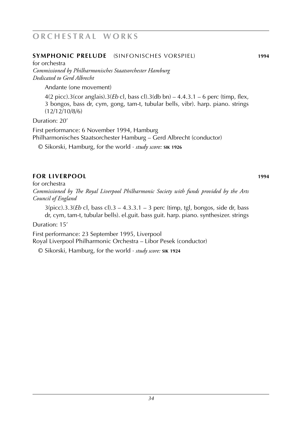### **symphonic prelude** (sinfonisches vorspiel) **1994**

for orchestra *Commissioned by Philharmonisches Staatsorchester Hamburg Dedicated to Gerd Albrecht*

Andante (one movement)

4(2 picc).3(cor anglais).3(*Eb* cl, bass cl).3(db bn) – 4.4.3.1 – 6 perc (timp, flex, 3 bongos, bass dr, cym, gong, tam-t, tubular bells, vibr). harp. piano. strings (12/12/10/8/6)

Duration: 20'

First performance: 6 November 1994, Hamburg Philharmonisches Staatsorchester Hamburg – Gerd Albrecht (conductor)

© Sikorski, Hamburg, for the world · *study score:* **sik 1926**

### **for liverpool 1994**

for orchestra

*Commissioned by The Royal Liverpool Philharmonic Society with funds provided by the Arts Council of England*

3(picc).3.3(*Eb* cl, bass cl).3 – 4.3.3.1 – 3 perc (timp, tgl, bongos, side dr, bass dr, cym, tam-t, tubular bells). el.guit. bass guit. harp. piano. synthesizer. strings

Duration: 15'

First performance: 23 September 1995, Liverpool Royal Liverpool Philharmonic Orchestra – Libor Pesek (conductor)

© Sikorski, Hamburg, for the world · *study score:* **sik 1924**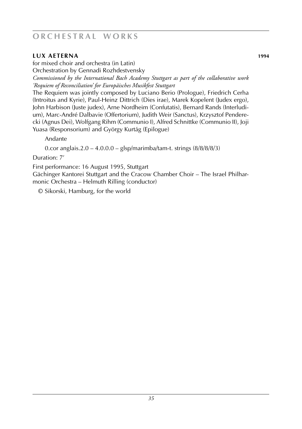# **lux aeterna 1994**

for mixed choir and orchestra (in Latin) Orchestration by Gennadi Rozhdestvensky

*Commissioned by the International Bach Academy Stuttgart as part of the collaborative work 'Requiem of Reconciliation' for Europäisches Musikfest Stuttgart*

The Requiem was jointly composed by Luciano Berio (Prologue), Friedrich Cerha (Introitus and Kyrie), Paul-Heinz Dittrich (Dies irae), Marek Kopelent (Judex ergo), John Harbison (Juste judex), Arne Nordheim (Confutatis), Bernard Rands (Interludium), Marc-André Dalbavie (Offertorium), Judith Weir (Sanctus), Krzysztof Penderecki (Agnus Dei), Wolfgang Rihm (Communio I), Alfred Schnittke (Communio II), Joji Yuasa (Responsorium) and György Kurtág (Epilogue)

Andante

0.cor anglais.2.0 – 4.0.0.0 – glsp/marimba/tam-t. strings (8/8/8/8/3)

Duration: 7'

First performance: 16 August 1995, Stuttgart

Gächinger Kantorei Stuttgart and the Cracow Chamber Choir – The Israel Philharmonic Orchestra – Helmuth Rilling (conductor)

© Sikorski, Hamburg, for the world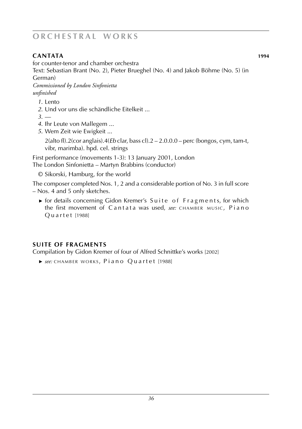# **cantata 1994**

for counter-tenor and chamber orchestra

Text: Sebastian Brant (No. 2), Pieter Brueghel (No. 4) and Jakob Böhme (No. 5) (in German)

*Commissioned by London Sinfonietta unfinished*

- *1*. Lento
- *2*. Und vor uns die schändliche Eitelkeit ...
- *3*. ––
- *4*. Ihr Leute von Mallegem ...
- *5*. Wem Zeit wie Ewigkeit ...

2(alto fl).2(cor anglais).4(*Eb* clar, bass cl).2 – 2.0.0.0 – perc (bongos, cym, tam-t, vibr, marimba). hpd. cel. strings

First performance (movements 1-3): 13 January 2001, London The London Sinfonietta – Martyn Brabbins (conductor)

© Sikorski, Hamburg, for the world

The composer completed Nos. 1, 2 and a considerable portion of No. 3 in full score – Nos. 4 and 5 only sketches.

► for details concerning Gidon Kremer's Suite of Fragments, for which the first movement of Cantata was used, *see*: CHAMBER MUSIC, Piano Quartet [1988]

# **suite of fragments**

Compilation by Gidon Kremer of four of Alfred Schnittke's works [2002]

**►** see: CHAMBER WORKS, Piano Ouartet [1988]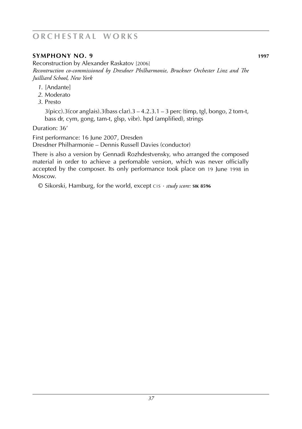# **symphony no. 9 1997**

Reconstruction by Alexander Raskatov [2006] *Recontruction co-commissioned by Dresdner Philharmonie, Bruckner Orchester Linz and The Juilliard School, New York*

- *1*. [Andante]
- *2*. Moderato
- *3*. Presto

 $3(picc).3(cor anglais).3(bass clar).3 - 4.2.3.1 - 3 perc (timp, tgl, bongo, 2 tom-t,$ bass dr, cym, gong, tam-t, glsp, vibr). hpd (amplified), strings

Duration: 36'

First performance: 16 June 2007, Dresden

Dresdner Philharmonie – Dennis Russell Davies (conductor)

There is also a version by Gennadi Rozhdestvensky, who arranged the composed material in order to achieve a perfomable version, which was never officially accepted by the composer. Its only performance took place on 19 June 1998 in Moscow.

© Sikorski, Hamburg, for the world, except C15 · *study score:* SIK 8596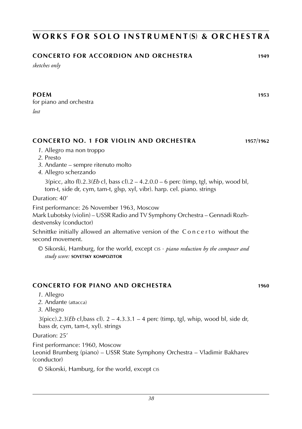# **w o r k s f o r s o l o i n s t r u m e n t** (**s**) **& o r c h e s t r a**

# **concerto for accordion and orchestra 1949**

*sketches only*

for piano and orchestra *lost*

# **CONCERTO NO. 1 FOR VIOLIN AND ORCHESTRA 1957**/**1962**

- *1*. Allegro ma non troppo
- *2*. Presto
- *3*. Andante sempre ritenuto molto
- *4*. Allegro scherzando

3(picc, alto fl).2.3(*Eb* cl, bass cl).2 – 4.2.0.0 – 6 perc (timp, tgl, whip, wood bl, tom-t, side dr, cym, tam-t, glsp, xyl, vibr). harp. cel. piano. strings

Duration: 40'

First performance: 26 November 1963, Moscow

Mark Lubotsky (violin) – USSR Radio and TV Symphony Orchestra – Gennadi Rozhdestvensky (conductor)

Schnittke initially allowed an alternative version of the Concerto without the second movement.

© Sikorski, Hamburg, for the world, except cis · *piano reduction by the composer and study score:* **sovetsky kompozitor**

# **CONCERTO FOR PIANO AND ORCHESTRA 1960**

- *1*. Allegro
- *2*. Andante (attacca)
- *3*. Allegro

3(picc).2.3(*Eb* cl,bass cl). 2 – 4.3.3.1 – 4 perc (timp, tgl, whip, wood bl, side dr, bass dr, cym, tam-t, xyl). strings

# Duration: 25'

First performance: 1960, Moscow

Leonid Brumberg (piano) – USSR State Symphony Orchestra – Vladimir Bakharev (conductor)

© Sikorski, Hamburg, for the world, except cis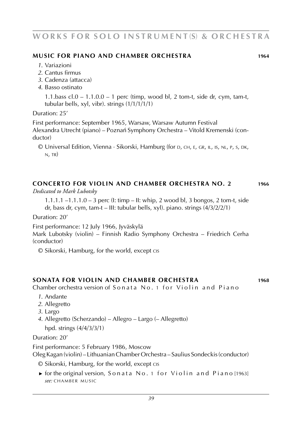# **w o r k s f o r s o l o i n s t r u m e n t** (**s**) **& o r c h e s t r a**

#### **music for piano and chamber orchestra 1964**

- *1*. Variazioni
- *2*. Cantus firmus
- *3*. Cadenza (attacca)
- *4*. Basso ostinato

1.1.bass  $cl.0 - 1.1.0.0 - 1$  perc (timp, wood bl, 2 tom-t, side dr, cym, tam-t, tubular bells, xyl, vibr). strings (1/1/1/1/1)

#### Duration: 25'

First performance: September 1965, Warsaw, Warsaw Autumn Festival Alexandra Utrecht (piano) – Poznan´ Symphony Orchestra – Vitold Kremenski (conductor)

© Universal Edition, Vienna · Sikorski, Hamburg (for d, ch, e, gr, il, is, nl, p, s, dk,  $N$ , TR)

#### **concerto for violin and chamber orchestra no. 2 1966**

*Dedicated to Mark Lubotsky*

1.1.1.1 –1.1.1.0 – 3 perc (I: timp – II: whip, 2 wood bl, 3 bongos, 2 tom-t, side dr, bass dr, cym, tam-t – III: tubular bells, xyl). piano. strings (4/3/2/2/1)

Duration: 20'

First performance: 12 July 1966, Jyväskylä

Mark Lubotsky (violin) – Finnish Radio Symphony Orchestra – Friedrich Cerha (conductor)

© Sikorski, Hamburg, for the world, except cis

#### **sonata for violin and chamber orchestra 1968**

Chamber orchestra version of Sonata No. 1 for Violin and Piano

- *1*. Andante
- *2*. Allegretto
- *3*. Largo
- *4*. Allegretto (Scherzando) Allegro Largo (– Allegretto)

hpd. strings (4/4/3/3/1)

### Duration: 20'

First performance: 5 February 1986, Moscow

Oleg Kagan (violin) – Lithuanian Chamber Orchestra – Saulius Sondeckis (conductor)

© Sikorski, Hamburg, for the world, except cis

► for the original version, Son at a No. 1 for Violin and Piano [1963] *see:* CHAMBER MUSIC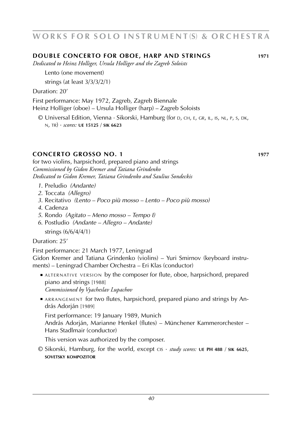#### **DOUBLE CONCERTO FOR OBOE, HARP AND STRINGS 1971**

*Dedicated to Heinz Holliger, Ursula Holliger and the Zagreb Soloists*

Lento (one movement)

strings (at least 3/3/3/2/1)

Duration: 20'

First performance: May 1972, Zagreb, Zagreb Biennale

Heinz Holliger (oboe) – Ursula Holliger (harp) – Zagreb Soloists

© Universal Edition, Vienna · Sikorski, Hamburg (for d, ch, e, gr, il, is, nl, p, s, dk, n, tr) · *scores:* **ue 15125** / **sik 6623**

#### **CONCERTO GROSSO NO. 1 1977**

for two violins, harpsichord, prepared piano and strings *Commissioned by Gidon Kremer and Tatiana Grindenko Dedicated to Gidon Kremer, Tatiana Grindenko and Saulius Sondeckis*

- *1*. Preludio *(Andante)*
- *2*. Toccata *(Allegro)*
- *3*. Recitativo *(Lento Poco più mosso Lento Poco più mosso)*
- *4*. Cadenza
- *5*. Rondo *(Agitato Meno mosso Tempo I)*
- *6*. Postludio *(Andante Allegro Andante)* strings (6/6/4/4/1)

Duration: 25'

First performance: 21 March 1977, Leningrad

Gidon Kremer and Tatiana Grindenko (violins) – Yuri Smirnov (keyboard instruments) – Leningrad Chamber Orchestra – Eri Klas (conductor)

■ ALTERNATIVE VERSION by the composer for flute, oboe, harpsichord, prepared piano and strings [1988]

*Commissioned by Vyacheslav Lupachov*

■ ARRANGEMENT for two flutes, harpsichord, prepared piano and strings by András Adorján [1989]

First performance: 19 January 1989, Munich András Adorján, Marianne Henkel (flutes) – Münchener Kammerorchester – Hans Stadlmair (conductor)

This version was authorized by the composer.

© Sikorski, Hamburg, for the world, except cis · *study scores:* **ue PH 488** / **sik 6625**, **sovetsky kompozitor**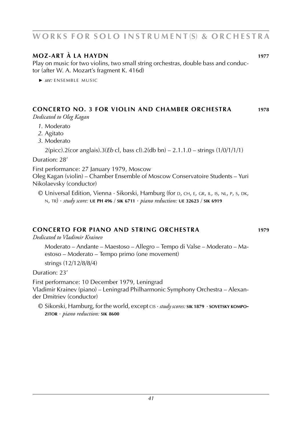# **w o r k s f o r s o l o i n s t r u m e n t** (**s**) **& o r c h e s t r a**

### **moz-art à la haydn 1977**

Play on music for two violins, two small string orchestras, double bass and conductor (after W. A. Mozart's fragment K. 416d)

**►** see: ENSEMBLE MUSIC

# **CONCERTO NO. 3 for violin and chamber orchestra 1978**

*Dedicated to Oleg Kagan*

- *1*. Moderato
- *2*. Agitato
- *3*. Moderato

2(picc).2(cor anglais).3(*Eb* cl, bass cl).2(db bn) – 2.1.1.0 – strings (1/0/1/1/1)

Duration: 28'

First performance: 27 January 1979, Moscow

Oleg Kagan (violin) – Chamber Ensemble of Moscow Conservatoire Students – Yuri Nikolaevsky (conductor)

© Universal Edition, Vienna · Sikorski, Hamburg (for d, ch, e, gr, il, is, nl, p, s, dk, n, tr) · *study score:* **ue PH 496** / **sik 6711** · *piano reduction:* **ue 32623** / **sik 6919**

#### **CONCERTO FOR PIANO AND STRING orchestra 1979**

*Dedicated to Vladimir Krainev*

Moderato – Andante – Maestoso – Allegro – Tempo di Valse – Moderato – Maestoso – Moderato – Tempo primo (one movement)

strings (12/12/8/8/4)

Duration: 23'

First performance: 10 December 1979, Leningrad Vladimir Krainev (piano) – Leningrad Philharmonic Symphony Orchestra – Alexander Dmitriev (conductor)

© Sikorski, Hamburg, for the world, except cis · *study scores:* **sik 1879** · **sovetsky kompozitor** · *piano reduction:* **sik 8600**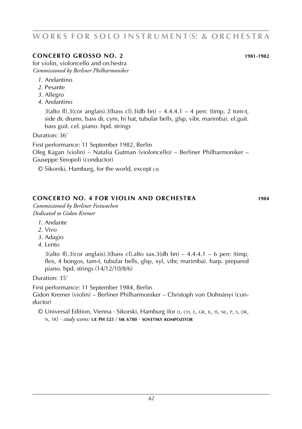#### *42*

# WORKS FOR SOLO INSTRUMENT(S) & ORCHESTRA

# **concerto grosso no. 2 1981**-**1982**

for violin, violoncello and orchestra *Commissioned by Berliner Philharmoniker*

- *1*. Andantino
- *2*. Pesante
- *3*. Allegro
- *4*. Andantino

 $3$ (alto fl).3(cor anglais).3(bass cl).3(db bn) –  $4.4.4.1 - 4$  perc (timp, 2 tom-t, side dr, drums, bass dr, cym, hi hat, tubular bells, glsp, vibr, marimba). el.guit. bass guit. cel. piano. hpd. strings

Duration: 36'

First performance: 11 September 1982, Berlin Oleg Kagan (violin) – Natalia Gutman (violoncello) – Berliner Philharmoniker –

Giuseppe Sinopoli (conductor)

© Sikorski, Hamburg, for the world, except cis

# **concerto no. 4 for violin and orchestra 1984**

*Commissioned by Berliner Festwochen Dedicated to Gidon Kremer*

- *1*. Andante
- *2*. Vivo
- *3*. Adagio
- *4*. Lento

 $3$ (alto fl).3(cor anglais).3(bass cl).alto sax.3(db bn) – 4.4.4.1 – 6 perc (timp, flex, 4 bongos, tam-t, tubular bells, glsp, xyl, vibr, marimba). harp. prepared piano. hpd. strings (14/12/10/8/6)

Duration: 35'

First performance: 11 September 1984, Berlin

Gidon Kremer (violin) – Berliner Philharmoniker – Christoph von Dohnányi (conductor)

© Universal Edition, Vienna · Sikorski, Hamburg (for d, ch, e, gr, il, is, nl, p, s, dk, n, tr) · *study scores:* **ue PH 525** / **sik 6780** · **sovetsky kompozitor**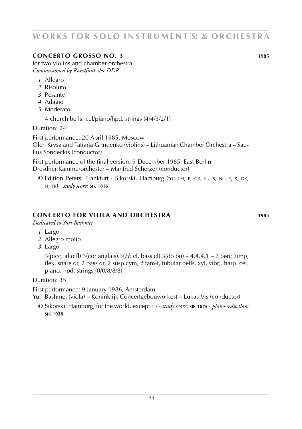# **Concerto grosso no. 3 1985**

for two violins and chamber orchestra *Commissioned by Rundfunk der DDR*

- *1*. Allegro
- *2*. Risoluto
- *3*. Pesante
- *4*. Adagio
- *5*. Moderato

4 church bells. cel/piano/hpd. strings (4/4/3/2/1)

Duration: 24'

First performance: 20 April 1985, Moscow

Oleh Krysa and Tatiana Grindenko (violins) – Lithuanian Chamber Orchestra – Saulius Sondeckis (conductor)

First performance of the final version: 9 December 1985, East Berlin Dresdner Kammerorchester – Manfred Scherzer (conductor)

© Edition Peters, Frankfurt · Sikorski, Hamburg (for ch, e, gr, il, is, nl, p, s, dk, n, tr) · *study score:* **sik 1816**

### **concerto for viola and orchestra 1985**

*Dedicated to Yuri Bashmet*

- *1*. Largo
- *2*. Allegro molto
- *3*. Largo

3(picc, alto fl).3(cor anglais).3(*Eb* cl, bass cl).3(db bn) – 4.4.4.1 – 7 perc (timp, flex, snare dr, 2 bass dr, 2 susp.cym, 2 tam-t, tubular bells, xyl, vibr). harp. cel. piano. hpd. strings (0/0/8/8/8)

Duration: 35'

First performance: 9 January 1986, Amsterdam Yuri Bashmet (viola) – Koninklijk Concertgebouworkest – Lukas Vis (conductor)

© Sikorski, Hamburg, for the world, except cis · *study score:* **sik 1875** · *piano reduction:* **sik 1938**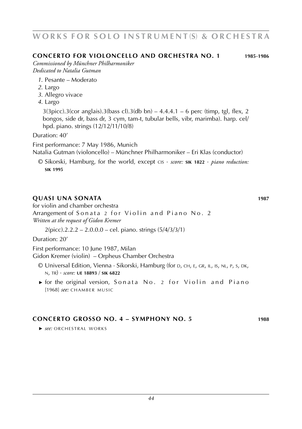# *44*

WORKS FOR SOLO INSTRUMENT(S) & ORCHESTRA

**concerto for violoncello and orchestra no. 1 1985**-**1986**

*Commissioned by Münchner Philharmoniker Dedicated to Natalia Gutman*

- *1*. Pesante Moderato
- *2*. Largo
- *3*. Allegro vivace
- *4*. Largo

 $3(3picc)$ .3(cor anglais).3(bass cl).3(db bn) – 4.4.4.1 – 6 perc (timp, tgl, flex, 2 bongos, side dr, bass dr, 3 cym, tam-t, tubular bells, vibr, marimba). harp. cel/ hpd. piano. strings (12/12/11/10/8)

Duration: 40'

First performance: 7 May 1986, Munich

Natalia Gutman (violoncello) – Münchner Philharmoniker – Eri Klas (conductor)

© Sikorski, Hamburg, for the world, except cis · *score:* **sik 1822** · *piano reduction:* **sik 1995**

#### **quasi una sonata 1987**

for violin and chamber orchestra

Arrangement of Sonata 2 for Violin and Piano No. 2 *Written at the request of Gidon Kremer*

 $2(pice)$ .2.2.2 – 2.0.0.0 – cel. piano. strings  $(5/4/3/3/1)$ 

Duration: 20'

First performance: 10 June 1987, Milan Gidon Kremer (violin) – Orpheus Chamber Orchestra

- © Universal Edition, Vienna · Sikorski, Hamburg (for d, ch, e, gr, il, is, nl, p, s, dk, n, tr) · *score:* **ue 18893** / **sik 6822**
- ► for the original version, Sonata No. 2 for Violin and Piano [1968] *see:* CHAMBER MUSIC

#### **concerto grosso NO. 4 – sYMphony no. 5 1988**

**►** *see:* ORCHESTRAL WORKS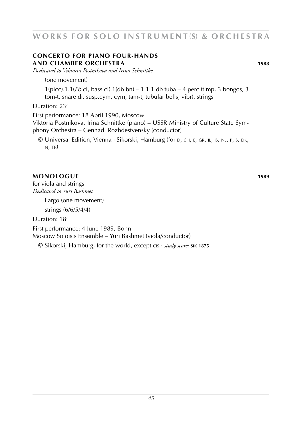### **concerto for piano four-hands and chamber orchestra 1988**

*Dedicated to Viktoria Postnikova and Irina Schnittke*

(one movement)

1(picc).1.1(*Eb* cl, bass cl).1(db bn) – 1.1.1.db tuba – 4 perc (timp, 3 bongos, 3 tom-t, snare dr, susp.cym, cym, tam-t, tubular bells, vibr). strings

### Duration: 23'

First performance: 18 April 1990, Moscow

Viktoria Postnikova, Irina Schnittke (piano) – USSR Ministry of Culture State Symphony Orchestra – Gennadi Rozhdestvensky (conductor)

© Universal Edition, Vienna · Sikorski, Hamburg (for d, ch, e, gr, il, is, nl, p, s, dk,  $N, TR)$ 

### **monologue 1989**

for viola and strings *Dedicated to Yuri Bashmet*

Largo (one movement)

strings (6/6/5/4/4)

Duration: 18'

First performance: 4 June 1989, Bonn

Moscow Soloists Ensemble – Yuri Bashmet (viola/conductor)

© Sikorski, Hamburg, for the world, except cis · *study score:* **sik 1875**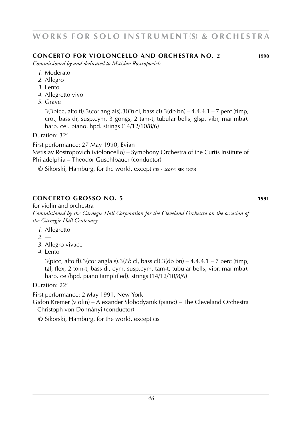### **concerto for violoncello and orchestra no. 2 1990**

*Commissioned by and dedicated to Mstislav Rostropovich*

- *1*. Moderato
- *2*. Allegro
- *3*. Lento
- *4*. Allegretto vivo
- *5*. Grave

3(3picc, alto fl).3(cor anglais).3(*Eb* cl, bass cl).3(db bn) – 4.4.4.1 – 7 perc (timp, crot, bass dr, susp.cym, 3 gongs, 2 tam-t, tubular bells, glsp, vibr, marimba). harp. cel. piano. hpd. strings (14/12/10/8/6)

Duration: 32'

First performance: 27 May 1990, Evian

Mstislav Rostropovich (violoncello) – Symphony Orchestra of the Curtis Institute of Philadelphia – Theodor Guschlbauer (conductor)

© Sikorski, Hamburg, for the world, except cis · *score:* **sik 1878**

# **concerto grosso no. 5 1991**

for violin and orchestra *Commissioned by the Carnegie Hall Corporation for the Cleveland Orchestra on the occasion of the Carnegie Hall Centenary*

- *1*. Allegretto
- *2*. ––
- *3*. Allegro vivace
- *4*. Lento

3(picc, alto fl).3(cor anglais).3(*Eb* cl, bass cl).3(db bn) – 4.4.4.1 – 7 perc (timp, tgl, flex, 2 tom-t, bass dr, cym, susp.cym, tam-t, tubular bells, vibr, marimba). harp. cel/hpd. piano (amplified). strings (14/12/10/8/6)

Duration: 22'

First performance: 2 May 1991, New York

Gidon Kremer (violin) – Alexander Slobodyanik (piano) – The Cleveland Orchestra – Christoph von Dohnányi (conductor)

© Sikorski, Hamburg, for the world, except cis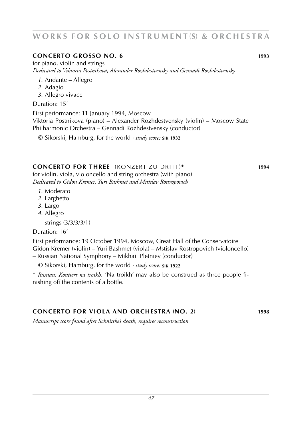### **CONCERTO GROSSO NO. 6 1993**

for piano, violin and strings *Dedicated to Viktoria Postnikova, Alexander Rozhdestvensky and Gennadi Rozhdestvensky*

- *1*. Andante Allegro
- *2*. Adagio
- *3*. Allegro vivace

#### Duration: 15'

First performance: 11 January 1994, Moscow Viktoria Postnikova (piano) – Alexander Rozhdestvensky (violin) – Moscow State Philharmonic Orchestra – Gennadi Rozhdestvensky (conductor)

© Sikorski, Hamburg, for the world · *study score:* **sik 1932**

### **concerto for three** (konzert zu dritt)**\* 1994**

for violin, viola, violoncello and string orchestra (with piano) *Dedicated to Gidon Kremer, Yuri Bashmet and Mstislav Rostropovich*

- *1*. Moderato
- *2*. Larghetto
- *3*. Largo
- *4*. Allegro

strings (3/3/3/3/1)

Duration: 16'

First performance: 19 October 1994, Moscow, Great Hall of the Conservatoire Gidon Kremer (violin) – Yuri Bashmet (viola) – Mstislav Rostropovich (violoncello) – Russian National Symphony – Mikhail Pletniev (conductor)

© Sikorski, Hamburg, for the world · *study score:* **sik 1922**

\* *Russian: Kontsert na troikh*. 'Na troikh' may also be construed as three people finishing off the contents of a bottle.

# **concerto for viola and orchestra** (**no. 2**) **1998**

*Manuscript score found after Schnittke's death, requires reconstruction*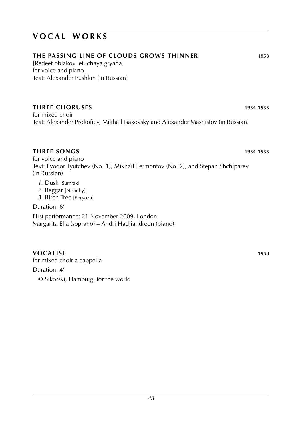# **the passing line of clouds grows thinner 1953**

[Redeet oblakov letuchaya gryada] for voice and piano Text: Alexander Pushkin (in Russian)

# **three choruses 1954**-**1955**

for mixed choir Text: Alexander Prokofiev, Mikhail Isakovsky and Alexander Mashistov (in Russian)

# **three songs 1954**-**1955**

for voice and piano Text: Fyodor Tyutchev (No. 1), Mikhail Lermontov (No. 2), and Stepan Shchiparev (in Russian)

- *1*. Dusk [Sumrak]
- *2*. Beggar [Nishchy]
- *3*. Birch Tree [Beryoza]

Duration: 6'

First performance: 21 November 2009, London Margarita Elia (soprano) – Andri Hadjiandreon (piano)

# **vocalise 1958**

for mixed choir a cappella Duration: 4' © Sikorski, Hamburg, for the world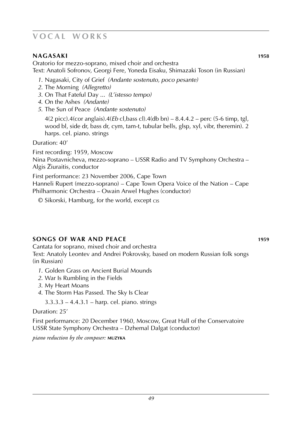### **nagasaki 1958**

Oratorio for mezzo-soprano, mixed choir and orchestra Text: Anatoli Sofronov, Georgi Fere, Yoneda Eisaku, Shimazaki Toson (in Russian)

- *1*. Nagasaki, City of Grief *(Andante sostenuto, poco pesante)*
- *2*. The Morning *(Allegretto)*
- *3*. On That Fateful Day ... *(L'istesso tempo)*
- *4*. On the Ashes *(Andante)*
- *5*. The Sun of Peace *(Andante sostenuto)*

4(2 picc).4(cor anglais).4(*Eb* cl,bass cl).4(db bn) – 8.4.4.2 – perc (5-6 timp, tgl, wood bl, side dr, bass dr, cym, tam-t, tubular bells, glsp, xyl, vibr, theremin). 2 harps. cel. piano. strings

Duration: 40'

First recording: 1959, Moscow Nina Postavnicheva, mezzo-soprano – USSR Radio and TV Symphony Orchestra – Algis Žiuraitis, conductor

First performance: 23 November 2006, Cape Town Hanneli Rupert (mezzo-soprano) – Cape Town Opera Voice of the Nation – Cape

Philharmonic Orchestra – Owain Arwel Hughes (conductor)

© Sikorski, Hamburg, for the world, except cis

### **songs of war and peace 1959**

Cantata for soprano, mixed choir and orchestra Text: Anatoly Leontev and Andrei Pokrovsky, based on modern Russian folk songs (in Russian)

- *1*. Golden Grass on Ancient Burial Mounds
- *2*. War Is Rumbling in the Fields
- *3*. My Heart Moans
- *4*. The Storm Has Passed. The Sky Is Clear

3.3.3.3 – 4.4.3.1 – harp. cel. piano. strings

#### Duration: 25'

First performance: 20 December 1960, Moscow, Great Hall of the Conservatoire USSR State Symphony Orchestra – Dzhemal Dalgat (conductor)

*piano reduction by the composer:* **muzyka**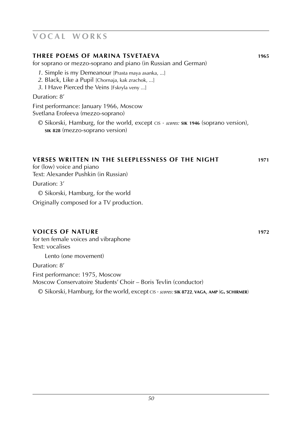#### **three poems of marina tsvetaeva 1965**

for soprano or mezzo-soprano and piano (in Russian and German)

- *1*. Simple is my Demeanour [Prasta maya asanka, ...]
- *2*. Black, Like a Pupil [Chornaja, kak zrachok, ...]
- *3*. I Have Pierced the Veins [Fskryla veny ...]

Duration: 8'

First performance: January 1966, Moscow Svetlana Erofeeva (mezzo-soprano)

© Sikorski, Hamburg, for the world, except cis · *scores:* **sik 1946** (soprano version), **sik 828** (mezzo-soprano version)

# **verses written in the sleeplessness of the night 1971**

for (low) voice and piano Text: Alexander Pushkin (in Russian)

Duration: 3'

© Sikorski, Hamburg, for the world

Originally composed for a TV production.

### **voices of nature 1972**

for ten female voices and vibraphone Text: vocalises

Lento (one movement)

Duration: 8'

First performance: 1975, Moscow Moscow Conservatoire Students' Choir – Boris Tevlin (conductor)

© Sikorski, Hamburg, for the world, except cis · *scores:* **sik 8722**, **vaga**, **amp** (**g. schirmer**)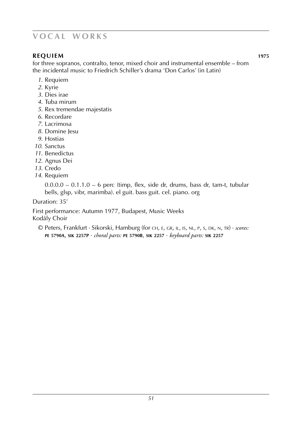# **REQUIEM 1975**

for three sopranos, contralto, tenor, mixed choir and instrumental ensemble – from the incidental music to Friedrich Schiller's drama 'Don Carlos' (in Latin)

- *1*. Requiem
- *2*. Kyrie
- *3*. Dies irae
- *4*. Tuba mirum
- *5*. Rex tremendae majestatis
- *6*. Recordare
- *7*. Lacrimosa
- *8*. Domine Jesu
- *9*. Hostias
- *10*. Sanctus
- *11*. Benedictus
- *12*. Agnus Dei
- *13*. Credo
- *14*. Requiem

 $0.0.0.0 - 0.1.1.0 - 6$  perc (timp, flex, side dr, drums, bass dr, tam-t, tubular bells, glsp, vibr, marimba). el guit. bass guit. cel. piano. org

Duration: 35'

First performance: Autumn 1977, Budapest, Music Weeks Kodály Choir

© Peters, Frankfurt · Sikorski, Hamburg (for ch, e, gr, il, is, nl, p, s, dk, n, tr) · *scores:* **pe 5790A**, **sik 2257P** · *choral parts:* **pe 5790B**, **sik 2257** · *keyboard parts:* **sik 2257**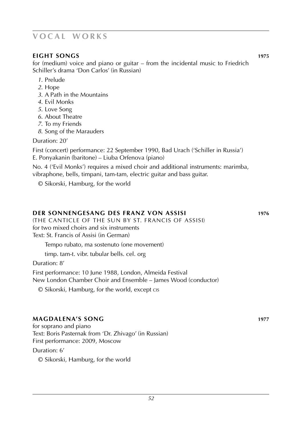### **eight songs 1975**

for (medium) voice and piano or guitar – from the incidental music to Friedrich Schiller's drama 'Don Carlos' (in Russian)

- *1*. Prelude
- *2*. Hope
- *3*. A Path in the Mountains
- *4*. Evil Monks
- *5*. Love Song
- *6*. About Theatre
- *7*. To my Friends
- *8*. Song of the Marauders

Duration: 20'

First (concert) performance: 22 September 1990, Bad Urach ('Schiller in Russia') E. Ponyakanin (baritone) – Liuba Orfenova (piano)

No. 4 ('Evil Monks') requires a mixed choir and additional instruments: marimba, vibraphone, bells, timpani, tam-tam, electric guitar and bass guitar.

© Sikorski, Hamburg, for the world

#### **der sonnengesang des franz von assisi 1976** (The Canticle of the Sun by St. Francis of Assisi) for two mixed choirs and six instruments Text: St. Francis of Assisi (in German)

Tempo rubato, ma sostenuto (one movement)

timp. tam-t. vibr. tubular bells. cel. org

Duration: 8'

First performance: 10 June 1988, London, Almeida Festival New London Chamber Choir and Ensemble – James Wood (conductor)

© Sikorski, Hamburg, for the world, except cis

### **magdalena's song 1977**

for soprano and piano Text: Boris Pasternak from 'Dr. Zhivago' (in Russian) First performance: 2009, Moscow

Duration: 6'

© Sikorski, Hamburg, for the world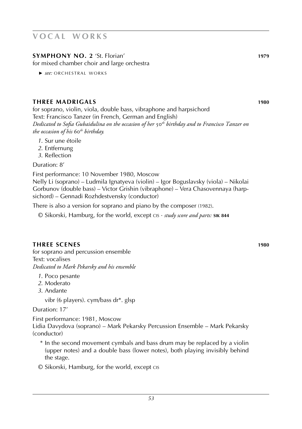# **sYMPHONY NO. 2** 'St. Florian' **1979**

for mixed chamber choir and large orchestra

▶ *see:* ORCHESTRAL WORKS

### **three madrigals 1980**

for soprano, violin, viola, double bass, vibraphone and harpsichord Text: Francisco Tanzer (in French, German and English) *Dedicated to Sofia Gubaidulina on the occasion of her* 50*th birthday and to Francisco Tanzer on the occasion of his* 60*th birthday.*

- *1*. Sur une étoile
- *2*. Entfernung
- *3*. Reflection

Duration: 8'

First performance: 10 November 1980, Moscow Nelly Li (soprano) – Ludmila Ignatyeva (violin) – Igor Boguslavsky (viola) – Nikolai Gorbunov (double bass) – Victor Grishin (vibraphone) – Vera Chasovennaya (harpsichord) – Gennadi Rozhdestvensky (conductor)

There is also a version for soprano and piano by the composer (1982).

© Sikorski, Hamburg, for the world, except cis · *study score and parts:* **sik 844**

### **three scenes 1980**

for soprano and percussion ensemble Text: vocalises *Dedicated to Mark Pekarsky and his ensemble*

- *1*. Poco pesante
- *2*. Moderato
- *3*. Andante

vibr (6 players). cym/bass dr\*. glsp

Duration: 17'

First performance: 1981, Moscow Lidia Davydova (soprano) – Mark Pekarsky Percussion Ensemble – Mark Pekarsky (conductor)

- \* In the second movement cymbals and bass drum may be replaced by a violin (upper notes) and a double bass (lower notes), both playing invisibly behind the stage.
- © Sikorski, Hamburg, for the world, except cis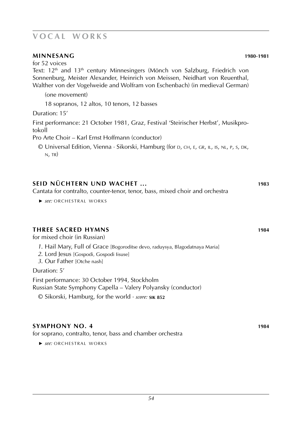### **minnesang 1980**-**1981**

for 52 voices

Text: 12<sup>th</sup> and 13<sup>th</sup> century Minnesingers (Mönch von Salzburg, Friedrich von Sonnenburg, Meister Alexander, Heinrich von Meissen, Neidhart von Reuenthal, Walther von der Vogelweide and Wolfram von Eschenbach) (in medieval German)

(one movement)

18 sopranos, 12 altos, 10 tenors, 12 basses

Duration: 15'

First performance: 21 October 1981, Graz, Festival 'Steirischer Herbst', Musikprotokoll

Pro Arte Choir – Karl Ernst Hoffmann (conductor)

© Universal Edition, Vienna · Sikorski, Hamburg (for d, ch, e, gr, il, is, nl, p, s, dk,  $N$ , TR)

### **seid nüchtern und wachet ... 1983**

Cantata for contralto, counter-tenor, tenor, bass, mixed choir and orchestra

▶ *see:* ORCHESTRAL WORKS

#### **three sacred hymns 1984**

for mixed choir (in Russian)

- *1*. Hail Mary, Full of Grace [Bogoroditse devo, raduysya, Blagodatnaya Maria]
- *2*. Lord Jesus [Gospodi, Gospodi Iisuse]
- *3*. Our Father [Otche nash]

Duration: 5'

First performance: 30 October 1994, Stockholm Russian State Symphony Capella – Valery Polyansky (conductor)

© Sikorski, Hamburg, for the world · *score:* **sik 852**

### **symphony no. 4 1984**

for soprano, contralto, tenor, bass and chamber orchestra

▶ *see:* ORCHESTRAL WORKS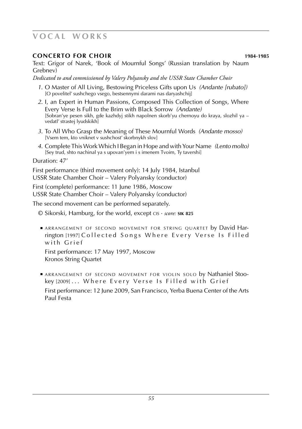### **concerto for choir 1984**-**1985**

Text: Grigor of Narek, 'Book of Mournful Songs' (Russian translation by Naum Grebnev)

*Dedicated to and commissioned by Valery Polyansky and the USSR State Chamber Choir*

- *1*. O Master of All Living, Bestowing Priceless Gifts upon Us *(Andante [rubato])* [O povelitel' sushchego vsego, bestsennymi darami nas daryashchij]
- *2*. I, an Expert in Human Passions, Composed This Collection of Songs, Where Every Verse Is Full to the Brim with Black Sorrow *(Andante)* [Sobran'ye pesen sikh, gde kazhdyj stikh napolnen skorb'yu chernoyu do kraya, slozhil ya – vedatl' strastej lyudskikh]
- *3*. To All Who Grasp the Meaning of These Mournful Words *(Andante mosso)* [Vsem tem, kto vniknet v sushchost' skorbnykh slov]
- *4*. Complete This Work Which I Began in Hope and with Your Name *(Lento molto)* [Sey trud, shto nachinal ya s upovan'yem i s imenem Tvoim, Ty tavershi]

Duration: 47'

First performance (third movement only): 14 July 1984, Istanbul USSR State Chamber Choir – Valery Polyansky (conductor)

First (complete) performance: 11 June 1986, Moscow USSR State Chamber Choir – Valery Polyansky (conductor)

The second movement can be performed separately.

- © Sikorski, Hamburg, for the world, except cis · *score:* **sik 825**
- **ARRANGEMENT OF SECOND MOVEMENT FOR STRING QUARTET by David Har**rington [1997] Collected Songs Where Every Verse Is Filled with Grief

 First performance: 17 May 1997, Moscow Kronos String Quartet

■ ARRANGEMENT OF SECOND MOVEMENT FOR VIOLIN SOLO by Nathaniel Stookey [2009] ... Where Every Verse Is Filled with Grief First performance: 12 June 2009, San Francisco, Yerba Buena Center of the Arts

Paul Festa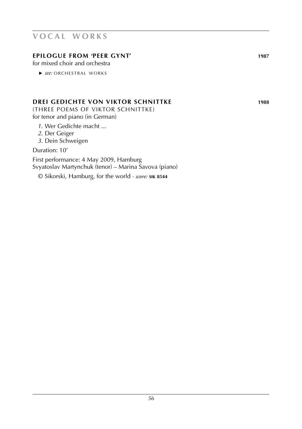# **epilogue from 'peer gynt' 1987**

for mixed choir and orchestra

▶ *see:* ORCHESTRAL WORKS

# **drei gedichte von viktor schnittke 1988**

(three poems of viktor schnittke) for tenor and piano (in German)

- *1*. Wer Gedichte macht ...
- *2*. Der Geiger
- *3*. Dein Schweigen

Duration: 10'

First performance: 4 May 2009, Hamburg Svyatoslav Martynchuk (tenor) – Marina Savova (piano)

© Sikorski, Hamburg, for the world · *score:* **sik 8544**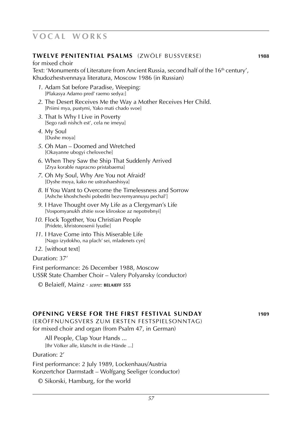#### **twelve penitential psalms** (zwölf bussverse) **1988**

for mixed choir Text: 'Monuments of Literature from Ancient Russia, second half of the 16<sup>th</sup> century', Khudozhestvennaya literatura, Moscow 1986 (in Russian)

- *1*. Adam Sat before Paradise, Weeping: [Plakasya Adamo pred' raemo sedya:]
- *2*. The Desert Receives Me the Way a Mother Receives Her Child. [Priimi mya, pustymi, Yako mati chado svoe]
- *3*. That Is Why I Live in Poverty [Sego radi nishch est', cela ne imeyu]
- *4*. My Soul [Dushe moya]
- *5*. Oh Man Doomed and Wretched [Okayanne ubogyi cheloveche]
- *6*. When They Saw the Ship That Suddenly Arrived [Zrya korable napracno pristabaema]
- *7*. Oh My Soul, Why Are You not Afraid? [Dyshe moya, kako ne ustrashaeshisya]
- *8*. If You Want to Overcome the Timelessness and Sorrow [Ashche khoshcheshi pobediti bezvremyannuyu pechal']
- *9*. I Have Thought over My Life as a Clergyman's Life [Vospomyanukh zhitie svoe kliroskoe az nepotrebnyi]
- *10*. Flock Together, You Christian People [Pridete, khristonosenii lyudie]
- *11*. I Have Come into This Miserable Life [Nago izydokho, na plach' sei, mladenets cyn]
- *12*. [without text]

#### Duration: 37'

First performance: 26 December 1988, Moscow USSR State Chamber Choir – Valery Polyansky (conductor)

© Belaieff, Mainz · *score:* **belaieff 555**

#### **opening verse for the first festival sunday 1989**

(eröffnungsvers zum ersten festspielsonntag) for mixed choir and organ (from Psalm 47, in German)

All People, Clap Your Hands ...

[Ihr Völker alle, klatscht in die Hände ...]

Duration: 2'

First performance: 2 July 1989, Lockenhaus/Austria Konzertchor Darmstadt – Wolfgang Seeliger (conductor)

© Sikorski, Hamburg, for the world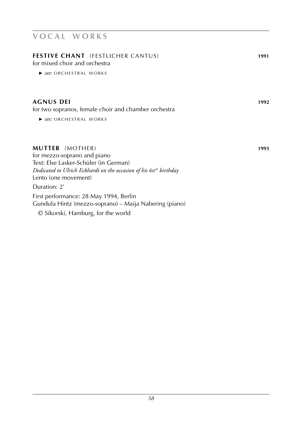| <b>FESTIVE CHANT</b> (FESTLICHER CANTUS)<br>for mixed choir and orchestra<br>▶ see: ORCHESTRAL WORKS                                                                                                    | 1991 |
|---------------------------------------------------------------------------------------------------------------------------------------------------------------------------------------------------------|------|
| <b>AGNUS DEI</b><br>for two sopranos, female choir and chamber orchestra<br>▶ see: ORCHESTRAL WORKS                                                                                                     | 1992 |
| <b>MUTTER</b> (MOTHER)<br>for mezzo-soprano and piano<br>Text: Else Lasker-Schüler (in German)<br>Dedicated to Ulrich Eckhardt on the occasion of his 60 <sup>th</sup> birthday<br>Lento (one movement) | 1993 |
| Duration: 2'<br>First performance: 28 May 1994, Berlin<br>Gundula Hintz (mezzo-soprano) – Maija Nabering (piano)                                                                                        |      |
| © Sikorski, Hamburg, for the world                                                                                                                                                                      |      |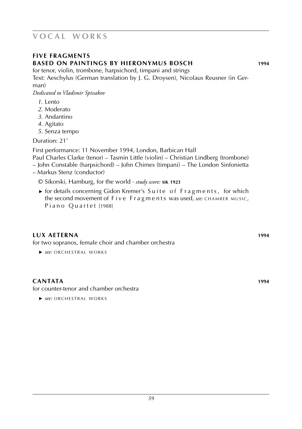# **five fragments based on paintings by hieronymus bosch 1994**

for tenor, violin, trombone, harpsichord, timpani and strings Text: Aeschylus (German translation by J. G. Droysen), Nicolaus Reusner (in German)

*Dedicated to Vladimir Spivakov*

- *1*. Lento
- *2*. Moderato
- *3*. Andantino
- *4*. Agitato
- *5*. Senza tempo

Duration: 21'

First performance: 11 November 1994, London, Barbican Hall

- Paul Charles Clarke (tenor) Tasmin Little (violin) Christian Lindberg (trombone)
- John Constable (harpsichord) John Chimes (timpani) The London Sinfonietta
- Markus Stenz (conductor)
	- © Sikorski, Hamburg, for the world · *study score:* **sik 1923**
	- $\triangleright$  for details concerning Gidon Kremer's Suite of Fragments, for which the second movement of Five Fragments was used, *see:* CHAMBER MUSIC, Piano Quartet [1988]

# **lux aeterna 1994**

for two sopranos, female choir and chamber orchestra

**►** *see:* ORCHESTRAL WORKS

# **cantata 1994**

for counter-tenor and chamber orchestra

**►** *see:* ORCHESTRAL WORKS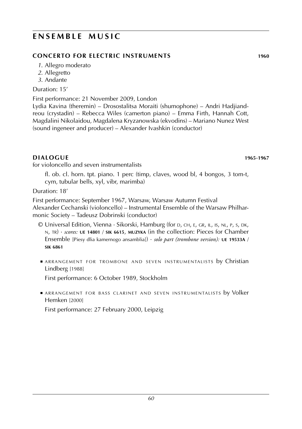# **ENSEMBLE MUSIC**

# **concerto for electric instruments 1960**

- *1*. Allegro moderato
- *2*. Allegretto
- *3*. Andante

Duration: 15'

First performance: 21 November 2009, London

Lydia Kavina (theremin) – Drosostalitsa Moraiti (shumophone) – Andri Hadjiandreou (crystadin) – Rebecca Wiles (camerton piano) – Emma Firth, Hannah Cott, Magdalini Nikolaidou, Magdalena Kryzanowska (ekvodins) – Mariano Nunez West (sound ingeneer and producer) – Alexander Ivashkin (conductor)

# **dialogue 1965-1967 1965-1967**

for violoncello and seven instrumentalists

fl. ob. cl. horn. tpt. piano. 1 perc (timp, claves, wood bl, 4 bongos, 3 tom-t, cym, tubular bells, xyl, vibr, marimba)

Duration: 18'

First performance: September 1967, Warsaw, Warsaw Autumn Festival Alexander Cechanski (violoncello) – Instrumental Ensemble of the Warsaw Philharmonic Society – Tadeusz Dobrinski (conductor)

- © Universal Edition, Vienna · Sikorski, Hamburg (for d, ch, e, gr, il, is, nl, p, s, dk, n, tr) · *scores:* **ue 14801** / **sik 6615**, **muzyka** (in the collection: Pieces for Chamber Ensemble [Piesy dlia kamernogo ansamblia]) · *solo part (trombone version):* **ue 19533A** / **sik 6861**
- **ARRANGEMENT FOR TROMBONE AND SEVEN INSTRUMENTALISTS by Christian** Lindberg [1988]

First performance: 6 October 1989, Stockholm

**■ ARRANGEMENT FOR BASS CLARINET AND SEVEN INSTRUMENTALISTS by Volker** Hemken [2000]

First performance: 27 February 2000, Leipzig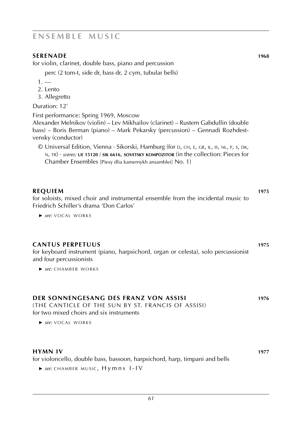# **e n s e m b l e m u s i c**

### **SERENADE** 1968

for violin, clarinet, double bass, piano and percussion

perc (2 tom-t, side dr, bass dr, 2 cym, tubular bells)

- $1. -$
- 2. Lento
- 3. Allegretto

Duration: 12'

First performance: Spring 1969, Moscow

Alexander Melnikov (violin) – Lev Mikhailov (clarinet) – Rustem Gabdullin (double bass) – Boris Berman (piano) – Mark Pekarsky (percussion) – Gennadi Rozhdestvensky (conductor)

© Universal Edition, Vienna · Sikorski, Hamburg (for d, ch, e, gr, il, is, nl, p, s, dk, n, tr) · *scores:* **ue 15120** / **sik 6616**, **sovetsky kompozitor** (in the collection: Pieces for Chamber Ensembles [Piesy dlia kamernykh ansamblei] No. 1)

### **REQUIEM 1975**

for soloists, mixed choir and instrumental ensemble from the incidental music to Friedrich Schiller's drama 'Don Carlos'

▶ *see:* VOCAL WORKS

### **cantus perpetuus 1975**

for keyboard instrument (piano, harpsichord, organ or celesta), solo percussionist and four percussionists

**►** see: CHAMBER WORKS

### **der sonnengesang des franz von assisi 1976**

(the canticle of the sun by st. francis of assisi) for two mixed choirs and six instruments

#### **hymn IV 1977**

for violoncello, double bass, bassoon, harpsichord, harp, timpani and bells

**►** see: CHAMBER MUSIC, H v m n s I-IV

<sup>▶</sup> *see:* VOCAL WORKS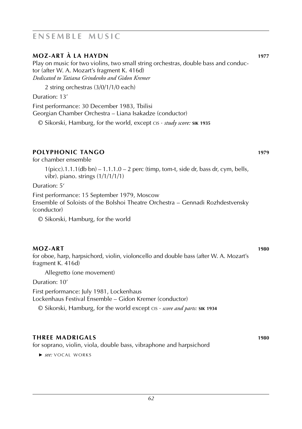# **e n s e m b l e m u s i c**

### **moz-art à la haydn 1977**

Play on music for two violins, two small string orchestras, double bass and conductor (after W. A. Mozart's fragment K. 416d) *Dedicated to Tatiana Grindenko and Gidon Kremer*

2 string orchestras (3/0/1/1/0 each)

Duration: 13'

First performance: 30 December 1983, Tbilisi

Georgian Chamber Orchestra – Liana Isakadze (conductor)

© Sikorski, Hamburg, for the world, except cis · *study score:* **sik 1935**

# **Polyphonic tango 1979**

for chamber ensemble

 $1(pice).1.1.1$ (db bn) –  $1.1.1.0 - 2$  perc (timp, tom-t, side dr, bass dr, cym, bells, vibr). piano. strings (1/1/1/1/1)

Duration: 5'

First performance: 15 September 1979, Moscow Ensemble of Soloists of the Bolshoi Theatre Orchestra – Gennadi Rozhdestvensky (conductor)

© Sikorski, Hamburg, for the world

### **moz-art 1980**

for oboe, harp, harpsichord, violin, violoncello and double bass (after W. A. Mozart's fragment K. 416d)

Allegretto (one movement)

Duration: 10'

First performance: July 1981, Lockenhaus Lockenhaus Festival Ensemble – Gidon Kremer (conductor)

© Sikorski, Hamburg, for the world except cis · *score and parts:* **sik 1934**

# **three madrigals 1980**

for soprano, violin, viola, double bass, vibraphone and harpsichord

▶ *see:* VOCAL WORKS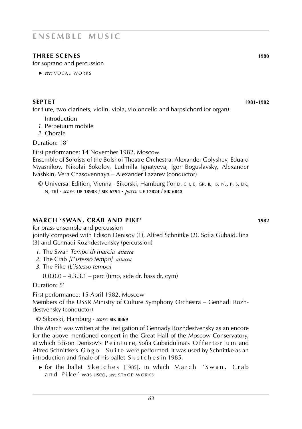# **e n s e m b l e m u s i c**

# **three scenes 1980**

for soprano and percussion

▶ *see:* VOCAL WORKS

### **septet 1981**-**1982**

for flute, two clarinets, violin, viola, violoncello and harpsichord (or organ)

Introduction

- *1*. Perpetuum mobile
- *2*. Chorale

Duration: 18'

First performance: 14 November 1982, Moscow

Ensemble of Soloists of the Bolshoi Theatre Orchestra: Alexander Golyshev, Eduard Myasnikov, Nikolai Sokolov, Ludmilla Ignatyeva, Igor Boguslavsky, Alexander Ivashkin, Vera Chasovennaya – Alexander Lazarev (conductor)

© Universal Edition, Vienna · Sikorski, Hamburg (for d, ch, e, gr, il, is, nl, p, s, dk, n, tr) · *score:* **ue 18903** / **sik 6794** · *parts:* **ue 17824** / **sik 6842**

### **march 'swan, crab and pike' 1982**

for brass ensemble and percussion

jointly composed with Edison Denisov (1), Alfred Schnittke (2), Sofia Gubaidulina (3) and Gennadi Rozhdestvensky (percussion)

- *1*. The Swan *Tempo di marcia attacca*
- *2*. The Crab *[L*'*istesso tempo] attacca*
- *3*. The Pike *[L*'*istesso tempo]*

 $0.0.0.0 - 4.3.3.1$  – perc (timp, side dr, bass dr, cym)

Duration: 5'

First performance: 15 April 1982, Moscow

Members of the USSR Ministry of Culture Symphony Orchestra – Gennadi Rozhdestvensky (conductor)

© Sikorski, Hamburg · *score:* **sik 8869**

This March was written at the instigation of Gennady Rozhdestvensky as an encore for the above mentioned concert in the Great Hall of the Moscow Conservatory, at which Edison Denisov's Peinture, Sofia Gubaidulina's Offertorium and Alfred Schnittke's Gogol Suite were performed. It was used by Schnittke as an introduction and finale of his ballet Sketches in 1985.

► for the ballet Sketches [1985], in which March 'Swan, Crab and Pike' was used, see: STAGE WORKS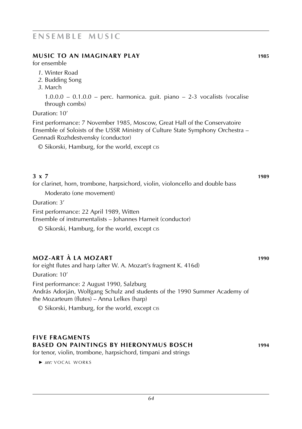### **music to an imaginary play 1985**

for ensemble

- *1*. Winter Road
- *2*. Budding Song
- *3*. March

 $1.0.0.0 - 0.1.0.0 -$  perc. harmonica. guit. piano  $-2.3$  vocalists (vocalise through combs)

#### Duration: 10'

First performance: 7 November 1985, Moscow, Great Hall of the Conservatoire Ensemble of Soloists of the USSR Ministry of Culture State Symphony Orchestra – Gennadi Rozhdestvensky (conductor)

© Sikorski, Hamburg, for the world, except cis

### **3 x 7 1989**

for clarinet, horn, trombone, harpsichord, violin, violoncello and double bass

Moderato (one movement)

Duration: 3'

First performance: 22 April 1989, Witten

Ensemble of instrumentalists – Johannes Harneit (conductor)

© Sikorski, Hamburg, for the world, except cis

# **Moz-art à la Mozart 1990**

for eight flutes and harp (after W. A. Mozart's fragment K. 416d) Duration: 10'

First performance: 2 August 1990, Salzburg András Adorján, Wolfgang Schulz and students of the 1990 Summer Academy of the Mozarteum (flutes) – Anna Lelkes (harp)

© Sikorski, Hamburg, for the world, except cis

### **five fragments based on paintings by hieronymus bosch 1994**

for tenor, violin, trombone, harpsichord, timpani and strings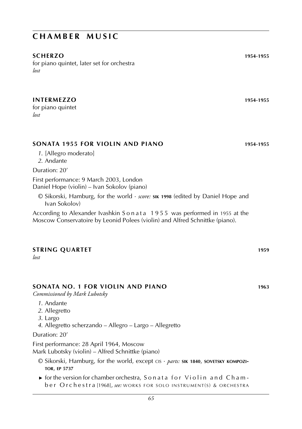#### **scherzo 1954**-**1955**

for piano quintet, later set for orchestra *lost*

# **intermezzo 1954**-**1955**

for piano quintet *lost*

### **sonata 1955 for violin and piano 1954**-**1955**

*1*. [Allegro moderato] *2*. Andante

Duration: 20'

First performance: 9 March 2003, London Daniel Hope (violin) – Ivan Sokolov (piano)

© Sikorski, Hamburg, for the world · *score:* **sik 1998** (edited by Daniel Hope and Ivan Sokolov)

According to Alexander Ivashkin Sonata 1955 was performed in 1955 at the Moscow Conservatoire by Leonid Polees (violin) and Alfred Schnittke (piano).

#### **STRING QUARTET** 1959

*lost*

#### **sonata no. 1 for violin and piano 1963**

*Commissioned by Mark Lubotsky*

- *1*. Andante
- *2*. Allegretto
- *3*. Largo
- *4*. Allegretto scherzando Allegro Largo Allegretto

#### Duration: 20'

First performance: 28 April 1964, Moscow Mark Lubotsky (violin) – Alfred Schnittke (piano)

- © Sikorski, Hamburg, for the world, except cis · *parts:* **sik 1840**, **sovetsky kompozitor**, **ep 5737**
- $\triangleright$  for the version for chamber orchestra, Sonata for Violin and Chamb e r O r c h e s t r a [1968], *see:* WORKS FOR SOLO INSTRUMENT(S) & ORCHESTRA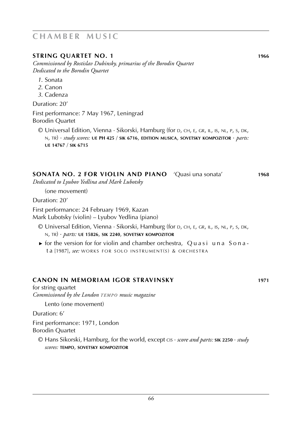#### **string quartet no. 1 1966**

*Commissioned by Rostislav Dubinsky, primarius of the Borodin Quartet Dedicated to the Borodin Quartet*

- *1*. Sonata
- *2*. Canon
- *3*. Cadenza

Duration: 20'

First performance: 7 May 1967, Leningrad Borodin Quartet

© Universal Edition, Vienna · Sikorski, Hamburg (for d, ch, e, gr, il, is, nl, p, s, dk, n, tr) · *study scores:* **ue PH 425** / **sik 6716**, **edition musica**, **sovetsky kompozitor** · *parts:* **ue 14767** / **sik 6715**

#### **sonata No. 2 for violin and piano** 'Quasi una sonata' **1968**

*Dedicated to Lyubov Yedlina and Mark Lubotsky*

(one movement)

Duration: 20'

First performance: 24 February 1969, Kazan

Mark Lubotsky (violin) – Lyubov Yedlina (piano)

- © Universal Edition, Vienna · Sikorski, Hamburg (for d, ch, e, gr, il, is, nl, p, s, dk, n, tr) · *parts:* **ue 15826**, **sik 2240**, **sovetsky kompozitor**
- $\triangleright$  for the version for for violin and chamber orchestra, Quasi una Sonat a [1987], see: WORKS FOR SOLO INSTRUMENT(S) & ORCHESTRA

#### **CANON in memoriam igor stravinsky 1971**

for string quartet *Commissioned by the London TEMPO music magazine* 

Lento (one movement)

Duration: 6'

First performance: 1971, London Borodin Quartet

© Hans Sikorski, Hamburg, for the world, except cis · *score and parts:* **sik 2250** · *study scores:* **tempo**, **sovetsky kompozitor**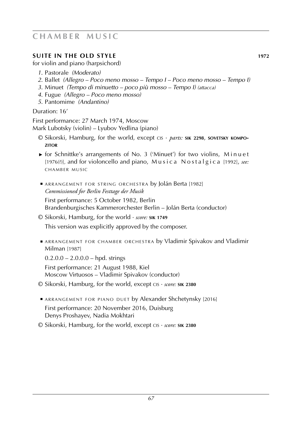# **suite in the old style 1972**

for violin and piano (harpsichord)

- *1*. Pastorale *(Moderato)*
- *2*. Ballet *(Allegro Poco meno mosso Tempo I Poco meno mosso Tempo I)*
- *3*. Minuet *(Tempo di minuetto poco più mosso Tempo I) (attacca)*
- *4*. Fugue *(Allegro Poco meno mosso)*
- *5*. Pantomime *(Andantino)*

### Duration: 16'

First performance: 27 March 1974, Moscow Mark Lubotsky (violin) – Lyubov Yedlina (piano)

- © Sikorski, Hamburg, for the world, except cis · *parts:* **sik 2298**, **sovetsky kompo zitor**
- ► for Schnittke's arrangements of No. 3 ('Minuet') for two violins, M i n u e t [1976(?)], and for violoncello and piano, Musica Nostalgica [1992], see: CHAMBER MUSIC
- ARRANGEMENT FOR STRING ORCHESTRA by Jolán Berta [1982]  *Commissioned for Berlin Festtage der Musik*

 First performance: 5 October 1982, Berlin Brandenburgisches Kammerorchester Berlin – Jolán Berta (conductor)

© Sikorski, Hamburg, for the world · *score:* **sik 1749**

This version was explicitly approved by the composer.

**E ARRANGEMENT FOR CHAMBER ORCHESTRA by Vladimir Spivakov and Vladimir** Milman [1987]

 $0.2.0.0 - 2.0.0.0 -$  hpd. strings

 First performance: 21 August 1988, Kiel Moscow Virtuosos – Vladimir Spivakov (conductor)

- © Sikorski, Hamburg, for the world, except cis · *score:* **sik 2380**
- ARRANGEMENT FOR PIANO DUET by Alexander Shchetynsky [2016] First performance: 20 November 2016, Duisburg Denys Proshayev, Nadia Mokhtari
- © Sikorski, Hamburg, for the world, except cis · *score:* **sik 2380**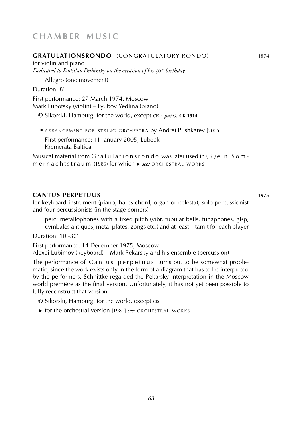#### **gratulationsrondo** (congratulatory rondo) **1974**

for violin and piano *Dedicated to Rostislav Dubinsky on the occasion of his* 50*th birthday*

Allegro (one movement)

Duration: 8'

First performance: 27 March 1974, Moscow Mark Lubotsky (violin) – Lyubov Yedlina (piano)

© Sikorski, Hamburg, for the world, except cis · *parts:* **sik 1914**

**E ARRANGEMENT FOR STRING ORCHESTRA by Andrei Pushkarev [2005]**  First performance: 11 January 2005, Lübeck Kremerata Baltica

Musical material from  $G$  r a t u l a t i on s r o n d o was later used in  $(K)$  e i n S o m m e r n a c h t s t r a u m (1985) for which ► see: ORCHESTRAL WORKS

# **cantus perpetuus 1975**

for keyboard instrument (piano, harpsichord, organ or celesta), solo percussionist and four percussionists (in the stage corners)

perc: metallophones with a fixed pitch (vibr, tubular bells, tubaphones, glsp, cymbales antiques, metal plates, gongs etc.) and at least 1 tam-t for each player

Duration: 10'-30'

First performance: 14 December 1975, Moscow

Alexei Lubimov (keyboard) – Mark Pekarsky and his ensemble (percussion)

The performance of C a n t u s p e r p e t u u s turns out to be somewhat problematic, since the work exists only in the form of a diagram that has to be interpreted by the performers. Schnittke regarded the Pekarsky interpretation in the Moscow world première as the final version. Unfortunately, it has not yet been possible to fully reconstruct that version.

- © Sikorski, Hamburg, for the world, except cis
- ► for the orchestral version [1981] *see*: ORCHESTRAL WORKS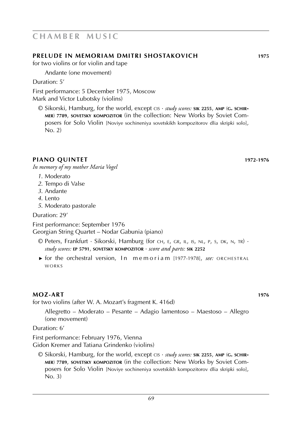### **prelude in memoriam dmitri shostakovich 1975**

for two violins or for violin and tape

Andante (one movement)

Duration: 5'

First performance: 5 December 1975, Moscow Mark and Victor Lubotsky (violins)

© Sikorski, Hamburg, for the world, except cis · *study scores:* **sik 2255**, **amp** (**g. schirmer**) **7789**, **sovetsky kompozitor** (in the collection: New Works by Soviet Composers for Solo Violin [Noviye sochineniya sovetskikh kompozitorov dlia skripki solo], No. 2)

### **piano quintet 1972**-**1976**

*In memory of my mother Maria Vogel*

- *1*. Moderato
- *2*. Tempo di Valse
- *3*. Andante
- *4*. Lento
- *5*. Moderato pastorale

Duration: 29'

First performance: September 1976

Georgian String Quartet – Nodar Gabunia (piano)

- © Peters, Frankfurt · Sikorski, Hamburg (for ch, e, gr, il, is, nl, p, s, dk, n, tr) · *study scores:* **ep 5791**, **sovetsky kompozitor** · *score and parts:* **sik 2252**
- ► for the orchestral version, In memoriam [1977-1978], *see*: ORCHESTRAL w o r k s

#### **moz-art 1976**

for two violins (after W. A. Mozart's fragment K. 416d)

Allegretto – Moderato – Pesante – Adagio lamentoso – Maestoso – Allegro (one movement)

Duration: 6'

First performance: February 1976, Vienna Gidon Kremer and Tatiana Grindenko (violins)

© Sikorski, Hamburg, for the world, except cis · *study scores:* **sik 2255**, **amp** (**g. schirmer**) **7789**, **sovetsky kompozitor** (in the collection: New Works by Soviet Composers for Solo Violin [Noviye sochineniya sovetskikh kompozitorov dlia skripki solo], No. 3)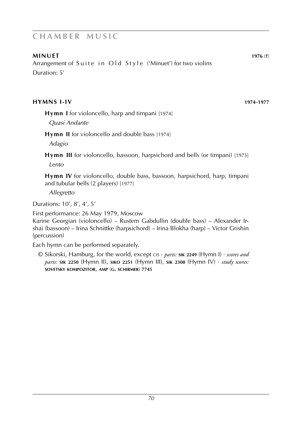### **minuet 1976** (**?**)

Arrangement of Suite in Old Style ('Minuet') for two violins Duration: 5'

#### **hymns I-IV 1974**-**1977**

**Hymn I** for violoncello, harp and timpani [1974]

*Quasi Andante*

**Hymn II** for violoncello and double bass [1974]

*Adagio*

**Hymn III** for violoncello, bassoon, harpsichord and bells (or timpani) [1975] *Lento*

**Hymn IV** for violoncello, double bass, bassoon, harpsichord, harp, timpani and tubular bells (2 players) [1977]

*Allegretto*

Durations: 10', 8', 4', 5'

First performance: 26 May 1979, Moscow

Karine Georgian (violoncello) – Rustem Gabdullin (double bass) – Alexander Irshai (bassoon) – Irina Schnittke (harpsichord) – Irina Blokha (harp) – Victor Grishin (percussion)

Each hymn can be performed separately.

© Sikorski, Hamburg, for the world, except cis · *parts:* **sik 2249** (Hymn I) · *scores and parts:* **sik 2250** (Hymn II), **siko 2251** (Hymn III), **sik 2308** (Hymn IV) · *study scores:* **sovetsky kompozitor**, **amp** (**g. schirmer**) **7745**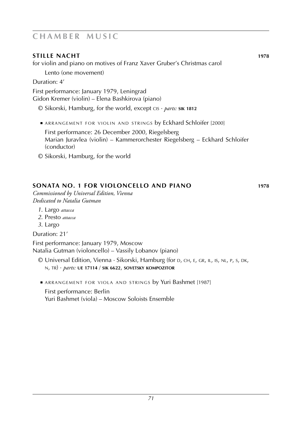# **stille nacht 1978**

for violin and piano on motives of Franz Xaver Gruber's Christmas carol

Lento (one movement)

Duration: 4'

First performance: January 1979, Leningrad Gidon Kremer (violin) – Elena Bashkirova (piano)

© Sikorski, Hamburg, for the world, except cis · *parts:* **sik 1812**

**ARRANGEMENT FOR VIOLIN AND STRINGS by Eckhard Schloifer [2000]** 

 First performance: 26 December 2000, Riegelsberg Marian Juravlea (violin) – Kammerorchester Riegelsberg – Eckhard Schloifer (conductor)

© Sikorski, Hamburg, for the world

# **sonata no. 1 for violoncello and piano 1978**

*Commissioned by Universal Edition, Vienna Dedicated to Natalia Gutman*

- *1*. Largo *attacca*
- *2*. Presto *attacca*
- *3*. Largo

Duration: 21'

First performance: January 1979, Moscow Natalia Gutman (violoncello) – Vassily Lobanov (piano)

- © Universal Edition, Vienna · Sikorski, Hamburg (for d, ch, e, gr, il, is, nl, p, s, dk, n, tr) · *parts:* **ue 17114** / **sik 6622**, **sovetsky kompozitor**
- ARRANGEMENT FOR VIOLA AND STRINGS by Yuri Bashmet [1987] First performance: Berlin Yuri Bashmet (viola) – Moscow Soloists Ensemble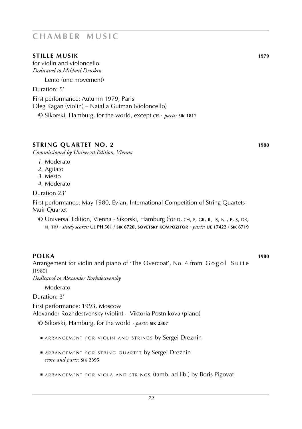### **stille musik 1979**

for violin and violoncello *Dedicated to Mikhail Druskin*

Lento (one movement)

Duration: 5'

First performance: Autumn 1979, Paris Oleg Kagan (violin) – Natalia Gutman (violoncello)

© Sikorski, Hamburg, for the world, except cis · *parts:* **sik 1812**

# **string quartet no. 2 1980**

*Commissioned by Universal Edition, Vienna*

- *1*. Moderato
- *2*. Agitato
- *3*. Mesto
- *4*. Moderato

Duration 23'

First performance: May 1980, Evian, International Competition of String Quartets Muir Quartet

© Universal Edition, Vienna · Sikorski, Hamburg (for d, ch, e, gr, il, is, nl, p, s, dk, n, tr) · *study scores:* **ue PH 501** / **sik 6720**, **sovetsky kompozitor** · *parts:* **ue 17422** / **sik 6719**

**polka 1980** Arrangement for violin and piano of 'The Overcoat', No. 4 from Gogol Suite [1980]

*Dedicated to Alexander Rozhdestvensky*

Moderato

Duration: 3'

First performance: 1993, Moscow Alexander Rozhdestvensky (violin) – Viktoria Postnikova (piano)

© Sikorski, Hamburg, for the world · *parts:* **sik 2307**

- **ARRANGEMENT FOR VIOLIN AND STRINGS by Sergei Dreznin**
- **E ARRANGEMENT FOR STRING QUARTET by Sergei Dreznin** *score and parts:* **sik 2395**
- ARRANGEMENT FOR VIOLA AND STRINGS (tamb. ad lib.) by Boris Pigovat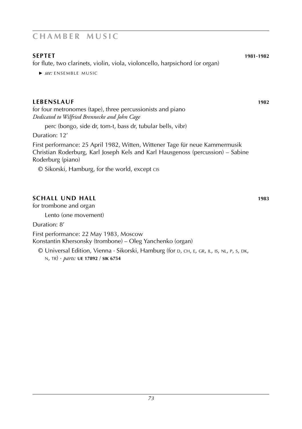### **septet 1981**-**1982**

for flute, two clarinets, violin, viola, violoncello, harpsichord (or organ)

**►** see: ENSEMBLE MUSIC

# **lebenslauf 1982**

for four metronomes (tape), three percussionists and piano *Dedicated to Wilfried Brennecke and John Cage*

perc (bongo, side dr, tom-t, bass dr, tubular bells, vibr)

Duration: 12'

First performance: 25 April 1982, Witten, Wittener Tage für neue Kammermusik Christian Roderburg, Karl Joseph Kels and Karl Hausgenoss (percussion) – Sabine Roderburg (piano)

© Sikorski, Hamburg, for the world, except cis

# **schall und hall 1983**

for trombone and organ

Lento (one movement)

Duration: 8'

First performance: 22 May 1983, Moscow Konstantin Khersonsky (trombone) – Oleg Yanchenko (organ)

 $\odot$  Universal Edition, Vienna · Sikorski, Hamburg (for D, CH, E, GR, IL, IS, NL, P, S, DK, n, tr) · *parts:* **ue 17892** / **sik 6754**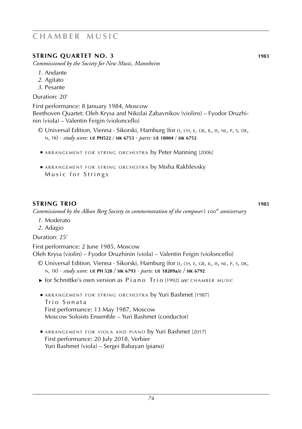# **STRING QUARTET NO. 3 1983**

*Commissioned by the Society for New Music, Mannheim*

- *1*. Andante
- *2*. Agitato
- *3*. Pesante

Duration: 20'

First performance: 8 January 1984, Moscow Beethoven Quartet: Oleh Krysa and Nikolai Zabavnikov (violins) – Fyodor Druzhinin (viola) – Valentin Feigin (violoncello)

- © Universal Edition, Vienna · Sikorski, Hamburg (for d, ch, e, gr, il, is, nl, p, s, dk, n, tr) · *study score:* **ue PH522** / **sik 6753** · *parts:* **ue 18004** / **sik 6752**
- **ARRANGEMENT FOR STRING ORCHESTRA by Peter Manning [2006]**
- **E ARRANGEMENT FOR STRING ORCHESTRA by Misha Rakhlevsky** Music for Strings

# **string trio 1985**

*Commissioned by the Alban Berg Society in commemoration of the composer's* 100*th anniversary*

- *1*. Moderato
- *2*. Adagio

Duration: 25'

First performance: 2 June 1985, Moscow Oleh Krysa (violin) – Fyodor Druzhinin (viola) – Valentin Feigin (violoncello)

- © Universal Edition, Vienna · Sikorski, Hamburg (for d, ch, e, gr, il, is, nl, p, s, dk, n, tr) · *study score:* **ue PH 528** / **sik 6793** · *parts:* **ue 18209a/c** / **sik 6792**
- ► for Schnittke's own version as Piano Trio [1992] *see:* CHAMBER MUSIC
- **B** ARRANGEMENT FOR STRING ORCHESTRA by Yuri Bashmet [1987] Trio Sonata First performance: 13 May 1987, Moscow Moscow Soloists Ensemble – Yuri Bashmet (conductor)
- ARRANGEMENT FOR VIOLA AND PIANO by Yuri Bashmet [2017] First performance: 20 July 2018, Verbier Yuri Bashmet (viola) – Sergei Babayan (piano)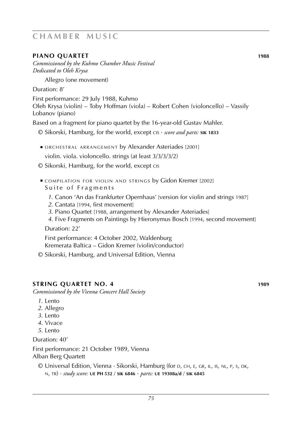### **piano quartet 1988**

*Commissioned by the Kuhmo Chamber Music Festival Dedicated to Oleh Krysa*

Allegro (one movement)

Duration: 8'

First performance: 29 July 1988, Kuhmo Oleh Krysa (violin) – Toby Hoffman (viola) – Robert Cohen (violoncello) – Vassily Lobanov (piano)

Based on a fragment for piano quartet by the 16-year-old Gustav Mahler.

- © Sikorski, Hamburg, for the world, except cis · *score and parts:* **sik 1833**
- **ORCHESTRAL ARRANGEMENT by Alexander Asteriades** [2001] violin. viola. violoncello. strings (at least 3/3/3/3/2)
- © Sikorski, Hamburg, for the world, except cis
- **E COMPILATION FOR VIOLIN AND STRINGS by Gidon Kremer [2002]** Suite of Fragments
	- *1*. Canon 'An das Frankfurter Opernhaus' [version for violin and strings 1987]
	- *2*. Cantata [1994, first movement]
	- *3*. Piano Quartet [1988, arrangement by Alexander Asteriades]
	- *4*. Five Fragments on Paintings by Hieronymus Bosch [1994, second movement] Duration: 22'

 First performance: 4 October 2002, Waldenburg Kremerata Baltica – Gidon Kremer (violin/conductor)

© Sikorski, Hamburg, and Universal Edition, Vienna

### **string quartet NO. 4 1989**

*Commissioned by the Vienna Concert Hall Society*

- *1*. Lento
- *2*. Allegro
- *3*. Lento
- *4*. Vivace
- *5*. Lento

Duration: 40'

First performance: 21 October 1989, Vienna Alban Berg Quartett

© Universal Edition, Vienna · Sikorski, Hamburg (for d, ch, e, gr, il, is, nl, p, s, dk, n, tr) · *study score:* **ue PH 532** / **sik 6846** · *parts:* **ue 19308a/d** / **sik 6845**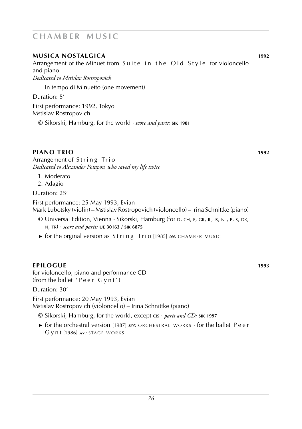### **musica nostalgica 1992**

Arrangement of the Minuet from Suite in the Old Style for violoncello and piano

*Dedicated to Mstislav Rostropovich*

In tempo di Minuetto (one movement)

Duration: 5'

First performance: 1992, Tokyo Mstislav Rostropovich

© Sikorski, Hamburg, for the world · *score and parts:* **sik 1981**

### **piano trio 1992**

Arrangement of String Trio *Dedicated to Alexander Potapov, who saved my life twice*

- 1. Moderato
- 2. Adagio

Duration: 25'

First performance: 25 May 1993, Evian Mark Lubotsky (violin) – Mstislav Rostropovich (violoncello) – Irina Schnittke (piano)

- © Universal Edition, Vienna · Sikorski, Hamburg (for d, ch, e, gr, il, is, nl, p, s, dk, n, tr) · *score and parts:* **ue 30163** / **sik 6875**
- ► for the orginal version as String Trio [1985] *see*: CHAMBER MUSIC

### **epilogue 1993**

for violoncello, piano and performance CD (from the ballet 'Peer Gynt')

Duration: 30'

First performance: 20 May 1993, Evian Mstislav Rostropovich (violoncello) – Irina Schnittke (piano)

- © Sikorski, Hamburg, for the world, except cis · *parts and CD:* **sik 1997**
- ► for the orchestral version [1987] *see:* ORCHESTRAL WORKS · for the ballet Peer G y n t [1986] *see*: STAGE WORKS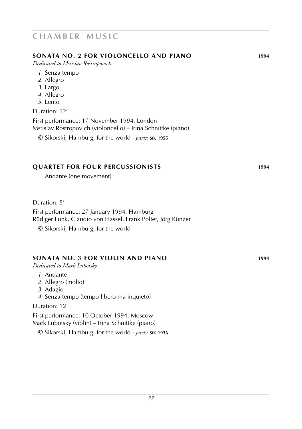### **sonata no. 2 for violoncello and piano 1994**

*Dedicated to Mstislav Rostropovich*

- *1*. Senza tempo
- *2*. Allegro
- *3*. Largo
- *4*. Allegro
- *5*. Lento

#### Duration: 12'

First performance: 17 November 1994, London Mstislav Rostropovich (violoncello) – Irina Schnittke (piano)

© Sikorski, Hamburg, for the world · *parts:* **sik 1955**

### **quartet for four percussionists 1994**

Andante (one movement)

Duration: 5'

First performance: 27 January 1994, Hamburg Rüdiger Funk, Claudio von Hassel, Frank Polter, Jörg Künzer

© Sikorski, Hamburg, for the world

### **sonata no. 3 for violin and piano 1994**

*Dedicated to Mark Lubotsky*

- *1*. Andante
- *2*. Allegro (molto)
- *3*. Adagio
- *4*. Senza tempo (tempo libero ma inquieto)

#### Duration: 12'

First performance: 10 October 1994, Moscow Mark Lubotsky (violin) – Irina Schnittke (piano)

© Sikorski, Hamburg, for the world · *parts:* **sik 1936**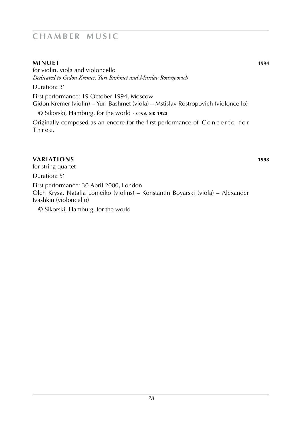### **minuet 1994**

for violin, viola and violoncello *Dedicated to Gidon Kremer, Yuri Bashmet and Mstislav Rostropovich*

Duration: 3'

First performance: 19 October 1994, Moscow Gidon Kremer (violin) – Yuri Bashmet (viola) – Mstislav Rostropovich (violoncello)

© Sikorski, Hamburg, for the world · *score:* **sik 1922**

Originally composed as an encore for the first performance of Concerto for Three.

### **variations 1998**

for string quartet

Duration: 5'

First performance: 30 April 2000, London

Oleh Krysa, Natalia Lomeiko (violins) – Konstantin Boyarski (viola) – Alexander Ivashkin (violoncello)

© Sikorski, Hamburg, for the world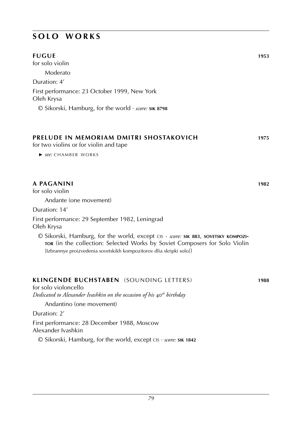### **s o l o w o r k s**

| <b>FUGUE</b>                                                                      | 1953 |
|-----------------------------------------------------------------------------------|------|
| for solo violin                                                                   |      |
| Moderato                                                                          |      |
| Duration: 4'                                                                      |      |
| First performance: 23 October 1999, New York<br>Oleh Krysa                        |      |
| $\odot$ Sikorski, Hamburg, for the world $\cdot$ <i>score</i> : <b>SIK 8798</b>   |      |
| PRELUDE IN MEMORIAM DMITRI SHOSTAKOVICH<br>for two violins or for violin and tape | 1975 |
| ► see: CHAMBER WORKS                                                              |      |

### **A paganini 1982**

for solo violin

Andante (one movement)

Duration: 14'

First performance: 29 September 1982, Leningrad Oleh Krysa

© Sikorski, Hamburg, for the world, except cis · *score:* **sik 883**, **sovetsky kompozitor** (in the collection: Selected Works by Soviet Composers for Solo Violin [Izbrannye proizvedenia sovetskikh kompozitorov dlia skripki solo])

### **klingende buchstaben** (sounding letters) **1988**

for solo violoncello *Dedicated to Alexander Ivashkin on the occasion of his* 40*th birthday*

Andantino (one movement)

Duration: 2'

First performance: 28 December 1988, Moscow Alexander Ivashkin

© Sikorski, Hamburg, for the world, except cis · *score:* **sik 1842**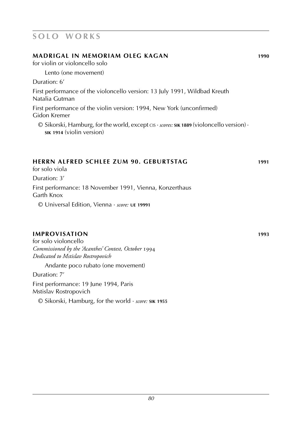### **s o l o w o r k s**

| MADRIGAL IN MEMORIAM OLEG KAGAN                                                                                                          | 1990 |
|------------------------------------------------------------------------------------------------------------------------------------------|------|
| for violin or violoncello solo                                                                                                           |      |
| Lento (one movement)                                                                                                                     |      |
| Duration: 6'                                                                                                                             |      |
| First performance of the violoncello version: 13 July 1991, Wildbad Kreuth<br>Natalia Gutman                                             |      |
| First performance of the violin version: 1994, New York (unconfirmed)<br>Gidon Kremer                                                    |      |
| $\odot$ Sikorski, Hamburg, for the world, except CIS $\cdot$ scores: SIK 1889 (violoncello version) $\cdot$<br>SIK 1914 (violin version) |      |
|                                                                                                                                          |      |

### **herrn alfred schlee zum 90. geburtstag 1991**

for solo viola

Duration: 3'

First performance: 18 November 1991, Vienna, Konzerthaus Garth Knox

© Universal Edition, Vienna · *score:* **ue 19991**

### **improvisation 1993**

for solo violoncello *Commissioned by the 'Acanthes' Contest, October* 1994 *Dedicated to Mstislav Rostropovich*

Andante poco rubato (one movement)

Duration: 7'

First performance: 19 June 1994, Paris Mstislav Rostropovich

© Sikorski, Hamburg, for the world · *score:* **sik 1955**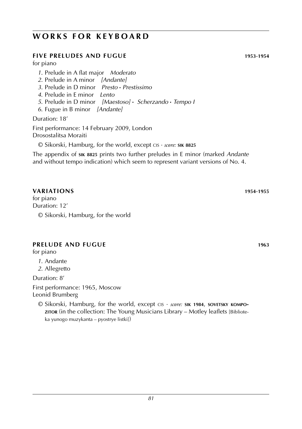### **WORKS FOR KEYBOARD**

### **five preludes and fugue 1953**-**1954**

for piano

- *1*. Prelude in A flat major *Moderato*
- *2*. Prelude in A minor *[Andante]*
- *3*. Prelude in D minor *Presto* **·** *Prestissimo*
- *4*. Prelude in E minor *Lento*
- *5*. Prelude in D minor *[Maestoso]* **·** *Scherzando* **·** *Tempo I*
- *6*. Fugue in B minor *[Andante]*

Duration: 18'

First performance: 14 February 2009, London Drosostalitsa Moraiti

© Sikorski, Hamburg, for the world, except cis · *score:* **sik 8825**

The appendix of **sik 8825** prints two further preludes in E minor (marked *Andante* and without tempo indication) which seem to represent variant versions of No. 4.

### **variations 1954**-**1955**

for piano Duration: 12' © Sikorski, Hamburg, for the world

### **prelude and fugue 1963 1963**

for piano

- *1*. Andante
- *2*. Allegretto

Duration: 8'

First performance: 1965, Moscow Leonid Brumberg

© Sikorski, Hamburg, for the world, except cis · *score:* **sik 1984**, **sovetsky kompozitor** (in the collection: The Young Musicians Library – Motley leaflets [Biblioteka yunogo muzykanta – pyostrye listki])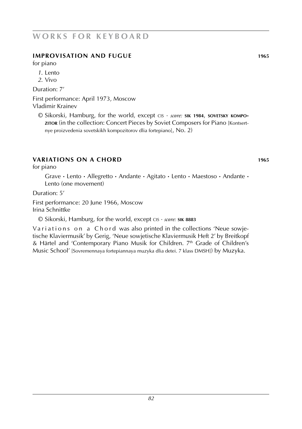### **w o r k s f o r k e y b o a r d**

### **improvisation and fugue 1965**

for piano

- *1*. Lento
- *2*. Vivo

Duration: 7'

First performance: April 1973, Moscow Vladimir Krainev

© Sikorski, Hamburg, for the world, except cis · *score:* **sik 1984**, **sovetsky kompozitor** (in the collection: Concert Pieces by Soviet Composers for Piano [Kontsertnye proizvedenia sovetskikh kompozitorov dlia fortepiano], No. 2)

### **variations on a chord 1965**

for piano

Grave **·** Lento **·** Allegretto **·** Andante **·** Agitato **·** Lento **·** Maestoso **·** Andante **·** Lento (one movement)

Duration: 5'

First performance: 20 June 1966, Moscow Irina Schnittke

© Sikorski, Hamburg, for the world, except cis · *score:* **sik 8883**

Variations on a Chord was also printed in the collections 'Neue sowjetische Klaviermusik' by Gerig, 'Neue sowjetische Klaviermusik Heft 2' by Breitkopf & Härtel and 'Contemporary Piano Musik for Children. 7<sup>th</sup> Grade of Children's Music School' [Sovremennaya fortepiannaya muzyka dlia detei. 7 klass DMSh]) by Muzyka.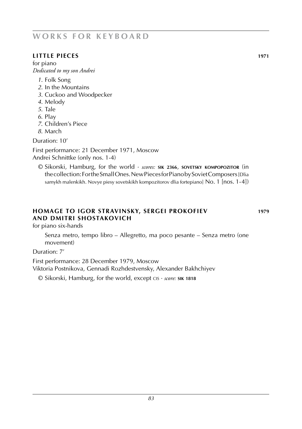### **w o r k s f o r k e y b o a r d**

### **little pieces 1971**

for piano *Dedicated to my son Andrei*

- *1*. Folk Song
- *2*. In the Mountains
- *3*. Cuckoo and Woodpecker
- *4*. Melody
- *5*. Tale
- *6*. Play
- *7*. Children's Piece
- *8*. March

Duration: 10'

First performance: 21 December 1971, Moscow Andrei Schnittke (only nos. 1-4)

© Sikorski, Hamburg, for the world · *scores:* **sik 2366**, **sovetsky kompopozitor** (in the collection: For the Small Ones. New Pieces for Piano by Soviet Composers [Dlia samykh malenkikh. Novye piesy sovetskikh kompozitorov dlia fortepiano] No. 1 [nos. 1-4])

### **homage to igor stravinsky, sergei prokofiev 1979 and dmitri shostakovich**

for piano six-hands

Senza metro, tempo libro – Allegretto, ma poco pesante – Senza metro (one movement)

Duration: 7'

First performance: 28 December 1979, Moscow

Viktoria Postnikova, Gennadi Rozhdestvensky, Alexander Bakhchiyev

© Sikorski, Hamburg, for the world, except cis · *score:* **sik 1818**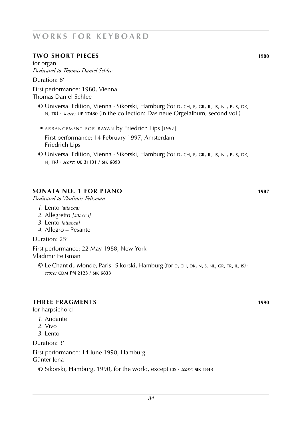### **w o r k s f o r k e y b o a r d**

#### **two short pieces 1980**

for organ *Dedicated to Thomas Daniel Schlee*

Duration: 8'

First performance: 1980, Vienna Thomas Daniel Schlee

- © Universal Edition, Vienna · Sikorski, Hamburg (for d, ch, e, gr, il, is, nl, p, s, dk, n, tr) · *score:* **ue 17480** (in the collection: Das neue Orgelalbum, second vol.)
- **E ARRANGEMENT FOR BAYAN by Friedrich Lips [1997]**  First performance: 14 February 1997, Amsterdam Friedrich Lips
- © Universal Edition, Vienna · Sikorski, Hamburg (for d, ch, e, gr, il, is, nl, p, s, dk, n, tr) · *score:* **ue 31131** / **sik 6893**

### **sonata No. 1 for piano 1987**

*Dedicated to Vladimir Feltsman*

- *1*. Lento *(attacca)*
- *2*. Allegretto *[attacca]*
- *3*. Lento *[attacca]*
- *4*. Allegro Pesante

Duration: 25'

First performance: 22 May 1988, New York Vladimir Feltsman

© Le Chant du Monde, Paris · Sikorski, Hamburg (for d, ch, dk, n, s. nl, gr, tr, il, is) · *score:* **cdm PN 2123** / **sik 6833**

#### **THree fragments 1990**

for harpsichord

- *1*. Andante
- *2*. Vivo
- *3*. Lento

Duration: 3'

First performance: 14 June 1990, Hamburg

Günter lena

© Sikorski, Hamburg, 1990, for the world, except cis · *score:* **sik 1843**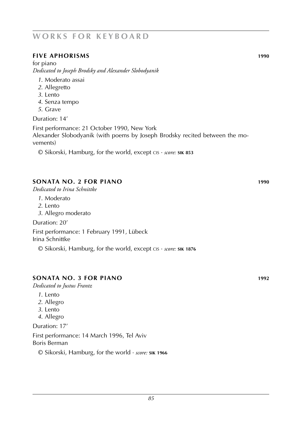### **WORKS FOR KEYBOARD**

### **five aphorisms 1990**

for piano *Dedicated to Joseph Brodsky and Alexander Slobodyanik*

- *1*. Moderato assai
- *2*. Allegretto
- *3*. Lento
- *4*. Senza tempo
- *5*. Grave

Duration: 14'

First performance: 21 October 1990, New York Alexander Slobodyanik (with poems by Joseph Brodsky recited between the movements)

© Sikorski, Hamburg, for the world, except cis · *score:* **sik 853**

### **sonata no. 2 for piano 1990**

*Dedicated to Irina Schnittke*

- *1*. Moderato
- *2*. Lento
- *3*. Allegro moderato

Duration: 20'

First performance: 1 February 1991, Lübeck Irina Schnittke

© Sikorski, Hamburg, for the world, except cis · *score:* **sik 1876**

#### **sonata No. 3 for piano 1992**

*Dedicated to Justus Frantz*

- *1*. Lento
- *2*. Allegro
- *3*. Lento
- *4*. Allegro

Duration: 17'

First performance: 14 March 1996, Tel Aviv Boris Berman

© Sikorski, Hamburg, for the world · *score:* **sik 1966**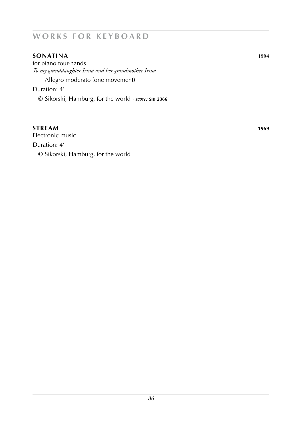### **WORKS FOR KEYBOARD**

### **sonatina 1994**

for piano four-hands *To my granddaughter Irina and her grandmother Irina* Allegro moderato (one movement) Duration: 4'

© Sikorski, Hamburg, for the world · *score:* **sik 2366**

#### **STREAM** 1969

Electronic music Duration: 4' © Sikorski, Hamburg, for the world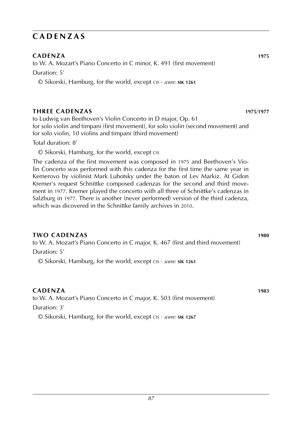### **c a d e n z a s**

### **cadenza 1975**

to W. A. Mozart's Piano Concerto in C minor, K. 491 (first movement) Duration: 5'

© Sikorski, Hamburg, for the world, except cis · *score:* **sik 1261**

### **three cadenzas 1975**/**1977**

to Ludwig van Beethoven's Violin Concerto in D major, Op. 61 for solo violin and timpani (first movement), for solo violin (second movement) and for solo violin, 10 violins and timpani (third movement)

Total duration: 8'

© Sikorski, Hamburg, for the world, except cis

The cadenza of the first movement was composed in 1975 and Beethoven's Violin Concerto was performed with this cadenza for the first time the same year in Kemerovo by violinist Mark Lubotsky under the baton of Lev Markiz. At Gidon Kremer's request Schnittke composed cadenzas for the second and third movement in 1977. Kremer played the concerto with all three of Schnittke's cadenzas in Salzburg in 1977. There is another (never performed) version of the third cadenza, which was dicovered in the Schnittke family archives in 2010.

### **two cadenzas 1980**

to W. A. Mozart's Piano Concerto in C major, K. 467 (first and third movement) Duration: 5'

© Sikorski, Hamburg, for the world, except cis · *score:* **sik 1261**

### **cadenza 1983**

to W. A. Mozart's Piano Concerto in C major, K. 503 (first movement)

Duration: 3'

© Sikorski, Hamburg, for the world, except cis · *score:* **sik 1267**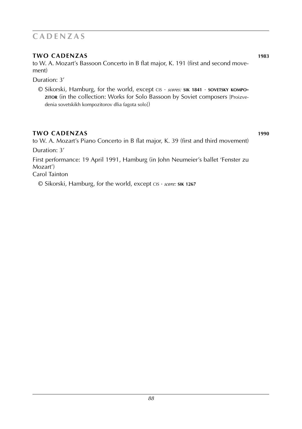### **c a d e n z a s**

### **Two cadenzas 1983**

to W. A. Mozart's Bassoon Concerto in B flat major, K. 191 (first and second movement)

Duration: 3'

© Sikorski, Hamburg, for the world, except cis · *scores:* **sik 1841** · **sovetsky kompozitor** (in the collection: Works for Solo Bassoon by Soviet composers [Proizvedenia sovetskikh kompozitorov dlia fagota solo])

### **TWO cadenzas 1990**

to W. A. Mozart's Piano Concerto in B flat major, K. 39 (first and third movement) Duration: 3' First performance: 19 April 1991, Hamburg (in John Neumeier's ballet 'Fenster zu

Mozart') Carol Tainton

© Sikorski, Hamburg, for the world, except cis · *score:* **sik 1267**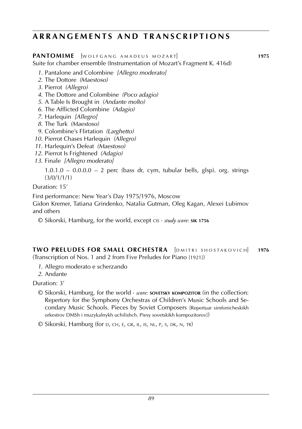### **a r r a n g e m e n t s a n d t r a n s c r i p t i o n s**

#### **PANTOMIME** [WOLFGANG AMADEUS MOZART] 1975

Suite for chamber ensemble (Instrumentation of Mozart's Fragment K. 416d)

- *1*. Pantalone and Colombine *[Allegro moderato]*
- *2*. The Dottore *(Maestoso)*
- *3*. Pierrot *(Allegro)*
- *4*. The Dottore and Colombine *(Poco adagio)*
- *5*. A Table Is Brought in *(Andante molto)*
- *6*. The Afflicted Colombine *(Adagio)*
- *7*. Harlequin *[Allegro]*
- *8*. The Turk *(Maestoso)*
- *9*. Colombine's Flirtation *(Larghetto)*
- *10*. Pierrot Chases Harlequin *(Allegro)*
- *11*. Harlequin's Defeat *(Maestoso)*
- *12*. Pierrot Is Frightened *(Adagio)*
- *13*. Finale *[Allegro moderato]*

 $1.0.1.0 - 0.0.0.0 - 2$  perc (bass dr, cym, tubular bells, glsp). org. strings (3/0/1/1/1)

Duration: 15'

First performance: New Year's Day 1975/1976, Moscow

Gidon Kremer, Tatiana Grindenko, Natalia Gutman, Oleg Kagan, Alexei Lubimov and others

© Sikorski, Hamburg, for the world, except cis · *study score:* **sik 1756**

**TWO PRELUDES FOR SMALL ORCHESTRA** [DMITRI SHOSTAKOVICH] 1976 (Transcription of Nos. 1 and 2 from Five Preludes for Piano [1921])

- *1*. Allegro moderato e scherzando
- *2*. Andante

Duration: 3'

© Sikorski, Hamburg, for the world · *score:* **sovetsky kompozitor** (in the collection: Repertory for the Symphony Orchestras of Children's Music Schools and Secondary Music Schools. Pieces by Soviet Composers [Repertuar simfonicheskikh orkestrov DMSh i muzykalnykh uchilishch. Piesy sovetskikh kompozitorov])

© Sikorski, Hamburg (for d, ch, e, gr, il, is, nl, p, s, dk, n, tr)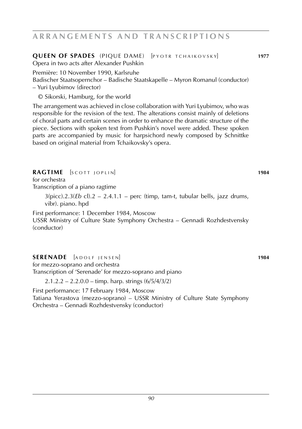### **ARRANGEMENTS AND TRANSCRIPTIONS**

### **QUEEN OF SPADES** (PIQUE DAME) [PYOTR TCHAIKOVSKY] 1977

Opera in two acts after Alexander Pushkin

Première: 10 November 1990, Karlsruhe

Badischer Staatsopernchor – Badische Staatskapelle – Myron Romanul (conductor) – Yuri Lyubimov (director)

© Sikorski, Hamburg, for the world

The arrangement was achieved in close collaboration with Yuri Lyubimov, who was responsible for the revision of the text. The alterations consist mainly of deletions of choral parts and certain scenes in order to enhance the dramatic structure of the piece. Sections with spoken text from Pushkin's novel were added. These spoken parts are accompanied by music for harpsichord newly composed by Schnittke based on original material from Tchaikovsky's opera.

### **RAGTIME**  $\begin{bmatrix} \text{SCOTI} & \text{OPTI} \end{bmatrix}$

for orchestra Transcription of a piano ragtime

> $3(pice).2.3(Eb)$  cl $).2 - 2.4.1.1 -$  perc (timp, tam-t, tubular bells, jazz drums, vibr). piano. hpd

First performance: 1 December 1984, Moscow

USSR Ministry of Culture State Symphony Orchestra – Gennadi Rozhdestvensky (conductor)

### **SERENADE** [ADOLF JENSEN] **1984**

for mezzo-soprano and orchestra

Transcription of 'Serenade' for mezzo-soprano and piano

 $2.1.2.2 - 2.2.0.0 -$  timp. harp. strings  $(6/5/4/3/2)$ 

First performance: 17 February 1984, Moscow Tatiana Yerastova (mezzo-soprano) – USSR Ministry of Culture State Symphony Orchestra – Gennadi Rozhdestvensky (conductor)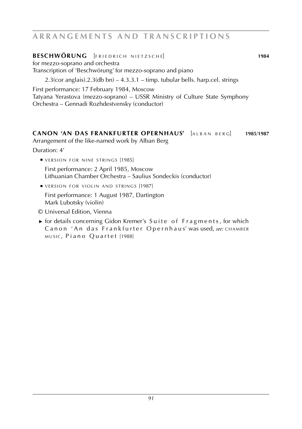### ARRANGEMENTS AND TRANSCRIPTIONS

### **BESCHWÖRUNG** [FRIEDRICH NIETZSCHE] **1984**

for mezzo-soprano and orchestra Transcription of 'Beschwörung' for mezzo-soprano and piano

 $2.3$ (cor anglais). $2.3$ (db bn) –  $4.3.3.1$  – timp. tubular bells. harp.cel. strings

First performance: 17 February 1984, Moscow

Tatyana Yerastova (mezzo-soprano) – USSR Ministry of Culture State Symphony Orchestra – Gennadi Rozhdestvensky (conductor)

#### **Canon 'An das Frankfurter Opernhaus'** [a l b a n b e r g] **1985**/**1987** Arrangement of the like-named work by Alban Berg

Duration: 4'

■ VERSION FOR NINE STRINGS [1985]

 First performance: 2 April 1985, Moscow Lithuanian Chamber Orchestra – Saulius Sondeckis (conductor)

**UVERSION FOR VIOLIN AND STRINGS [1987]** 

 First performance: 1 August 1987, Dartington Mark Lubotsky (violin)

- © Universal Edition, Vienna
- ► for details concerning Gidon Kremer's Suite of Fragments, for which Canon 'An das Frankfurter Opernhaus' was used, see: CHAMBER music, Piano Quartet [1988]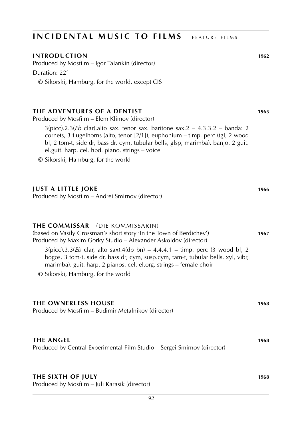### **INTRODUCTIOn 1962**

Produced by Mosfilm – Igor Talankin (director) Duration: 22' © Sikorski, Hamburg, for the world, except CIS

#### **the adventures of a dentist 1965**

Produced by Mosfilm – Elem Klimov (director)

3(picc).2.3(*Eb* clar).alto sax. tenor sax. baritone sax.2 – 4.3.3.2 – banda: 2 cornets, 3 flugelhorns (alto, tenor [2/1]), euphonium – timp. perc (tgl, 2 wood bl, 2 tom-t, side dr, bass dr, cym, tubular bells, glsp, marimba). banjo. 2 guit. el.guit. harp. cel. hpd. piano. strings – voice

© Sikorski, Hamburg, for the world

#### **just a little joke 1966**

Produced by Mosfilm – Andrei Smirnov (director)

#### **the commissar** (die kommissarin)

(based on Vasily Grossman's short story 'In the Town of Berdichev') **1967** Produced by Maxim Gorky Studio – Alexander Askoldov (director)  $3(pice).3.3(Eb \text{ clar, alto sax}).4(db \text{bn}) - 4.4.4.1 - timp. perc (3 wood bl, 2)$ bogos, 3 tom-t, side dr, bass dr, cym, susp.cym, tam-t, tubular bells, xyl, vibr, marimba). guit. harp. 2 pianos. cel. el.org. strings – female choir

© Sikorski, Hamburg, for the world

| THE OWNERLESS HOUSE<br>Produced by Mosfilm – Budimir Metalnikov (director)                   |      |
|----------------------------------------------------------------------------------------------|------|
| <b>THE ANGEL</b><br>Produced by Central Experimental Film Studio – Sergei Smirnov (director) | 1968 |

#### **the sixth of july 1968**

Produced by Mosfilm – Juli Karasik (director)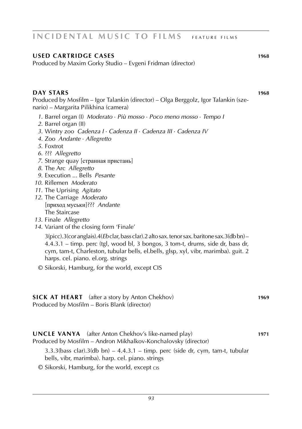### **used cartridge cases 1968**

Produced by Maxim Gorky Studio – Evgeni Fridman (director)

#### **day stars 1968**

Produced by Mosfilm – Igor Talankin (director) – Olga Berggolz, Igor Talankin (szenario) – Margarita Pilikhina (camera)

- *1*. Barrel organ (I) *Moderato* · *Più mosso* · *Poco meno mosso* · *Tempo I*
- *2*. Barrel organ (II)
- *3*. Wintry zoo *Cadenza I* · *Cadenza II* · *Cadenza III* · *Cadenza IV*
- *4*. Zoo *Andante* · *Allegretto*
- *5*. Foxtrot
- *6*. ??? *Allegretto*
- *7*. Strange quay [странная пристань]
- *8*. The Arc *Allegretto*
- *9*. Execution ... Bells *Pesante*
- *10*. Riflemen *Moderato*
- *11*. The Uprising *Agitato*
- *12*. The Carriage *Moderato* [приход муськи]??? *Andante* The Staircase
- *13*. Finale *Allegretto*
- *14*. Variant of the closing form 'Finale'

3(picc).3(cor anglais).4(*Eb* clar, bass clar).2 alto sax. tenor sax. baritone sax.3(db bn) – 4.4.3.1 – timp. perc (tgl, wood bl, 3 bongos, 3 tom-t, drums, side dr, bass dr, cym, tam-t, Charleston, tubular bells, el.bells, glsp, xyl, vibr, marimba). guit. 2 harps. cel. piano. el.org. strings

© Sikorski, Hamburg, for the world, except CIS

#### **SICK AT HEART** (after a story by Anton Chekhov) **1969** Produced by Mosfilm – Boris Blank (director)

**uncle vanya** (after Anton Chekhov's like-named play) **1971** Produced by Mosfilm – Andron Mikhalkov-Konchalovsky (director)

 $3.3.3$ (bass clar). $3$ (db bn) –  $4.4.3.1$  – timp. perc (side dr, cym, tam-t, tubular bells, vibr, marimba). harp. cel. piano. strings

© Sikorski, Hamburg, for the world, except cis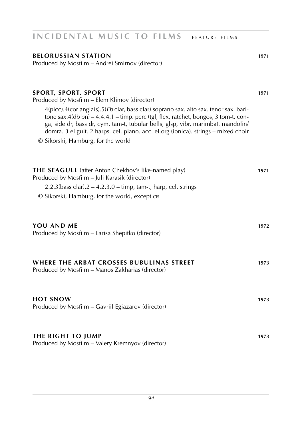#### **belorussian station 1971**

Produced by Mosfilm – Andrei Smirnov (director)

#### **SPORT, SPORT, SPORT**

Produced by Mosfilm – Elem Klimov (director)

4(picc).4(cor anglais).5(*Eb* clar, bass clar).soprano sax. alto sax. tenor sax. baritone sax.4(db bn) – 4.4.4.1 – timp. perc (tgl, flex, ratchet, bongos, 3 tom-t, conga, side dr, bass dr, cym, tam-t, tubular bells, glsp, vibr, marimba). mandolin/ domra. 3 el.guit. 2 harps. cel. piano. acc. el.org (ionica). strings – mixed choir © Sikorski, Hamburg, for the world

| <b>THE SEAGULL</b> (after Anton Chekhov's like-named play)<br>Produced by Mosfilm – Juli Karasik (director) | 1971 |
|-------------------------------------------------------------------------------------------------------------|------|
| $2.2.3$ (bass clar). $2 - 4.2.3.0 -$ timp, tam-t, harp, cel, strings                                        |      |
| © Sikorski, Hamburg, for the world, except cis                                                              |      |
|                                                                                                             |      |
| YOU AND ME                                                                                                  | 1972 |
| Produced by Mosfilm – Larisa Shepitko (director)                                                            |      |
|                                                                                                             |      |
| WHERE THE ARBAT CROSSES BUBULINAS STREET                                                                    | 1973 |
| Produced by Mosfilm – Manos Zakharias (director)                                                            |      |
|                                                                                                             |      |
| <b>HOT SNOW</b>                                                                                             | 1973 |
| Produced by Mosfilm – Gavriil Egiazarov (director)                                                          |      |
|                                                                                                             |      |
|                                                                                                             |      |

#### **THE RIGHT TO JUMP** 1973 Produced by Mosfilm – Valery Kremnyov (director)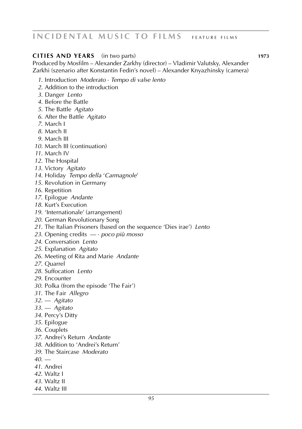#### **cities and years** (in two parts) **1973**

Produced by Mosfilm – Alexander Zarkhy (director) – Vladimir Valutsky, Alexander Zarkhi (szenario after Konstantin Fedin's novel) – Alexander Knyazhinsky (camera)

- . Introduction *Moderato* · *Tempo di valse lento*
- . Addition to the introduction
- . Danger *Lento*
- . Before the Battle
- . The Battle *Agitato*
- . After the Battle *Agitato*
- . March I
- . March II
- . March III
- . March III (continuation)
- . March IV
- . The Hospital
- . Victory *Agitato*
- . Holiday *Tempo della* '*Carmagnole*'
- . Revolution in Germany
- . Repetition
- . Epilogue *Andante*
- . Kurt's Execution
- . 'Internationale' (arrangement)
- . German Revolutionary Song
- . The Italian Prisoners (based on the sequence 'Dies irae') *Lento*
- . Opening credits *––* · *poco più mosso*
- . Conversation *Lento*
- . Explanation *Agitato*
- . Meeting of Rita and Marie *Andante*
- . Quarrel
- . Suffocation *Lento*
- . Encounter
- . Polka (from the episode 'The Fair')
- . The Fair *Allegro*
- . –– *Agitato*
- . –– *Agitato*
- . Percy's Ditty
- . Epilogue
- . Couplets
- . Andrei's Return *Andante*
- . Addition to 'Andrei's Return'
- . The Staircase *Moderato*
- $40 -$
- . Andrei
- . Waltz I
- . Waltz II
- . Waltz III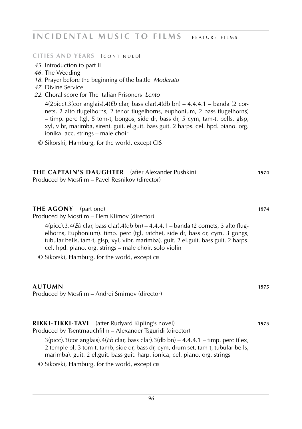**CITIES AND YEARS [ CONTINUED]** 

- *45.* Introduction to part II
- *46.* The Wedding
- *18*. Prayer before the beginning of the battle *Moderato*
- *47*. Divine Service
- *22*. Choral score for The Italian Prisoners *Lento*

4(2picc).3(cor anglais).4(*Eb* clar, bass clar).4(db bn) – 4.4.4.1 – banda (2 cornets, 2 alto flugelhorns, 2 tenor flugelhorns, euphonium, 2 bass flugelhorns) – timp. perc (tgl, 5 tom-t, bongos, side dr, bass dr, 5 cym, tam-t, bells, glsp, xyl, vibr, marimba, siren). guit. el.guit. bass guit. 2 harps. cel. hpd. piano. org. ionika. acc. strings – male choir

© Sikorski, Hamburg, for the world, except CIS

| <b>THE CAPTAIN'S DAUGHTER</b> (after Alexander Pushkin) | 1974 |
|---------------------------------------------------------|------|
| Produced by Mosfilm – Pavel Resnikov (director)         |      |

#### **the agony** (part one) **1974**

Produced by Mosfilm – Elem Klimov (director)

4(picc).3.4(*Eb* clar, bass clar).4(db bn) – 4.4.4.1 – banda (2 cornets, 3 alto flugelhorns, Euphonium). timp. perc (tgl, ratchet, side dr, bass dr, cym, 3 gongs, tubular bells, tam-t, glsp, xyl, vibr, marimba). guit. 2 el.guit. bass guit. 2 harps. cel. hpd. piano. org. strings – male choir. solo violin

© Sikorski, Hamburg, for the world, except cis

#### **autumn 1975**

Produced by Mosfilm – Andrei Smirnov (director)

#### **rikki-tikki-tavi** (after Rudyard Kipling's novel) **1975** Produced by Tsentrnauchfilm – Alexander Tsguridi (director)

 $3(picc).3(cor anglais).4(Eb clar, bass clar).3(db bn) - 4.4.4.1 - timp. perc (flex.)$ 2 temple bl, 3 tom-t, tamb, side dr, bass dr, cym, drum set, tam-t, tubular bells, marimba). guit. 2 el.guit. bass guit. harp. ionica, cel. piano. org. strings

© Sikorski, Hamburg, for the world, except cis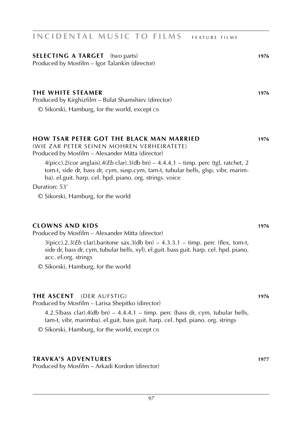### **SELECTING A TARGET** (two parts) **1976**

### Produced by Mosfilm – Igor Talankin (director)

### **the white steamer 1976**

Produced by Kirghizfilm – Bulat Shamshiev (director) © Sikorski, Hamburg, for the world, except cis

### **how tsar peter got the black man married 1976**

(wie zar peter seinen mohren verheiratete) Produced by Mosfilm – Alexander Mitta (director)

4(picc).2(cor anglais).4(*Eb* clar).3(db bn) – 4.4.4.1 – timp. perc (tgl, ratchet, 2 tom-t, side dr, bass dr, cym, susp.cym, tam-t, tubular bells, glsp, vibr, marimba). el.guit. harp. cel. hpd. piano. org. strings. voice

Duration: 53'

© Sikorski, Hamburg, for the world

### **clowns and kids 1976**

Produced by Mosfilm – Alexander Mitta (director)

 $3(pice).2.3(Eb$  clar).baritone sax.3(db bn)  $-4.3.3.1 -$  timp. perc (flex, tom-t, side dr, bass dr, cym, tubular bells, xyl). el.guit. bass guit. harp. cel. hpd. piano. acc. el.org. strings

© Sikorski, Hamburg, for the world

### **the ascent** (der aufstig) **1976**

Produced by Mosfilm – Larisa Shepitko (director)

4.2.5(bass clar).4(db bn) – 4.4.4.1 – timp. perc (bass dr, cym, tubular bells, tam-t, vibr, marimba). el.guit. bass guit. harp. cel. hpd. piano. org. strings

© Sikorski, Hamburg, for the world, except cis

### **travka's adventures 1977**

Produced by Mosfilm – Arkadi Kordon (director)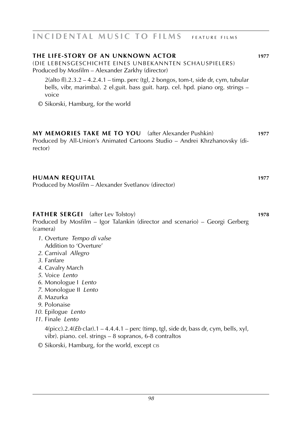| THE LIFE-STORY OF AN UNKNOWN ACTOR<br>(DIE LEBENSGESCHICHTE EINES UNBEKANNTEN SCHAUSPIELERS)<br>Produced by Mosfilm - Alexander Zarkhy (director)<br>$2$ (alto fl).2.3.2 – 4.2.4.1 – timp. perc (tgl, 2 bongos, tom-t, side dr, cym, tubular<br>bells, vibr, marimba). 2 el.guit. bass guit. harp. cel. hpd. piano org. strings -<br>voice<br>© Sikorski, Hamburg, for the world                                                                                                                                                                                                                             | 1977 |
|--------------------------------------------------------------------------------------------------------------------------------------------------------------------------------------------------------------------------------------------------------------------------------------------------------------------------------------------------------------------------------------------------------------------------------------------------------------------------------------------------------------------------------------------------------------------------------------------------------------|------|
| MY MEMORIES TAKE ME TO YOU (after Alexander Pushkin)<br>Produced by All-Union's Animated Cartoons Studio - Andrei Khrzhanovsky (di-<br>rector)                                                                                                                                                                                                                                                                                                                                                                                                                                                               | 1977 |
| <b>HUMAN REQUITAL</b><br>Produced by Mosfilm - Alexander Svetlanov (director)                                                                                                                                                                                                                                                                                                                                                                                                                                                                                                                                | 1977 |
| <b>FATHER SERGEI</b><br>(after Lev Tolstoy)<br>Produced by Mosfilm - Igor Talankin (director and scenario) - Georgi Gerberg<br>(camera)<br>1. Overture Tempo di valse<br>Addition to 'Overture'<br>2. Carnival Allegro<br>3. Fanfare<br>4. Cavalry March<br>5. Voice Lento<br>6. Monologue   Lento<br>7. Monologue II Lento<br>8. Mazurka<br>9. Polonaise<br>10. Epilogue Lento<br>11. Finale Lento<br>$4(picc).2.4(Eb clar).1 - 4.4.4.1 - perc (time, tgl, side dr, bass dr, cym, bells, xyl,$<br>vibr). piano. cel. strings – 8 sopranos, 6-8 contraltos<br>© Sikorski, Hamburg, for the world, except cis | 1978 |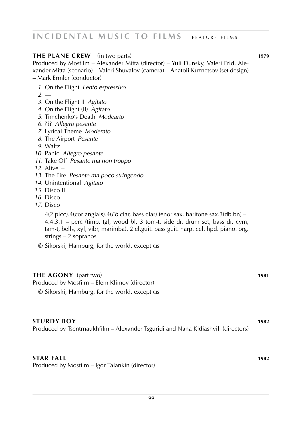### **THE PLANE CREW** (in two parts) **1979**

Produced by Mosfilm – Alexander Mitta (director) – Yuli Dunsky, Valeri Frid, Alexander Mitta (scenario) – Valeri Shuvalov (camera) – Anatoli Kuznetsov (set design) – Mark Ermler (conductor)

*1*. On the Flight *Lento espressivo*

*2*. ––

- *3*. On the Flight II *Agitato*
- *4*. On the Flight (II) *Agitato*
- *5*. Timchenko's Death *Modearto*
- *6*. ??? *Allegro pesante*
- *7*. Lyrical Theme *Moderato*
- *8*. The Airport *Pesante*
- *9*. Waltz
- *10*. Panic *Allegro pesante*
- *11*. Take Off *Pesante ma non troppo*

*12*. Alive –

- *13*. The Fire *Pesante ma poco stringendo*
- *14*. Unintentional *Agitato*
- *15*. Disco II
- *16*. Disco
- *17*. Disco

4(2 picc).4(cor anglais).4(*Eb* clar, bass clar).tenor sax. baritone sax.3(db bn) – 4.4.3.1 – perc (timp, tgl, wood bl, 3 tom-t, side dr, drum set, bass dr, cym, tam-t, bells, xyl, vibr, marimba). 2 el.guit. bass guit. harp. cel. hpd. piano. org. strings – 2 sopranos

© Sikorski, Hamburg, for the world, except cis

#### **THE AGONY** (part two) **1981**

Produced by Mosfilm – Elem Klimov (director)

© Sikorski, Hamburg, for the world, except cis

#### **sturdy boy 1982**

Produced by Tsentrnaukhfilm – Alexander Tsguridi and Nana Kldiashvili (directors)

#### **star fall 1982**

Produced by Mosfilm – Igor Talankin (director)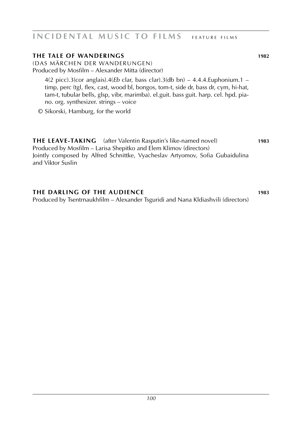### **the tale of wanderings 1982**

(das märchen der wanderungen) Produced by Mosfilm – Alexander Mitta (director)

4(2 picc).3(cor anglais).4(*Eb* clar, bass clar).3(db bn) – 4.4.4.Euphonium.1 – timp, perc (tgl, flex, cast, wood bl, bongos, tom-t, side dr, bass dr, cym, hi-hat, tam-t, tubular bells, glsp, vibr, marimba). el.guit. bass guit. harp. cel. hpd. piano. org. synthesizer. strings – voice

© Sikorski, Hamburg, for the world

**the leave-taking** (after Valentin Rasputin's like-named novel) **1983** Produced by Mosfilm – Larisa Shepitko and Elem Klimov (directors) Jointly composed by Alfred Schnittke, Vyacheslav Artyomov, Sofia Gubaidulina and Viktor Suslin

**the darling of the audience 1983** Produced by Tsentrnaukhfilm – Alexander Tsguridi and Nana Kldiashvili (directors)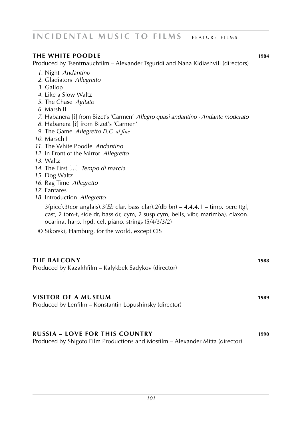### **the white poodle 1984**

Produced by Tsentrnauchfilm – Alexander Tsguridi and Nana Kldiashvili (directors)

- *1*. Night *Andantino*
- *2*. Gladiators *Allegretto*
- *3*. Gallop
- *4*. Like a Slow Waltz
- *5*. The Chase *Agitato*
- *6*. Marsh II
- *7*. Habanera [?] from Bizet's 'Carmen' *Allegro quasi andantino · Andante moderato*
- *8*. Habanera [?] from Bizet's 'Carmen'
- *9*. The Game *Allegretto D.C. al fine*
- *10*. Marsch I
- *11*. The White Poodle *Andantino*
- *12*. In Front of the Mirror *Allegretto*
- *13*. Waltz
- *14*. The First [...] *Tempo di marcia*
- *15*. Dog Waltz
- *16*. Rag Time *Allegretto*
- *17*. Fanfares
- *18*. Introduction *Allegretto*

 $3(picc)$ .3(cor anglais).3(*Eb* clar, bass clar).2(db bn) – 4.4.4.1 – timp. perc (tgl, cast, 2 tom-t, side dr, bass dr, cym, 2 susp.cym, bells, vibr, marimba). claxon. ocarina. harp. hpd. cel. piano. strings (5/4/3/3/2)

© Sikorski, Hamburg, for the world, except CIS

# **the balcony 1988** Produced by Kazakhfilm – Kalykbek Sadykov (director) **visitor of a museum 1989** Produced by Lenfilm – Konstantin Lopushinsky (director) **russia – love for this country 1990**

Produced by Shigoto Film Productions and Mosfilm – Alexander Mitta (director)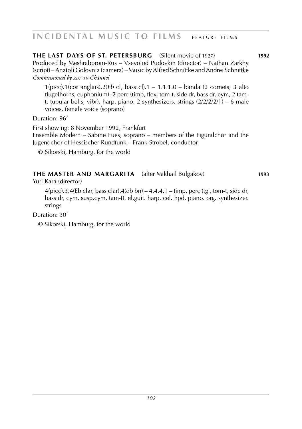**the last days OF st. petersburg** (Silent movie of 1927) **1992** Produced by Meshrabprom-Rus – Vsevolod Pudovkin (director) – Nathan Zarkhy (script) – Anatoli Golovnia (camera) – Music by Alfred Schnittke and Andrei Schnittke  $Commissioned$  *by ZDF TV Channel* 

1(picc).1(cor anglais).2(*Eb* cl, bass cl).1 – 1.1.1.0 – banda (2 cornets, 3 alto flugelhorns, euphonium). 2 perc (timp, flex, tom-t, side dr, bass dr, cym, 2 tamt, tubular bells, vibr). harp. piano. 2 synthesizers. strings  $\left(\frac{2}{2}\right)\left(\frac{2}{2}\right)$  – 6 male voices, female voice (soprano)

Duration: 96'

First showing: 8 November 1992, Frankfurt

 Ensemble Modern – Sabine Fues, soprano – members of the Figuralchor and the Jugendchor of Hessischer Rundfunk – Frank Strobel, conductor

© Sikorski, Hamburg, for the world

### **the master and margarita** (after Mikhail Bulgakov) **1993**

Yuri Kara (director)

 $4(pice)$ .3.4(Eb clar, bass clar).4(db bn) – 4.4.4.1 – timp. perc (tgl, tom-t, side dr, bass dr, cym, susp.cym, tam-t). el.guit. harp. cel. hpd. piano. org. synthesizer. strings

Duration: 30'

© Sikorski, Hamburg, for the world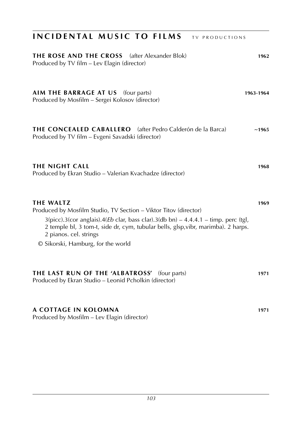| INCIDENTAL MUSIC TO FILMS<br><b>TV PRODUCTIONS</b>                                                                                                                                                                                                                                                                                |           |
|-----------------------------------------------------------------------------------------------------------------------------------------------------------------------------------------------------------------------------------------------------------------------------------------------------------------------------------|-----------|
| THE ROSE AND THE CROSS<br>(after Alexander Blok)<br>Produced by TV film - Lev Elagin (director)                                                                                                                                                                                                                                   | 1962      |
| AIM THE BARRAGE AT US (four parts)<br>Produced by Mosfilm - Sergei Kolosov (director)                                                                                                                                                                                                                                             | 1963-1964 |
| <b>THE CONCEALED CABALLERO</b> (after Pedro Calderón de la Barca)<br>Produced by TV film - Evgeni Savadski (director)                                                                                                                                                                                                             | ~1965     |
| THE NIGHT CALL<br>Produced by Ekran Studio - Valerian Kvachadze (director)                                                                                                                                                                                                                                                        | 1968      |
| <b>THE WALTZ</b><br>Produced by Mosfilm Studio, TV Section - Viktor Titov (director)<br>$3(picc).3(cor anglais).4(Eb clar, bass clar).3(db bn) - 4.4.4.1 - timp. perc (tgl,$<br>2 temple bl, 3 tom-t, side dr, cym, tubular bells, glsp, vibr, marimba). 2 harps.<br>2 pianos. cel. strings<br>© Sikorski, Hamburg, for the world | 1969      |
| THE LAST RUN OF THE 'ALBATROSS' (four parts)<br>Produced by Ekran Studio - Leonid Pcholkin (director)                                                                                                                                                                                                                             | 1971      |
| A COTTAGE IN KOLOMNA                                                                                                                                                                                                                                                                                                              | 1971      |

Produced by Mosfilm – Lev Elagin (director)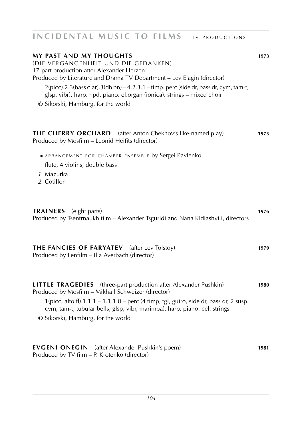## **INCIDENTAL MUSIC TO FILMS TV PRODUCTIONS**

| <b>MY PAST AND MY THOUGHTS</b><br>(DIE VERGANGENHEIT UND DIE GEDANKEN)<br>17-part production after Alexander Herzen<br>Produced by Literature and Drama TV Department - Lev Elagin (director)<br>$2(picc).2.3(bass clar).3(db bn) - 4.2.3.1 - timp. perc (side dr, bass dr, cym, tam-t,$<br>glsp, vibr). harp. hpd. piano. el.organ (ionica). strings - mixed choir<br>© Sikorski, Hamburg, for the world | 1973 |
|-----------------------------------------------------------------------------------------------------------------------------------------------------------------------------------------------------------------------------------------------------------------------------------------------------------------------------------------------------------------------------------------------------------|------|
| <b>THE CHERRY ORCHARD</b> (after Anton Chekhov's like-named play)<br>Produced by Mosfilm - Leonid Heifits (director)                                                                                                                                                                                                                                                                                      | 1975 |
| ARRANGEMENT FOR CHAMBER ENSEMBLE by Sergei Pavlenko<br>flute, 4 violins, double bass<br>1. Mazurka<br>2. Cotillon                                                                                                                                                                                                                                                                                         |      |
| TRAINERS (eight parts)<br>Produced by Tsentrnaukh film - Alexander Tsguridi and Nana Kldiashvili, directors                                                                                                                                                                                                                                                                                               | 1976 |
| THE FANCIES OF FARYATEV (after Lev Tolstoy)<br>Produced by Lenfilm - Ilia Averbach (director)                                                                                                                                                                                                                                                                                                             | 1979 |
| <b>LITTLE TRAGEDIES</b> (three-part production after Alexander Pushkin)<br>Produced by Mosfilm - Mikhail Schweizer (director)<br>$1(picc, alto fl).1.1.1 - 1.1.1.0 - perc (4 timp, tgl, guiro, side dr, bass dr, 2 susp.$<br>cym, tam-t, tubular bells, glsp, vibr, marimba). harp. piano. cel. strings<br>© Sikorski, Hamburg, for the world                                                             | 1980 |
| <b>EVGENI ONEGIN</b> (after Alexander Pushkin's poem)<br>Produced by TV film – P. Krotenko (director)                                                                                                                                                                                                                                                                                                     | 1981 |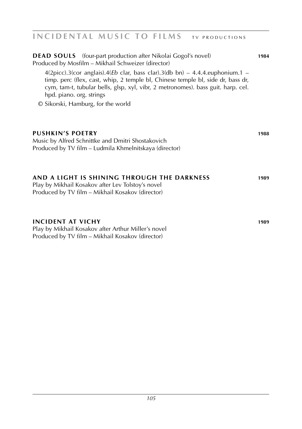### **INCIDENTAL MUSIC TO FILMS** TV PRODUCTIONS

| <b>DEAD SOULS</b> (four-part production after Nikolai Gogol's novel)<br>Produced by Mosfilm - Mikhail Schweizer (director)<br>4(2picc).3(cor anglais).4( <i>Eb</i> clar, bass clar).3(db bn) – 4.4.4.euphonium.1 –<br>timp. perc (flex, cast, whip, 2 temple bl, Chinese temple bl, side dr, bass dr,<br>cym, tam-t, tubular bells, glsp, xyl, vibr, 2 metronomes). bass guit. harp. cel.<br>hpd. piano. org. strings<br>© Sikorski, Hamburg, for the world | 1984 |
|-------------------------------------------------------------------------------------------------------------------------------------------------------------------------------------------------------------------------------------------------------------------------------------------------------------------------------------------------------------------------------------------------------------------------------------------------------------|------|
| <b>PUSHKIN'S POETRY</b><br>Music by Alfred Schnittke and Dmitri Shostakovich<br>Produced by TV film - Ludmila Khmelnitskaya (director)                                                                                                                                                                                                                                                                                                                      | 1988 |
| AND A LIGHT IS SHINING THROUGH THE DARKNESS<br>Play by Mikhail Kosakov after Lev Tolstoy's novel<br>Produced by TV film – Mikhail Kosakov (director)                                                                                                                                                                                                                                                                                                        | 1989 |
| <b>INCIDENT AT VICHY</b><br>Play by Mikhail Kosakov after Arthur Miller's novel<br>Produced by TV film - Mikhail Kosakov (director)                                                                                                                                                                                                                                                                                                                         | 1989 |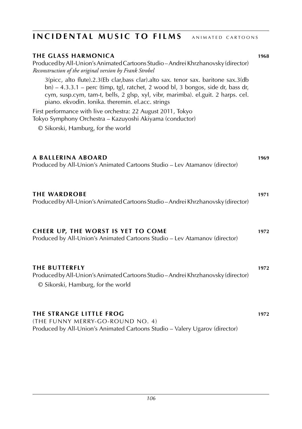## **the glass harmonica 1968** Produced by All-Union's Animated Cartoons Studio – Andrei Khrzhanovsky (director) *Reconstruction of the original version by Frank Strobel* 3(picc, alto flute).2.3(Eb clar,bass clar).alto sax. tenor sax. baritone sax.3(db bn) – 4.3.3.1 – perc (timp, tgl, ratchet, 2 wood bl, 3 bongos, side dr, bass dr, cym, susp.cym, tam-t, bells, 2 glsp, xyl, vibr, marimba). el.guit. 2 harps. cel. piano. ekvodin. Ionika. theremin. el.acc. strings First performance with live orchestra: 22 August 2011, Tokyo Tokyo Symphony Orchestra – Kazuyoshi Akiyama (conductor) © Sikorski, Hamburg, for the world **a Ballerina aboard 1969** Produced by All-Union's Animated Cartoons Studio – Lev Atamanov (director) **the wardrobe 1971** Produced by All-Union's Animated Cartoons Studio – Andrei Khrzhanovsky (director) **cheer up, the worst is yet to come 1972** Produced by All-Union's Animated Cartoons Studio – Lev Atamanov (director) **the butterfly 1972** Produced by All-Union's Animated Cartoons Studio – Andrei Khrzhanovsky (director) © Sikorski, Hamburg, for the world **the strange little frog 1972** (the funny merry-go-round no. 4) Produced by All-Union's Animated Cartoons Studio – Valery Ugarov (director) **INCIDENTAL MUSIC TO FILMS** ANIMATED CARTOONS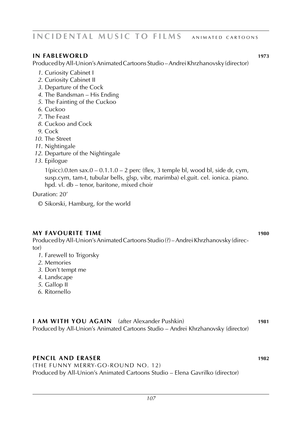### **INCIDENTAL MUSIC TO FILMS** ANIMATED CARTOONS

### **in fableworld 1973**

Produced by All-Union's Animated Cartoons Studio – Andrei Khrzhanovsky (director)

- *1*. Curiosity Cabinet I
- *2*. Curiosity Cabinet II
- *3*. Departure of the Cock
- *4*. The Bandsman His Ending
- *5*. The Fainting of the Cuckoo
- *6*. Cuckoo
- *7*. The Feast
- *8*. Cuckoo and Cock
- *9*. Cock
- *10*. The Street
- *11*. Nightingale
- *12*. Departure of the Nightingale
- *13*. Epilogue

 $1(pice)$ .0.ten sax.0 – 0.1.1.0 – 2 perc (flex, 3 temple bl, wood bl, side dr, cym, susp.cym, tam-t, tubular bells, glsp, vibr, marimba) el.guit. cel. ionica. piano. hpd. vl. db – tenor, baritone, mixed choir

Duration: 20'

© Sikorski, Hamburg, for the world

#### **my favourite time 1980**

Produced by All-Union's Animated Cartoons Studio (?) – Andrei Khrzhanovsky (director)

- *1*. Farewell to Trigorsky
- *2*. Memories
- *3*. Don't tempt me
- *4*. Landscape
- *5*. Gallop II
- *6*. Ritornello

**i am with you again** (after Alexander Pushkin) **1981** Produced by All-Union's Animated Cartoons Studio – Andrei Khrzhanovsky (director)

### **pencil and eraser 1982**

(the funny merry-go-round no. 12) Produced by All-Union's Animated Cartoons Studio – Elena Gavrilko (director)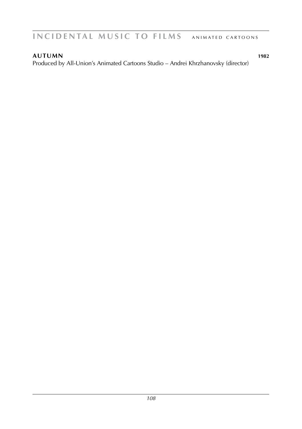**autumn 1982** Produced by All-Union's Animated Cartoons Studio – Andrei Khrzhanovsky (director)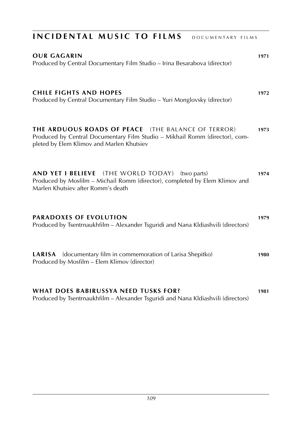| INCIDENTAL MUSIC TO FILMS<br>DOCUMENTARY FILMS                                                                                                                                 |      |
|--------------------------------------------------------------------------------------------------------------------------------------------------------------------------------|------|
| <b>OUR GAGARIN</b><br>Produced by Central Documentary Film Studio - Irina Besarabova (director)                                                                                | 1971 |
| <b>CHILE FIGHTS AND HOPES</b><br>Produced by Central Documentary Film Studio - Yuri Monglovsky (director)                                                                      | 1972 |
| THE ARDUOUS ROADS OF PEACE (THE BALANCE OF TERROR)<br>Produced by Central Documentary Film Studio - Mikhail Romm (director), com-<br>pleted by Elem Klimov and Marlen Khutsiev | 1973 |
| AND YET I BELIEVE (THE WORLD TODAY) (two parts)<br>Produced by Mosfilm - Michail Romm (director), completed by Elem Klimov and<br>Marlen Khutsiev after Romm's death           | 1974 |
| PARADOXES OF EVOLUTION<br>Produced by Tsentrnaukhfilm - Alexander Tsguridi and Nana Kldiashvili (directors)                                                                    | 1979 |
| LARISA (documentary film in commemoration of Larisa Shepitko)<br>Produced by Mosfilm - Elem Klimov (director)                                                                  | 1980 |
| <b>WHAT DOES BABIRUSSYA NEED TUSKS FOR?</b><br>Produced by Tsentrnaukhfilm - Alexander Tsguridi and Nana Kldiashvili (directors)                                               | 1981 |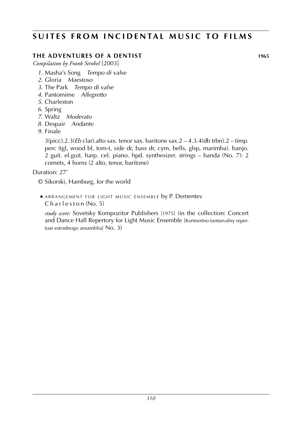### **SUITES FROM INCIDENTAL MUSIC TO FILMS**

### **the adventures of a dentist 1965**

*Compilation by Frank Strobel* [2003]

- *1*. Masha's Song *Tempo di valse*
- *2*. Gloria *Maestoso*
- *3*. The Park *Tempo di valse*
- *4*. Pantomime *Allegretto*
- *5*. Charleston
- *6*. Spring
- *7*. Waltz *Moderato*
- *8*. Despair *Andante*
- *9*. Finale

3(picc).2.3(*Eb* clar).alto sax. tenor sax. baritone sax.2 – 4.3.4(db trbn).2 – timp. perc (tgl, wood bl, tom-t, side dr, bass dr, cym, bells, glsp, marimba). banjo. 2 guit. el.guit. harp. cel. piano. hpd. synthesizer. strings – banda (No. 7): 2 cornets, 4 horns (2 alto, tenor, baritone)

Duration: 27'

- © Sikorski, Hamburg, for the world
- ARRANGEMENT FOR LIGHT MUSIC ENSEMBLE by P. Dementev Charleston (No. 5)

*study score:* Sovetsky Kompozitor Publishers [1975] (in the collection: Concert and Dance Hall Repertory for Light Music Ensemble [Kontsertno-tantsevalny repertuar estradnogo ansamblia] No. 3)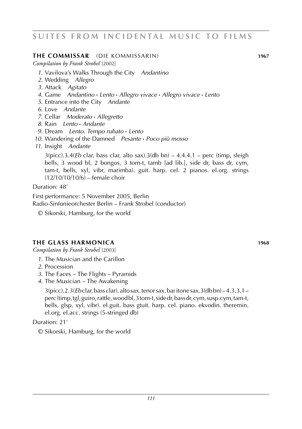#### **the commissar** (die kommissarin) **1967**

*Compilation by Frank Strobel* [2002]

- *1*. Vavilova's Walks Through the City *Andantino*
- *2*. Wedding *Allegro*
- *3*. Attack *Agitato*
- *4*. Game *Andantino* **·** *Lento* **·** *Allegro vivace* **·** *Allegro vivace* **·** *Lento*
- *5*. Entrance into the City *Andante*
- *6*. Love *Andante*
- *7*. Cellar *Moderato* **·** *Allegretto*
- *8*. Rain *Lento* **·** *Andante*
- *9*. Dream *Lento. Tempo rubato* **·** *Lento*
- *10*. Wandering of the Damned *Pesante* **·** *Poco più mosso*
- *11*. Insight *Andante*

3(picc).3.4(*Eb* clar, bass clar, alto sax).3(db bn) – 4.4.4.1 – perc (timp, sleigh bells, 3 wood bl, 2 bongos, 3 tom-t, tamb [ad lib.], side dr, bass dr, cym, tam-t, bells, xyl, vibr, marimba). guit. harp. cel. 2 pianos. el.org. strings (12/10/10/10/6) – female choir

Duration: 48'

First performance: 5 November 2005, Berlin Radio-Sinfonieorchester Berlin – Frank Strobel (conductor)

© Sikorski, Hamburg, for the world

### **the glass harmonica 1968**

*Compilation by Frank Strobel* [2003]

- *1*. The Musician and the Carillon
- *2*. Procession
- *3*. The Faces The Flights Pyramids
- *4*. The Musician The Awakening

3(picc).2.3(*Eb* clar, bass clar). alto sax. tenor sax. bar itone sax.3(db bn) – 4.3.3.1 – perc (timp, tgl, guiro, rattle, wood bl, 3 tom-t, side dr, bass dr, cym, susp.cym, tam-t, bells, glsp, xyl, vibr). el.guit. bass gtuit. harp. cel. piano. ekvodin. theremin. el.org. el.acc. strings (5-stringed db)

Duration: 21'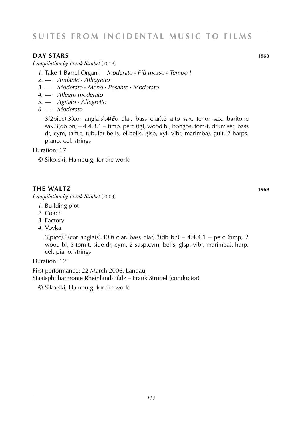#### **diagrams day in the starship of the starship of the starship of the starship of the starship of the starship of the starship of the starship of the starship of the starship of the starship of the starship of the starshi**

*Compilation by Frank Strobel* [2018]

- *1*. Take 1 Barrel Organ I *Moderato* **·** *Più mosso* **·** *Tempo I*
- *2*. –– *Andante* **·** *Allegretto*
- *3*. –– *Moderato* **·** *Meno* **·** *Pesante* **·** *Moderato*
- *4*. –– *Allegro moderato*
- *5*. –– *Agitato* **·** *Allegretto*
- *6*. –– *Moderato*

3(2picc).3(cor anglais).4(*Eb* clar, bass clar).2 alto sax. tenor sax. baritone sax.3(db bn) – 4.4.3.1 – timp. perc (tgl, wood bl, bongos, tom-t, drum set, bass dr, cym, tam-t, tubular bells, el.bells, glsp, xyl, vibr, marimba). guit. 2 harps. piano. cel. strings

Duration: 17'

© Sikorski, Hamburg, for the world

### **the waltz 1969**

*Compilation by Frank Strobel* [2003]

- *1*. Building plot
- *2*. Coach
- *3*. Factory
- *4*. Vovka

3(picc).3(cor anglais).3(*Eb* clar, bass clar).3(db bn) – 4.4.4.1 – perc (timp, 2 wood bl, 3 tom-t, side dr, cym, 2 susp.cym, bells, glsp, vibr, marimba). harp. cel. piano. strings

Duration: 12'

First performance: 22 March 2006, Landau Staatsphilharmonie Rheinland-Pfalz – Frank Strobel (conductor)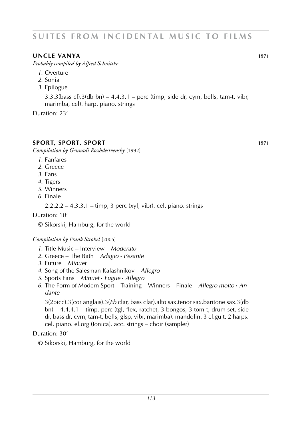### **uncle vanya 1971**

*Probably compiled by Alfred Schnittke*

- *1*. Overture
- *2*. Sonia
- *3*. Epilogue

 $3.3.3$ (bass cl). $3$ (db bn) –  $4.4.3.1$  – perc (timp, side dr, cym, bells, tam-t, vibr, marimba, cel). harp. piano. strings

Duration: 23'

#### **SPORT, SPORT, SPORT**

*Compilation by Gennadi Rozhdestvensky* [1992]

- *1*. Fanfares
- *2*. Greece
- *3*. Fans
- *4*. Tigers
- *5*. Winners
- *6*. Finale

2.2.2.2 – 4.3.3.1 – timp, 3 perc (xyl, vibr). cel. piano. strings

Duration: 10'

© Sikorski, Hamburg, for the world

*Compilation by Frank Strobel* [2005]

- *1*. Title Music Interview *Moderato*
- *2*. Greece The Bath *Adagio* **·** *Pesante*
- *3*. Future *Minuet*
- *4*. Song of the Salesman Kalashnikov *Allegro*
- *5*. Sports Fans *Minuet* **·** *Fugue* **·** *Allegro*
- *6*. The Form of Modern Sport Training Winners Finale *Allegro molto* **·** *An dante*

3(2picc).3(cor anglais).3(*Eb* clar, bass clar).alto sax.tenor sax.baritone sax.3(db bn) – 4.4.4.1 – timp. perc (tgl, flex, ratchet, 3 bongos, 3 tom-t, drum set, side dr, bass dr, cym, tam-t, bells, glsp, vibr, marimba). mandolin. 3 el.guit. 2 harps. cel. piano. el.org (Ionica). acc. strings – choir (sampler)

#### Duration: 30'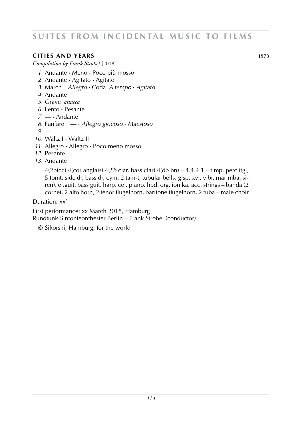### **cities and years 1973**

*Compilation by Frank Strobel* [2018]

- *1*. Andante **·** Meno **·** Poco più mosso
- *2*. Andante **·** Agitato **·** Agitato
- *3*. March *Allegro* **·** Coda *A tempo* **·** *Agitato*
- *4*. Andante
- *5*. Grave *attacca*
- *6*. Lento **·** Pesante
- *7*. –– **·** Andante
- *8*. Fanfare –– **·** *Allegro giocoso* **·** *Maestoso*
- *9*. ––
- *10*. Waltz I **·** Waltz II
- *11*. Allegro **·** Allegro **·** Poco meno mosso
- *12*. Pesante
- *13*. Andante

4(2picc).4(cor anglais).4(*Eb* clar, bass clar).4(db bn) – 4.4.4.1 – timp. perc (tgl, 5 tomt, side dr, bass dr, cym, 2 tam-t, tubular bells, glsp, xyl, vibr, marimba, siren). el.guit. bass guit. harp. cel. piano. hpd. org. ionika. acc. strings – banda (2 cornet, 2 alto horn, 2 tenor flugelhorn, baritone flugelhorn, 2 tuba – male choir

Duration: xx'

First performance: xx March 2018, Hamburg Rundfunk-Sinfonieorchester Berlin – Frank Strobel (conductor)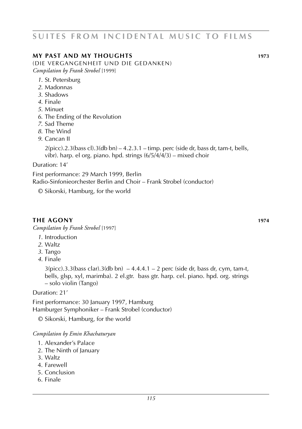### **my past and my thoughts 1973**

(die vergangenheit und die gedanken) *Compilation by Frank Strobel* [1999]

- *1*. St. Petersburg
- *2*. Madonnas
- *3*. Shadows
- *4*. Finale
- *5*. Minuet
- *6*. The Ending of the Revolution
- *7*. Sad Theme
- *8*. The Wind
- *9*. Cancan II

 $2(pice).2.3(bass cl).3(db bn) - 4.2.3.1 - timp. perc (side dr, bass dr, tam-t, bells,$ vibr). harp. el org. piano. hpd. strings (6/5/4/4/3) – mixed choir

Duration: 14'

First performance: 29 March 1999, Berlin Radio-Sinfonieorchester Berlin and Choir – Frank Strobel (conductor)

© Sikorski, Hamburg, for the world

#### **the agony 1974**

*Compilation by Frank Strobel* [1997]

- *1*. Introduction
- *2*. Waltz
- *3*. Tango
- *4*. Finale

 $3(pice).3.3(bass clar).3(db bn) -4.4.4.1 - 2 perc (side dr, bass dr, cym, tam-t,$ bells, glsp, xyl, marimba). 2 el.gtr. bass gtr. harp. cel. piano. hpd. org. strings – solo violin (Tango)

Duration: 21'

First performance: 30 January 1997, Hamburg Hamburger Symphoniker – Frank Strobel (conductor)

© Sikorski, Hamburg, for the world

*Compilation by Emin Khachaturyan*

- 1. Alexander's Palace
- 2. The Ninth of January
- 3. Waltz
- 4. Farewell
- 5. Conclusion
- 6. Finale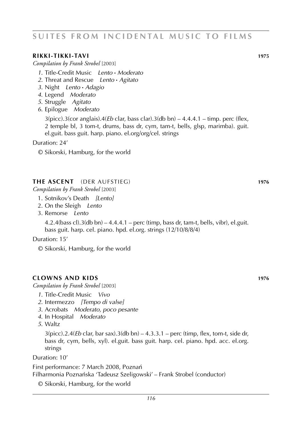#### **rikki-tikki-tavi 1975**

*Compilation by Frank Strobel* [2003]

- *1*. Title-Credit Music *Lento* **·** *Moderato*
- *2*. Threat and Rescue *Lento* **·** *Agitato*
- *3*. Night *Lento* **·** *Adagio*
- *4*. Legend *Moderato*
- *5*. Struggle *Agitato*
- *6*. Epilogue *Moderato*

3(picc).3(cor anglais).4(*Eb* clar, bass clar).3(db bn) – 4.4.4.1 – timp. perc (flex, 2 temple bl, 3 tom-t, drums, bass dr, cym, tam-t, bells, glsp, marimba). guit. el.guit. bass guit. harp. piano. el.org/org/cel. strings

Duration: 24'

© Sikorski, Hamburg, for the world

#### **the ascent** (der aufstieg) **1976**

*Compilation by Frank Strobel* [2003]

- 1. Sotnikov's Death *[Lento]*
- 2. On the Sleigh *Lento*
- 3. Remorse *Lento*

 $4.2.4$ (bass cl). $3$ (db bn) –  $4.4.4.1$  – perc (timp, bass dr, tam-t, bells, vibr), el.guit. bass guit. harp. cel. piano. hpd. el.org. strings (12/10/8/8/4)

Duration: 15'

© Sikorski, Hamburg, for the world

#### **clowns and kids 1976**

*Compilation by Frank Strobel* [2003]

- *1*. Title-Credit Music *Vivo*
- *2*. Intermezzo *[Tempo di valse]*
- *3*. Acrobats *Moderato, poco pesante*
- *4*. In Hospital *Moderato*
- *5*. Waltz

3(picc).2.4(*Eb* clar, bar sax).3(db bn) – 4.3.3.1 – perc (timp, flex, tom-t, side dr, bass dr, cym, bells, xyl). el.guit. bass guit. harp. cel. piano. hpd. acc. el.org. strings

Duration: 10'

First performance: 7 March 2008, Poznań Filharmonia Poznańska 'Tadeusz Szeligowski' – Frank Strobel (conductor)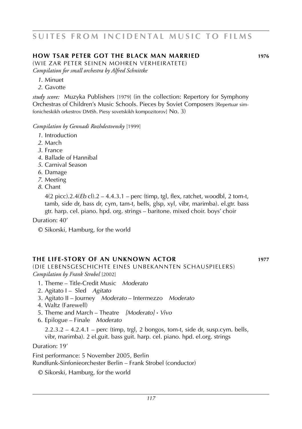### **How Tsar Peter Got The Black Man Married 1976**

(wie zar peter seinen mohren verheiratete) *Compilation for small orchestra by Alfred Schnittke*

- *1*. Minuet
- *2*. Gavotte

*study score:* Muzyka Publishers [1979] (in the collection: Repertory for Symphony Orchestras of Children's Music Schools. Pieces by Soviet Composers [Repertuar simfonicheskikh orkestrov DMSh. Piesy sovetskikh kompozitorov] No. 3)

*Compilation by Gennadi Rozhdestvensky* [1999]

- *1*. Introduction
- *2*. March
- *3*. France
- *4*. Ballade of Hannibal
- *5*. Carnival Season
- *6*. Damage
- *7*. Meeting
- *8*. Chant

4(2 picc).2.4(*Eb* cl).2 – 4.4.3.1 – perc (timp, tgl, flex, ratchet, woodbl, 2 tom-t, tamb, side dr, bass dr, cym, tam-t, bells, glsp, xyl, vibr, marimba). el.gtr. bass gtr. harp. cel. piano. hpd. org. strings – baritone. mixed choir. boys' choir

Duration: 40'

© Sikorski, Hamburg, for the world

### **the life-story of an unknown actor 1977**

(die lebensgeschichte eines unbekannten schauspielers) *Compilation by Frank Strobel* [2002]

- 1. Theme Title-Credit Music *Moderato*
- 2. Agitato I Sled *Agitato*
- 3. Agitato II Journey *Moderato* Intermezzo *Moderato*
- 4. Waltz (Farewell)
- 5. Theme and March Theatre *[Moderato]* **·** *Vivo*
- 6. Epilogue Finale *Moderato*

 $2.2.3.2 - 4.2.4.1$  – perc (timp, trgl, 2 bongos, tom-t, side dr, susp.cym. bells, vibr, marimba). 2 el.guit. bass guit. harp. cel. piano. hpd. el.org. strings

Duration: 19'

First performance: 5 November 2005, Berlin Rundfunk-Sinfonieorchester Berlin – Frank Strobel (conductor)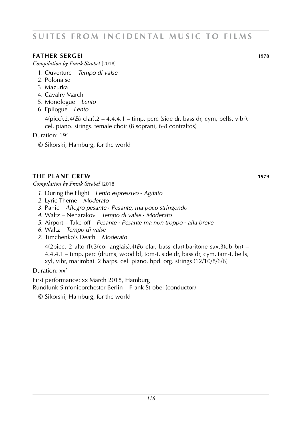### **father sergei 1978**

*Compilation by Frank Strobel* [2018]

- 1. Ouverture *Tempo di valse*
- 2. Polonaise
- 3. Mazurka
- 4. Cavalry March
- 5. Monologue *Lento*
- 6. Epilogue *Lento*

4(picc).2.4(*Eb* clar).2 – 4.4.4.1 – timp. perc (side dr, bass dr, cym, bells, vibr). cel. piano. strings. female choir (8 soprani, 6-8 contraltos)

Duration: 19'

© Sikorski, Hamburg, for the world

### **the plane crew 1979**

*Compilation by Frank Strobel* [2018]

- *1*. During the Flight *Lento espressivo* **·** *Agitato*
- *2*. Lyric Theme *Moderato*
- *3*. Panic *Allegro pesante* **·** *Pesante, ma poco stringendo*
- *4*. Waltz Nenarakov *Tempo di valse* **·** *Moderato*
- *5*. Airport Take-off *Pesante* **·** *Pesante ma non troppo* **·** *alla breve*
- *6*. Waltz *Tempo di valse*
- *7*. Timchenko's Death *Moderato*

4(2picc, 2 alto fl).3(cor anglais).4(*Eb* clar, bass clar).baritone sax.3(db bn) – 4.4.4.1 – timp. perc (drums, wood bl, tom-t, side dr, bass dr, cym, tam-t, bells, xyl, vibr, marimba). 2 harps. cel. piano. hpd. org. strings (12/10/8/6/6)

Duration: xx'

First performance: xx March 2018, Hamburg

Rundfunk-Sinfonieorchester Berlin – Frank Strobel (conductor)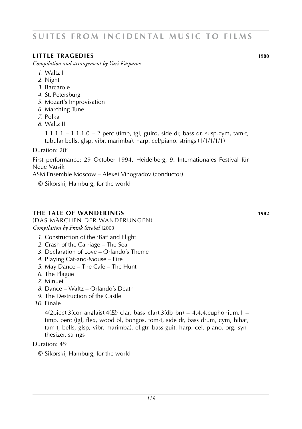#### **little tragedies 1980**

*Compilation and arrangement by Yuri Kasparov*

- *1*. Waltz I
- *2*. Night
- *3*. Barcarole
- *4*. St. Petersburg
- *5*. Mozart's Improvisation
- *6*. Marching Tune
- *7*. Polka
- *8*. Waltz II

 $1.1.1.1 - 1.1.1.0 - 2$  perc (timp, tgl, guiro, side dr, bass dr, susp.cym, tam-t, tubular bells, glsp, vibr, marimba). harp. cel/piano. strings (1/1/1/1/1)

Duration: 20'

First performance: 29 October 1994, Heidelberg, 9. Internationales Festival für Neue Musik

ASM Ensemble Moscow – Alexei Vinogradov (conductor)

© Sikorski, Hamburg, for the world

#### **the tale of wanderings 1982**

(das märchen der wanderungen) *Compilation by Frank Strobel* [2003]

- *1*. Construction of the 'Bat' and Flight
- *2*. Crash of the Carriage The Sea
- *3*. Declaration of Love Orlando's Theme
- *4*. Playing Cat-and-Mouse Fire
- *5*. May Dance The Cafe The Hunt
- *6*. The Plague
- *7*. Minuet
- *8*. Dance Waltz Orlando's Death
- *9*. The Destruction of the Castle
- *10*. Finale

 $4(2picc)$ .3(cor anglais). $4(Eb \text{ clar}, \text{bass clar})$ .3(db bn) – 4.4.4.euphonium.1 – timp. perc (tgl, flex, wood bl, bongos, tom-t, side dr, bass drum, cym, hihat, tam-t, bells, glsp, vibr, marimba). el.gtr. bass guit. harp. cel. piano. org. synthesizer. strings

Duration: 45'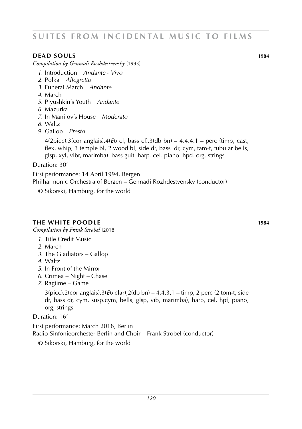#### **dead souls 1984**

*Compilation by Gennadi Rozhdestvensky* [1993]

- *1*. Introduction *Andante* **·** *Vivo*
- *2*. Polka *Allegretto*
- *3*. Funeral March *Andante*
- *4*. March
- *5*. Plyushkin's Youth *Andante*
- *6*. Mazurka
- *7*. In Manilov's House *Moderato*
- *8*. Waltz
- *9*. Gallop *Presto*

4(2picc).3(cor anglais).4(*Eb* cl, bass cl).3(db bn) – 4.4.4.1 – perc (timp, cast, flex, whip, 3 temple bl, 2 wood bl, side dr, bass dr, cym, tam-t, tubular bells, glsp, xyl, vibr, marimba). bass guit. harp. cel. piano. hpd. org. strings

Duration: 30'

First performance: 14 April 1994, Bergen Philharmonic Orchestra of Bergen – Gennadi Rozhdestvensky (conductor)

© Sikorski, Hamburg, for the world

### **the white poodle 1984**

*Compilation by Frank Strobel* [2018]

- *1*. Title Credit Music
- *2*. March
- *3*. The Gladiators Gallop
- *4*. Waltz
- *5*. In Front of the Mirror
- *6*. Crimea Night Chase
- *7*. Ragtime Game

3(picc),2(cor anglais),3(*Eb* clar),2(db bn) – 4,4,3,1 – timp, 2 perc (2 tom-t, side dr, bass dr, cym, susp.cym, bells, glsp, vib, marimba), harp, cel, hpf, piano, org, strings

Duration: 16'

First performance: March 2018, Berlin Radio-Sinfonieorchester Berlin and Choir – Frank Strobel (conductor)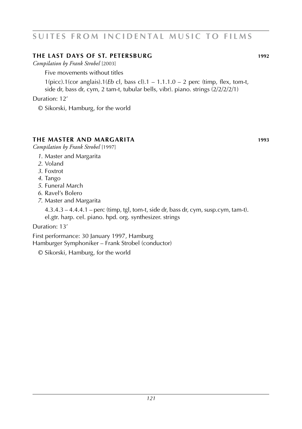### **the last days OF st. petersburg 1992**

*Compilation by Frank Strobel* [2003]

Five movements without titles

1(picc).1(cor anglais).1(*Eb* cl, bass cl).1 – 1.1.1.0 – 2 perc (timp, flex, tom-t, side dr, bass dr, cym, 2 tam-t, tubular bells, vibr). piano. strings (2/2/2/2/1)

Duration: 12'

© Sikorski, Hamburg, for the world

### **the master and margarita 1993**

*Compilation by Frank Strobel* [1997]

- *1*. Master and Margarita
- *2*. Voland
- *3*. Foxtrot
- *4*. Tango
- *5*. Funeral March
- *6*. Ravel's Bolero
- *7*. Master and Margarita

4.3.4.3 – 4.4.4.1 – perc (timp, tgl, tom-t, side dr, bass dr, cym, susp.cym, tam-t). el.gtr. harp. cel. piano. hpd. org. synthesizer. strings

Duration: 13'

First performance: 30 January 1997, Hamburg Hamburger Symphoniker – Frank Strobel (conductor)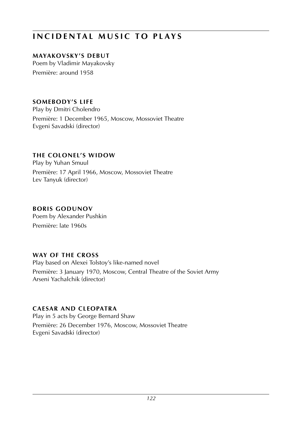## **mayakovsky's debut**

Poem by Vladimir Mayakovsky Première: around 1958

## **somebody's life**

Play by Dmitri Cholendro

Première: 1 December 1965, Moscow, Mossoviet Theatre Evgeni Savadski (director)

### **the colonel's widow**

Play by Yuhan Smuul

Première: 17 April 1966, Moscow, Mossoviet Theatre Lev Tanyuk (director)

### **boris Godunov**

Poem by Alexander Pushkin Première: late 1960s

## **way of the cross**

Play based on Alexei Tolstoy's like-named novel Première: 3 January 1970, Moscow, Central Theatre of the Soviet Army Arseni Yachalchik (director)

## **caesar and cleopatra**

Play in 5 acts by George Bernard Shaw Première: 26 December 1976, Moscow, Mossoviet Theatre Evgeni Savadski (director)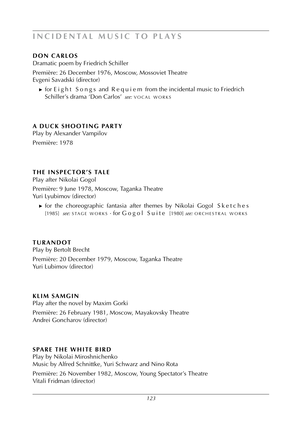## **don carlos**

Dramatic poem by Friedrich Schiller Première: 26 December 1976, Moscow, Mossoviet Theatre Evgeni Savadski (director)

► for Eight Songs and Requiem from the incidental music to Friedrich Schiller's drama 'Don Carlos' see: VOCAL WORKS

## **a duck shooting party**

Play by Alexander Vampilov Première: 1978

## **the inspector's tale**

Play after Nikolai Gogol

Première: 9 June 1978, Moscow, Taganka Theatre Yuri Lyubimov (director)

**►** for the choreographic fantasia after themes by Nikolai Gogol Sketches [1985] *see:* STAGE WORKS · for Gogol Suite [1980] *see:* ORCHESTRAL WORKS

**turandot** Play by Bertolt Brecht Première: 20 December 1979, Moscow, Taganka Theatre Yuri Lubimov (director)

### **klim samgin**

Play after the novel by Maxim Gorki

Première: 26 February 1981, Moscow, Mayakovsky Theatre Andrei Goncharov (director)

## **spare the white bird**

Play by Nikolai Miroshnichenko Music by Alfred Schnittke, Yuri Schwarz and Nino Rota Première: 26 November 1982, Moscow, Young Spectator's Theatre Vitali Fridman (director)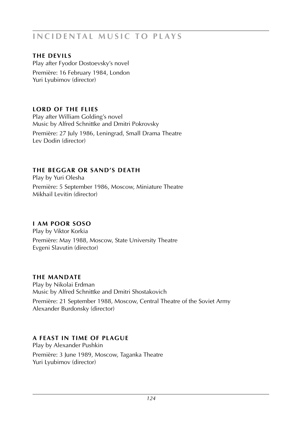## **the devils**

Play after Fyodor Dostoevsky's novel Première: 16 February 1984, London Yuri Lyubimov (director)

## **lord of the flies**

Play after William Golding's novel Music by Alfred Schnittke and Dmitri Pokrovsky

Première: 27 July 1986, Leningrad, Small Drama Theatre Lev Dodin (director)

### **the beggar or sand's death**

Play by Yuri Olesha

Première: 5 September 1986, Moscow, Miniature Theatre Mikhail Levitin (director)

## **i am poor soso**

Play by Viktor Korkia

Première: May 1988, Moscow, State University Theatre Evgeni Slavutin (director)

## **the mandate**

Play by Nikolai Erdman Music by Alfred Schnittke and Dmitri Shostakovich Première: 21 September 1988, Moscow, Central Theatre of the Soviet Army Alexander Burdonsky (director)

## **a feast in time of plague**

Play by Alexander Pushkin Première: 3 June 1989, Moscow, Taganka Theatre Yuri Lyubimov (director)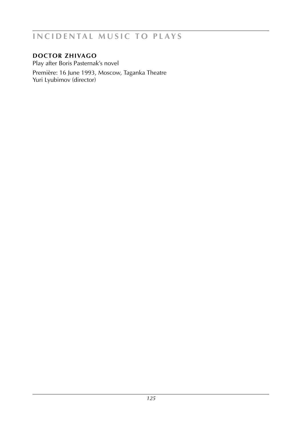## **doctor zhivago**

Play after Boris Pasternak's novel Première: 16 June 1993, Moscow, Taganka Theatre Yuri Lyubimov (director)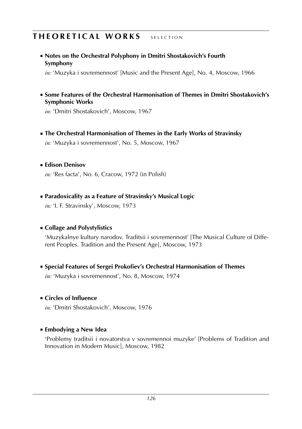# **THEORETICAL WORKS** SELECTION

 ■ **Notes on the Orchestral Polyphony in Dmitri Shostakovich's Fourth Symphony**

*in:* 'Muzyka i sovremennost' [Music and the Present Age], No. 4, Moscow, 1966

 ■ **Some Features of the Orchestral Harmonisation of Themes in Dmitri Shostakovich's Symphonic Works**

*in:* 'Dmitri Shostakovich', Moscow, 1967

**Example 3 The Orchestral Harmonisation of Themes in the Early Works of Stravinsky** 

*in:* 'Muzyka i sovremennost', No. 5, Moscow, 1967

### ■ **Edison Denisov**

*in:* 'Res facta', No. 6, Cracow, 1972 (in Polish)

**■ Paradoxicality as a Feature of Stravinsky's Musical Logic** 

*in:* 'I. F. Stravinsky', Moscow, 1973

### ■ **Collage and Polystylistics**

'Muzykalnye kultury narodov. Traditsii i sovremennost' [The Musical Culture of Different Peoples. Tradition and the Present Age], Moscow, 1973

**Exercial Features of Sergei Prokofiev's Orchestral Harmonisation of Themes** 

*in:* 'Muzyka i sovremennost', No. 8, Moscow, 1974

### ■ **Circles of Influence**

*in:* 'Dmitri Shostakovich', Moscow, 1976

## ■ **Embodying a New Idea**

'Problemy traditsii i novatorstva v sovremennoi muzyke' [Problems of Tradition and Innovation in Modern Music], Moscow, 1982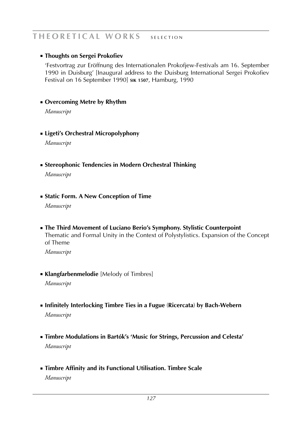## THEORETICAL WORKS SELECTION

### ■ **Thoughts on Sergei Prokofiev**

'Festvortrag zur Eröffnung des Internationalen Prokofjew-Festivals am 16. September 1990 in Duisburg' [Inaugural address to the Duisburg International Sergei Prokofiev Festival on 16 September 1990] **sik 1507**, Hamburg, 1990

#### ■ **Overcoming Metre by Rhythm**

*Manuscript*

 ■ **Ligeti's Orchestral Micropolyphony**

*Manuscript*

 ■ **Stereophonic Tendencies in Modern Orchestral Thinking**

*Manuscript*

 ■ **Static Form. A New Conception of Time**

*Manuscript*

**Example The Third Movement of Luciano Berio's Symphony. Stylistic Counterpoint** Thematic and Formal Unity in the Context of Polystylistics. Expansion of the Concept of Theme

*Manuscript*

**EXangfarbenmelodie** [Melody of Timbres]

*Manuscript*

- ■ **Infinitely Interlocking Timbre Ties in a Fugue** (**Ricercata**) **by Bach-Webern** *Manuscript*
- **Exambre Modulations in Bartók's 'Music for Strings, Percussion and Celesta'** *Manuscript*
- ■ **Timbre Affinity and its Functional Utilisation. Timbre Scale**

*Manuscript*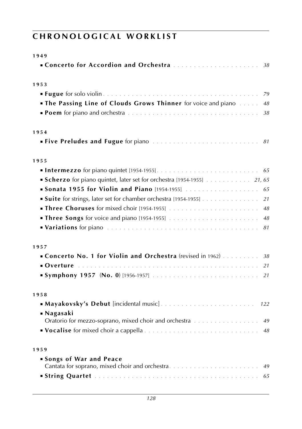| Concerto for Accordion and Orchestra<br>38<br><b>The Passing Line of Clouds Grows Thinner</b> for voice and piano<br>48<br>38<br><b>Scherzo</b> for piano quintet, later set for orchestra [1954-1955] 21, 65<br>Sonata 1955 for Violin and Piano [1954-1955]<br>65<br><b>Suite</b> for strings, later set for chamber orchestra [1954-1955]<br>21<br><b>Three Choruses</b> for mixed choir [1954-1955]  48<br><b>Variations</b> for piano entertainment containment contained and $\theta$<br>Concerto No. 1 for Violin and Orchestra (revised in 1962)  38<br>21<br><b>Symphony 1957 (No. 0)</b> [1956-1957]<br>21<br>122<br>■ Nagasaki<br>Oratorio for mezzo-soprano, mixed choir and orchestra<br>49<br>Songs of War and Peace | 1949                                              |  |
|------------------------------------------------------------------------------------------------------------------------------------------------------------------------------------------------------------------------------------------------------------------------------------------------------------------------------------------------------------------------------------------------------------------------------------------------------------------------------------------------------------------------------------------------------------------------------------------------------------------------------------------------------------------------------------------------------------------------------------|---------------------------------------------------|--|
|                                                                                                                                                                                                                                                                                                                                                                                                                                                                                                                                                                                                                                                                                                                                    |                                                   |  |
|                                                                                                                                                                                                                                                                                                                                                                                                                                                                                                                                                                                                                                                                                                                                    | 1953                                              |  |
|                                                                                                                                                                                                                                                                                                                                                                                                                                                                                                                                                                                                                                                                                                                                    |                                                   |  |
|                                                                                                                                                                                                                                                                                                                                                                                                                                                                                                                                                                                                                                                                                                                                    |                                                   |  |
|                                                                                                                                                                                                                                                                                                                                                                                                                                                                                                                                                                                                                                                                                                                                    |                                                   |  |
|                                                                                                                                                                                                                                                                                                                                                                                                                                                                                                                                                                                                                                                                                                                                    | 1954                                              |  |
|                                                                                                                                                                                                                                                                                                                                                                                                                                                                                                                                                                                                                                                                                                                                    |                                                   |  |
|                                                                                                                                                                                                                                                                                                                                                                                                                                                                                                                                                                                                                                                                                                                                    | 1955                                              |  |
|                                                                                                                                                                                                                                                                                                                                                                                                                                                                                                                                                                                                                                                                                                                                    |                                                   |  |
|                                                                                                                                                                                                                                                                                                                                                                                                                                                                                                                                                                                                                                                                                                                                    |                                                   |  |
|                                                                                                                                                                                                                                                                                                                                                                                                                                                                                                                                                                                                                                                                                                                                    |                                                   |  |
|                                                                                                                                                                                                                                                                                                                                                                                                                                                                                                                                                                                                                                                                                                                                    |                                                   |  |
|                                                                                                                                                                                                                                                                                                                                                                                                                                                                                                                                                                                                                                                                                                                                    |                                                   |  |
|                                                                                                                                                                                                                                                                                                                                                                                                                                                                                                                                                                                                                                                                                                                                    |                                                   |  |
|                                                                                                                                                                                                                                                                                                                                                                                                                                                                                                                                                                                                                                                                                                                                    |                                                   |  |
|                                                                                                                                                                                                                                                                                                                                                                                                                                                                                                                                                                                                                                                                                                                                    | 1957                                              |  |
|                                                                                                                                                                                                                                                                                                                                                                                                                                                                                                                                                                                                                                                                                                                                    |                                                   |  |
|                                                                                                                                                                                                                                                                                                                                                                                                                                                                                                                                                                                                                                                                                                                                    |                                                   |  |
|                                                                                                                                                                                                                                                                                                                                                                                                                                                                                                                                                                                                                                                                                                                                    |                                                   |  |
|                                                                                                                                                                                                                                                                                                                                                                                                                                                                                                                                                                                                                                                                                                                                    | 1958                                              |  |
|                                                                                                                                                                                                                                                                                                                                                                                                                                                                                                                                                                                                                                                                                                                                    |                                                   |  |
|                                                                                                                                                                                                                                                                                                                                                                                                                                                                                                                                                                                                                                                                                                                                    |                                                   |  |
|                                                                                                                                                                                                                                                                                                                                                                                                                                                                                                                                                                                                                                                                                                                                    |                                                   |  |
|                                                                                                                                                                                                                                                                                                                                                                                                                                                                                                                                                                                                                                                                                                                                    | 1959                                              |  |
|                                                                                                                                                                                                                                                                                                                                                                                                                                                                                                                                                                                                                                                                                                                                    | Cantata for soprano, mixed choir and orchestra 49 |  |
| 65                                                                                                                                                                                                                                                                                                                                                                                                                                                                                                                                                                                                                                                                                                                                 |                                                   |  |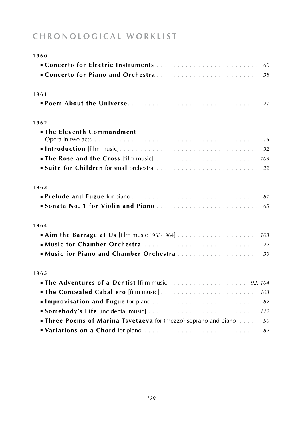| 1960                                                                                     |
|------------------------------------------------------------------------------------------|
|                                                                                          |
| Concerto for Piano and Orchestra<br>38                                                   |
|                                                                                          |
| 1961                                                                                     |
| 21                                                                                       |
| 1962                                                                                     |
| . The Eleventh Commandment                                                               |
|                                                                                          |
|                                                                                          |
|                                                                                          |
|                                                                                          |
| 1963                                                                                     |
|                                                                                          |
|                                                                                          |
|                                                                                          |
| 1964                                                                                     |
|                                                                                          |
|                                                                                          |
| <b>Music for Piano and Chamber Orchestra</b> 39                                          |
| 1965                                                                                     |
|                                                                                          |
|                                                                                          |
|                                                                                          |
|                                                                                          |
|                                                                                          |
| <b>In Three Poems of Marina Tsvetaeva</b> for (mezzo)-soprano and piano $\dots \dots$ 50 |
| Variations on a Chord for piano  82                                                      |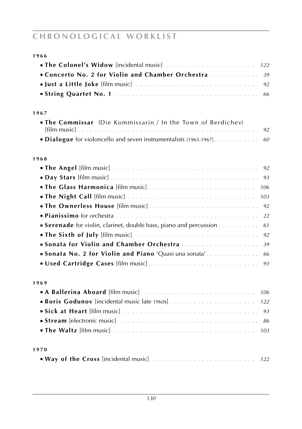| 1966                                                                          |
|-------------------------------------------------------------------------------|
| 122                                                                           |
| Concerto No. 2 for Violin and Chamber Orchestra<br>39                         |
|                                                                               |
|                                                                               |
| 1967                                                                          |
| <b>The Commissar</b> (Die Kommissarin / In the Town of Berdichev)             |
| 92                                                                            |
| <b>Dialogue</b> for violoncello and seven instrumentalists [1965-1967]<br>60  |
| 1968                                                                          |
| 92                                                                            |
|                                                                               |
| 106                                                                           |
| 103                                                                           |
| <b>The Ownerless House</b> [film music]<br>92                                 |
| 22                                                                            |
| <b>Serenade</b> for violin, clarinet, double bass, piano and percussion<br>61 |
| <b>The Sixth of July</b> [film music]<br>92                                   |
| Sonata for Violin and Chamber Orchestra<br>39                                 |
| Sonata No. 2 for Violin and Piano 'Quasi una sonata'<br>66                    |
| 93                                                                            |
| 1969                                                                          |
| A Ballerina Aboard [film music]<br>106                                        |
| 122                                                                           |
|                                                                               |
|                                                                               |
|                                                                               |
| 1970                                                                          |
|                                                                               |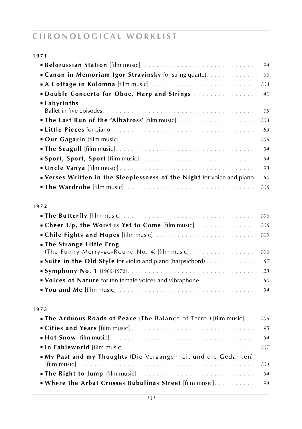| 1971                                                                                      |
|-------------------------------------------------------------------------------------------|
| 94                                                                                        |
| <b>Canon in Memoriam Igor Stravinsky</b> for string quartet.<br>66                        |
| 103                                                                                       |
| Double Concerto for Oboe, Harp and Strings<br>40                                          |
| ■ Labyrinths                                                                              |
| 15                                                                                        |
| 103                                                                                       |
| 83                                                                                        |
| 109                                                                                       |
| 94                                                                                        |
| Sport, Sport, Sport [film music]<br>94                                                    |
| 93                                                                                        |
| " Verses Written in the Sleeplessness of the Night for voice and piano.<br>50             |
| 106                                                                                       |
|                                                                                           |
| 1972                                                                                      |
| 106                                                                                       |
| • Cheer Up, the Worst is Yet to Come [film music]<br>106                                  |
| <b>Chile Fights and Hopes</b> [film music]<br>109                                         |
| <b>In The Strange Little Frog</b><br>(The Funny Merry-go-Round No. 4) [film music]<br>106 |
| <b>Suite in the Old Style</b> for violin and piano (harpsichord) 67                       |
| 23                                                                                        |
| Voices of Nature for ten female voices and vibraphone<br>50                               |
| 94                                                                                        |
|                                                                                           |
| 1973                                                                                      |
| <b>The Arduous Roads of Peace</b> (The Balance of Terror) [film music]<br>109             |
| 95                                                                                        |
| 94                                                                                        |
| 107                                                                                       |
| My Past and my Thoughts (Die Vergangenheit und die Gedanken)                              |
| 104                                                                                       |
|                                                                                           |
| . Where the Arbat Crosses Bubulinas Street [film music].<br>94                            |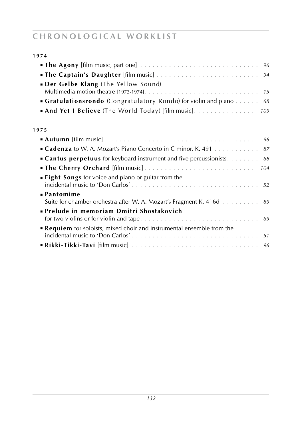| 1974                                                                                       |
|--------------------------------------------------------------------------------------------|
|                                                                                            |
| 94                                                                                         |
| <b>Der Gelbe Klang</b> (The Yellow Sound)                                                  |
| <b>Gratulationsrondo</b> (Congratulatory Rondo) for violin and piano<br>68                 |
| • And Yet I Believe (The World Today) [film music]. 109                                    |
| 1975                                                                                       |
|                                                                                            |
| <b>Cadenza</b> to W. A. Mozart's Piano Concerto in C minor, K. 491 87                      |
| • Cantus perpetuus for keyboard instrument and five percussionists 68                      |
|                                                                                            |
| <b>Eight Songs</b> for voice and piano or guitar from the                                  |
| <b>• Pantomime</b><br>Suite for chamber orchestra after W. A. Mozart's Fragment K. 416d 89 |
| • Prelude in memoriam Dmitri Shostakovich                                                  |

| <b>Requiem</b> for soloists, mixed choir and instrumental ensemble from the |  |
|-----------------------------------------------------------------------------|--|
|                                                                             |  |
|                                                                             |  |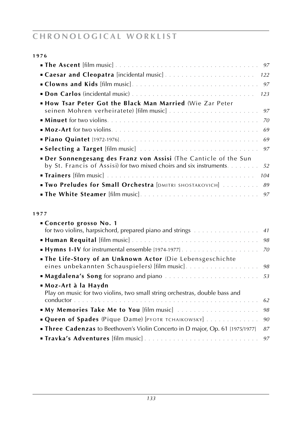| ٠<br>۰.<br>× | ٠ | ٦<br>۰.<br>× |
|--------------|---|--------------|
|              |   |              |

| <b>• How Tsar Peter Got the Black Man Married (Wie Zar Peter</b>           |
|----------------------------------------------------------------------------|
|                                                                            |
| 70                                                                         |
| 69                                                                         |
|                                                                            |
|                                                                            |
| <b>Der Sonnengesang des Franz von Assisi</b> (The Canticle of the Sun      |
| by St. Francis of Assisi) for two mixed choirs and six instruments.<br>.52 |
| 104                                                                        |
| <b>IWO Preludes for Small Orchestra</b> [DMITRI SHOSTAKOVICH]<br>89        |
|                                                                            |

### **1 9 7 7**

| ■ Concerto grosso No. 1<br>for two violins, harpsichord, prepared piano and strings 41             |    |
|----------------------------------------------------------------------------------------------------|----|
|                                                                                                    | 98 |
|                                                                                                    | 70 |
| . The Life-Story of an Unknown Actor (Die Lebensgeschichte                                         |    |
|                                                                                                    |    |
| ■Moz-Art à la Haydn<br>Play on music for two violins, two small string orchestras, double bass and | 62 |
|                                                                                                    | 98 |
| <b>Queen of Spades</b> (Pique Dame) [PYOTR TCHAIKOWSKY]                                            | 90 |
| <b>Three Cadenzas</b> to Beethoven's Violin Concerto in D major, Op. 61 [1975/1977]                | 87 |
|                                                                                                    |    |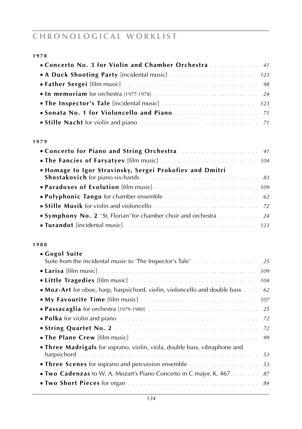| × | I<br>۰.<br>× | ٠ | т.<br>M. |
|---|--------------|---|----------|
|   |              |   |          |

| <b>Concerto No. 3 for Violin and Chamber Orchestra</b> 41 |
|-----------------------------------------------------------|
|                                                           |
|                                                           |
|                                                           |
|                                                           |
|                                                           |
|                                                           |

#### **1 9 7 9**

| <b>• Homage to Igor Stravinsky, Sergei Prokofiev and Dmitri</b>                               |
|-----------------------------------------------------------------------------------------------|
|                                                                                               |
|                                                                                               |
|                                                                                               |
|                                                                                               |
| <b>Symphony No. 2</b> 'St. Florian' for chamber choir and orchestra $\ldots \ldots \ldots$ 24 |
|                                                                                               |

#### **1 9 8 0**

| Gogol Suite                                                                                      |
|--------------------------------------------------------------------------------------------------|
|                                                                                                  |
| 109                                                                                              |
| 104                                                                                              |
| <b>Moz-Art</b> for oboe, harp, harpsichord, violin, violoncello and double bass $\ldots$ .<br>62 |
| <b>My Favourite Time</b> [film music]<br>107                                                     |
|                                                                                                  |
|                                                                                                  |
|                                                                                                  |
|                                                                                                  |
| <b>Three Madrigals</b> for soprano, violin, viola, double bass, vibraphone and                   |
|                                                                                                  |
| <b>Three Scenes</b> for soprano and percussion ensemble<br>53                                    |
| <b>Two Cadenzas</b> to W. A. Mozart's Piano Concerto in C major, K. 467.<br>87                   |
|                                                                                                  |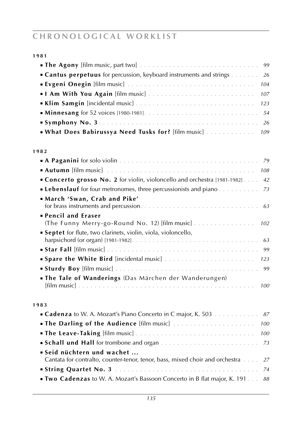| 1981                                                                                                        |
|-------------------------------------------------------------------------------------------------------------|
|                                                                                                             |
| <b>Cantus perpetuus</b> for percussion, keyboard instruments and strings<br>- 26                            |
| 104                                                                                                         |
| 107                                                                                                         |
| 123                                                                                                         |
|                                                                                                             |
|                                                                                                             |
| . What Does Babirussya Need Tusks for? [film music]<br>109                                                  |
| 1982                                                                                                        |
|                                                                                                             |
|                                                                                                             |
| Concerto grosso No. 2 for violin, violoncello and orchestra [1981-1982]<br>42                               |
| <b>Lebenslauf</b> for four metronomes, three percussionists and piano.<br>73                                |
| March 'Swan, Crab and Pike'                                                                                 |
| <b>Pencil and Eraser</b><br>(The Funny Merry-go-Round No. 12) [film music]<br>102                           |
| <b>Septet</b> for flute, two clarinets, violin, viola, violoncello,                                         |
|                                                                                                             |
| 123                                                                                                         |
| 99<br>. The Tale of Wanderings (Das Märchen der Wanderungen)                                                |
| 100                                                                                                         |
| 1983                                                                                                        |
| <b>Cadenza</b> to W. A. Mozart's Piano Concerto in C major, K. 503 87                                       |
| 100                                                                                                         |
| 100                                                                                                         |
|                                                                                                             |
| Seid nüchtern und wachet<br>Cantata for contralto, counter-tenor, tenor, bass, mixed choir and orchestra 27 |
|                                                                                                             |

■ **Two Cadenzas** to W. A. Mozart's Bassoon Concerto in B flat major, K. 191 . . . *88*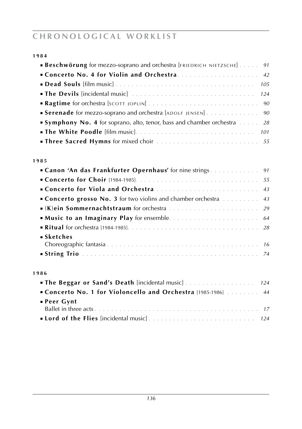| I<br>۰.<br>× | I<br>× |  |
|--------------|--------|--|
|              |        |  |

| <b>Beschwörung</b> for mezzo-soprano and orchestra [FRIEDRICH NIETZSCHE] $\ldots$ . 91 |
|----------------------------------------------------------------------------------------|
| <b>Concerto No. 4 for Violin and Orchestra</b> 42                                      |
|                                                                                        |
|                                                                                        |
|                                                                                        |
| <b>Serenade</b> for mezzo-soprano and orchestra [ADOLF JENSEN] 90                      |
| <b>Symphony No. 4</b> for soprano, alto, tenor, bass and chamber orchestra $\ldots$ 28 |
|                                                                                        |
|                                                                                        |

#### **1 9 8 5**

| Concerto for Viola and Orchestra  43                                                  |  |
|---------------------------------------------------------------------------------------|--|
| <b>Concerto grosso No. 3</b> for two violins and chamber orchestra $\dots \dots$ . 43 |  |
|                                                                                       |  |
|                                                                                       |  |
|                                                                                       |  |
| $\blacksquare$ Sketches                                                               |  |
|                                                                                       |  |
|                                                                                       |  |

#### **1 9 8 6**

| <b>Concerto No. 1 for Violoncello and Orchestra</b> [1985-1986]  44 |  |
|---------------------------------------------------------------------|--|
| ■ Peer Gynt                                                         |  |
|                                                                     |  |
|                                                                     |  |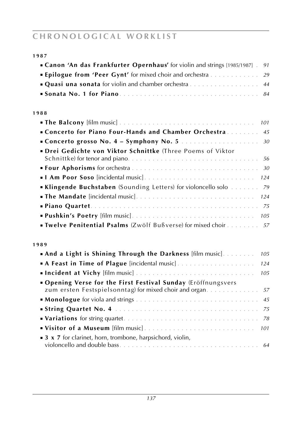| 1987                                                                                  |  |
|---------------------------------------------------------------------------------------|--|
| <b>Canon 'An das Frankfurter Opernhaus'</b> for violin and strings [1985/1987].<br>91 |  |
| <b>Epilogue from 'Peer Gynt'</b> for mixed choir and orchestra 29                     |  |
| <b>Quasi una sonata</b> for violin and chamber orchestra<br>44                        |  |
|                                                                                       |  |
| 1988                                                                                  |  |
| 101                                                                                   |  |
| Concerto for Piano Four-Hands and Chamber Orchestra 45                                |  |
|                                                                                       |  |
| · Drei Gedichte von Viktor Schnittke (Three Poems of Viktor                           |  |
|                                                                                       |  |
|                                                                                       |  |
|                                                                                       |  |
| Klingende Buchstaben (Sounding Letters) for violoncello solo 79                       |  |
|                                                                                       |  |
|                                                                                       |  |
|                                                                                       |  |
| <b>Twelve Penitential Psalms</b> (Zwölf Bußverse) for mixed choir 57                  |  |
| 1989                                                                                  |  |
| <b>• And a Light is Shining Through the Darkness</b> [film music]<br>105              |  |
| 124                                                                                   |  |
| 105                                                                                   |  |
| . Opening Verse for the First Festival Sunday (Eröffnungsvers                         |  |
| zum ersten Festspielsonntag) for mixed choir and organ 57                             |  |
|                                                                                       |  |
|                                                                                       |  |
|                                                                                       |  |

■ **Visitor of a Museum** [film music]. . . . . . . . . . . . . . . . . . . . . . . . . . . *101* ■ **3 x 7** for clarinet, horn, trombone, harpsichord, violin, violoncello and double bass. . . . . . . . . . . . . . . . . . . . . . . . . . . . . . . . . . *64*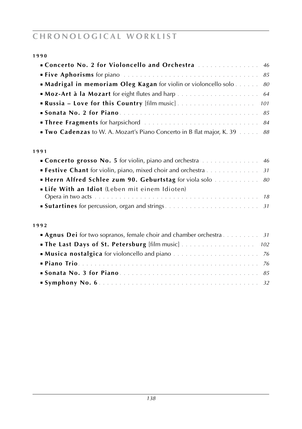| × | I<br>$\sim$ | ٠<br>$\sim$ | I<br>$\sim$ |
|---|-------------|-------------|-------------|
|   |             |             |             |

| <b>Concerto No. 2 for Violoncello and Orchestra</b> 46                                   |  |
|------------------------------------------------------------------------------------------|--|
|                                                                                          |  |
| <b>• Madrigal in memoriam Oleg Kagan</b> for violin or violoncello solo $\dots \dots$ 80 |  |
|                                                                                          |  |
|                                                                                          |  |
|                                                                                          |  |
|                                                                                          |  |
| <b>Two Cadenzas</b> to W. A. Mozart's Piano Concerto in B flat major, K. 39 88           |  |

#### **1 9 9 1**

| <b>Concerto grosso No. 5</b> for violin, piano and orchestra <b>Election</b> 2016 <b>Concerto grosso No. 5</b> for violin, piano and orchestra <b>Elections</b> |  |
|-----------------------------------------------------------------------------------------------------------------------------------------------------------------|--|
| <b>Festive Chant</b> for violin, piano, mixed choir and orchestra $\ldots \ldots \ldots \ldots$ 31                                                              |  |
| <b>Herrn Alfred Schlee zum 90. Geburtstag</b> for viola solo 80                                                                                                 |  |
| <b>Elife With an Idiot</b> (Leben mit einem Idioten)                                                                                                            |  |
|                                                                                                                                                                 |  |
|                                                                                                                                                                 |  |
|                                                                                                                                                                 |  |
| 1992                                                                                                                                                            |  |
| <b>Agnus Dei</b> for two sopranos, female choir and chamber orchestra $\dots \dots \dots$ 31                                                                    |  |
|                                                                                                                                                                 |  |
|                                                                                                                                                                 |  |
|                                                                                                                                                                 |  |
|                                                                                                                                                                 |  |
|                                                                                                                                                                 |  |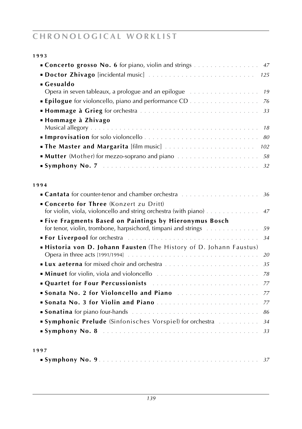| 1993                                                                                                                                  |     |
|---------------------------------------------------------------------------------------------------------------------------------------|-----|
| Concerto grosso No. 6 for piano, violin and strings                                                                                   | 47  |
|                                                                                                                                       | 125 |
| • Gesualdo                                                                                                                            |     |
|                                                                                                                                       | 19  |
| <b>Epilogue</b> for violoncello, piano and performance CD                                                                             | 76  |
|                                                                                                                                       | 33  |
| ■ Hommage à Zhivago                                                                                                                   | 18  |
|                                                                                                                                       | 80  |
|                                                                                                                                       | 102 |
|                                                                                                                                       | 58  |
|                                                                                                                                       | 32  |
| 1994                                                                                                                                  |     |
|                                                                                                                                       | 36  |
| • Concerto for Three (Konzert zu Dritt)<br>for violin, viola, violoncello and string orchestra (with piano) $\dots \dots \dots \dots$ | 47  |
| <b>Five Fragments Based on Paintings by Hieronymus Bosch</b><br>for tenor, violin, trombone, harpsichord, timpani and strings         | 59  |
|                                                                                                                                       | 34  |
| Historia von D. Johann Fausten (The History of D. Johann Faustus)                                                                     |     |
|                                                                                                                                       | 20  |
|                                                                                                                                       | 35  |
| <b>Minuet</b> for violin, viola and violoncello <i>manumental</i> $\ldots$                                                            | 78  |
| Quartet for Four Percussionists                                                                                                       | 77  |
| Sonata No. 2 for Violoncello and Piano                                                                                                | 77  |
| Sonata No. 3 for Violin and Piano                                                                                                     | 77  |
|                                                                                                                                       | 86  |
| <b>Symphonic Prelude</b> (Sinfonisches Vorspiel) for orchestra                                                                        | 34  |
| Symphony No. 8 (a) respectively and the symphony No. 8 (a) respectively and the symphony No. 8                                        | 33  |
| 1997                                                                                                                                  |     |
|                                                                                                                                       |     |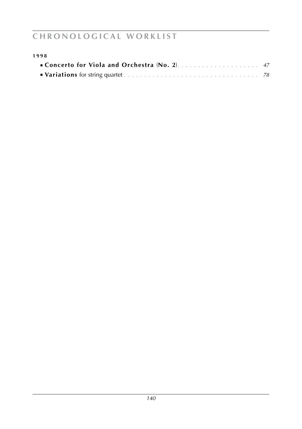| 1998 |  |
|------|--|
|      |  |
|      |  |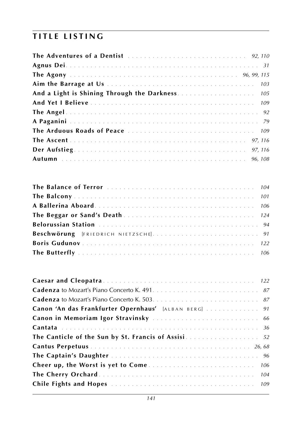| And a Light is Shining Through the Darkness 105 |  |
|-------------------------------------------------|--|
|                                                 |  |
|                                                 |  |
|                                                 |  |
|                                                 |  |
|                                                 |  |
|                                                 |  |
|                                                 |  |

| Canon 'An das Frankfurter Opernhaus' [ALBAN BERG]  91 |
|-------------------------------------------------------|
|                                                       |
|                                                       |
|                                                       |
|                                                       |
|                                                       |
|                                                       |
|                                                       |
|                                                       |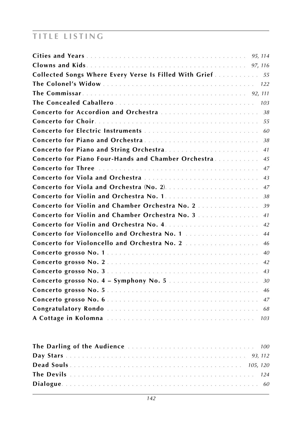| Collected Songs Where Every Verse Is Filled With Grief 55 |     |
|-----------------------------------------------------------|-----|
|                                                           |     |
|                                                           |     |
|                                                           |     |
|                                                           |     |
|                                                           |     |
|                                                           | 60  |
|                                                           | 38  |
|                                                           | 41  |
| Concerto for Piano Four-Hands and Chamber Orchestra.      | 45  |
|                                                           | 47  |
| Concerto for Viola and Orchestra                          | 43  |
|                                                           | 47  |
|                                                           | 38  |
| <b>Concerto for Violin and Chamber Orchestra No. 2. </b>  | 39  |
| Concerto for Violin and Chamber Orchestra No. 3           | 41  |
|                                                           | 42  |
|                                                           | 44  |
| Concerto for Violoncello and Orchestra No. 2              | 46  |
|                                                           | 40  |
|                                                           | 42  |
|                                                           | 43  |
|                                                           | 30  |
|                                                           |     |
|                                                           |     |
|                                                           | 68  |
|                                                           | 103 |
|                                                           | 100 |
|                                                           |     |
|                                                           |     |

**The Devils** . . . . . . . . . . . . . . . . . . . . . . . . . . . . . . . . . . . . . . . . . . . . . *124* **Dialogue**. . . . . . . . . . . . . . . . . . . . . . . . . . . . . . . . . . . . . . . . . . . . . . . . *60*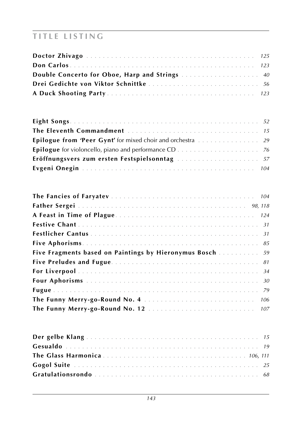| Drei Gedichte von Viktor Schnittke  56 |  |
|----------------------------------------|--|
|                                        |  |

| Eröffnungsvers zum ersten Festspielsonntag  57 |  |
|------------------------------------------------|--|
|                                                |  |

| <b>Five Fragments based on Paintings by Hieronymus Bosch </b> 59 |  |
|------------------------------------------------------------------|--|
|                                                                  |  |
|                                                                  |  |
|                                                                  |  |
|                                                                  |  |
|                                                                  |  |
|                                                                  |  |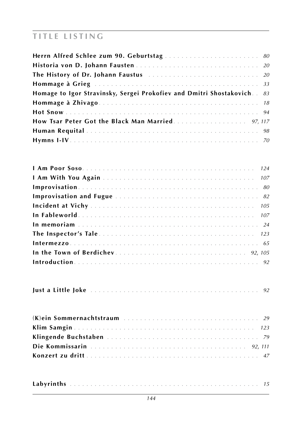| Herrn Alfred Schlee zum 90. Geburtstag  80                                |  |
|---------------------------------------------------------------------------|--|
|                                                                           |  |
|                                                                           |  |
|                                                                           |  |
| Homage to Igor Stravinsky, Sergei Prokofiev and Dmitri Shostakovich. . 83 |  |
|                                                                           |  |
|                                                                           |  |
| <b>How Tsar Peter Got the Black Man Married.</b> 97, 117                  |  |
|                                                                           |  |
|                                                                           |  |

|--|--|--|--|--|--|--|--|

|--|--|--|--|--|--|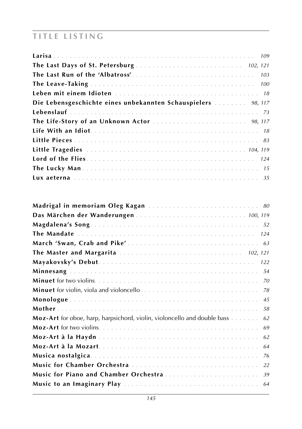| Die Lebensgeschichte eines unbekannten Schauspielers  98, 117 |  |
|---------------------------------------------------------------|--|
|                                                               |  |
|                                                               |  |
|                                                               |  |
|                                                               |  |
|                                                               |  |
|                                                               |  |
|                                                               |  |
|                                                               |  |

| Madrigal in memoriam Oleg Kagan  80                                                   |
|---------------------------------------------------------------------------------------|
| Das Märchen der Wanderungen  100, 119                                                 |
|                                                                                       |
|                                                                                       |
|                                                                                       |
| The Master and Margarita  102, 121                                                    |
| 122                                                                                   |
| 54                                                                                    |
| 70                                                                                    |
| 78                                                                                    |
| 45                                                                                    |
| 58                                                                                    |
| <b>Moz-Art</b> for oboe, harp, harpsichord, violin, violoncello and double bass<br>62 |
| 69                                                                                    |
| 62                                                                                    |
| 64                                                                                    |
| 76                                                                                    |
| 22                                                                                    |
| Music for Piano and Chamber Orchestra<br>39                                           |
| 64                                                                                    |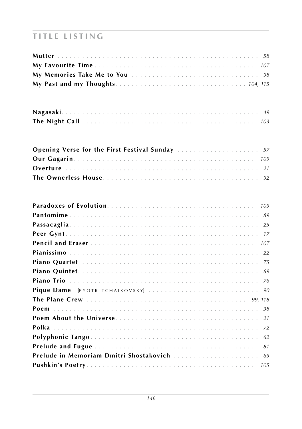| <b>Opening Verse for the First Festival Sunday</b> 57 |  |  |
|-------------------------------------------------------|--|--|
|                                                       |  |  |
|                                                       |  |  |
|                                                       |  |  |

| 109 |
|-----|
| 89  |
| 25  |
| 17  |
| 107 |
|     |
|     |
|     |
|     |
|     |
|     |
|     |
|     |
|     |
| 62  |
| 81  |
| 69  |
|     |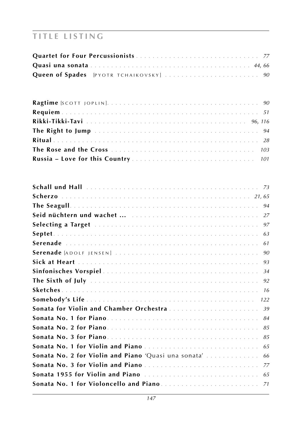| 94                                                         |  |
|------------------------------------------------------------|--|
| 27                                                         |  |
| 97                                                         |  |
| 63                                                         |  |
| 61                                                         |  |
| 90                                                         |  |
| 93                                                         |  |
| 34                                                         |  |
| 92                                                         |  |
| 16                                                         |  |
| 122                                                        |  |
| Sonata for Violin and Chamber Orchestra<br>39              |  |
| 84                                                         |  |
| 85                                                         |  |
| 85                                                         |  |
| Sonata No. 1 for Violin and Piano<br>65                    |  |
| Sonata No. 2 for Violin and Piano 'Quasi una sonata'<br>66 |  |
| Sonata No. 3 for Violin and Piano<br>77                    |  |
| Sonata 1955 for Violin and Piano<br>65                     |  |
|                                                            |  |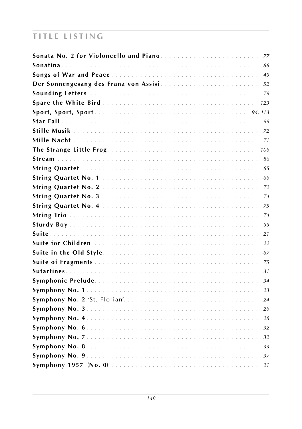| 77   |
|------|
| 86   |
| 49   |
| 52   |
|      |
| 123  |
|      |
| 99   |
|      |
|      |
| 106  |
| 86   |
| 65   |
| 66   |
|      |
|      |
| - 75 |
| 74   |
| 99   |
| 21   |
| 22   |
| 67   |
| 75   |
| 31   |
| 34   |
| 23   |
| 24   |
| 26   |
| 28   |
| 32   |
| 32   |
|      |
|      |
| 21   |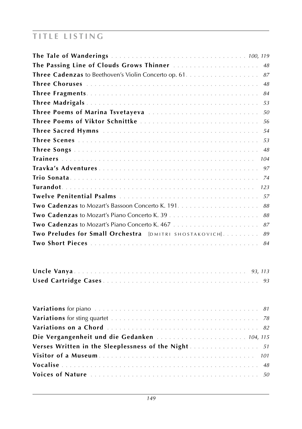| 48                                                            |
|---------------------------------------------------------------|
| 87                                                            |
| 48                                                            |
| 84                                                            |
| 53                                                            |
| Three Poems of Marina Tsvetayeva<br>50                        |
| Three Poems of Viktor Schnittke<br>-56                        |
| .54                                                           |
| 53                                                            |
| 48                                                            |
| 104                                                           |
| 97                                                            |
| 74                                                            |
| 123                                                           |
| .57                                                           |
| 88                                                            |
| 88                                                            |
| 87                                                            |
| Two Preludes for Small Orchestra [DMITRI SHOSTAKOVICH].<br>89 |
| 84                                                            |

| Die Vergangenheit und die Gedanken  104, 115        |  |  |  |
|-----------------------------------------------------|--|--|--|
|                                                     |  |  |  |
| Verses Written in the Sleeplessness of the Night 51 |  |  |  |
|                                                     |  |  |  |
|                                                     |  |  |  |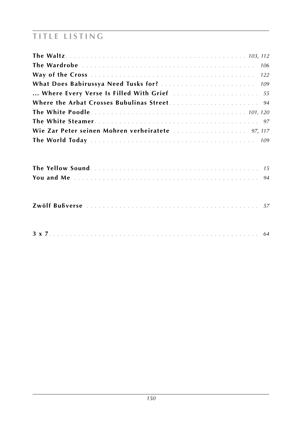| 106                                               |
|---------------------------------------------------|
|                                                   |
|                                                   |
|                                                   |
|                                                   |
|                                                   |
|                                                   |
| Wie Zar Peter seinen Mohren verheiratete  97, 117 |
|                                                   |
|                                                   |
|                                                   |
|                                                   |

|--|--|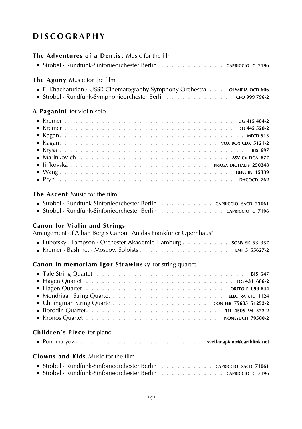| <b>The Adventures of a Dentist Music for the film</b><br>■ Strobel · Rundfunk-Sinfonieorchester Berlin<br>. CAPRICCIO C 7196                                                                                                                                                                                                                   |
|------------------------------------------------------------------------------------------------------------------------------------------------------------------------------------------------------------------------------------------------------------------------------------------------------------------------------------------------|
| The Agony Music for the film<br>Strobel · Rundfunk-Symphonieorchester Berlin CPO 999 796-2                                                                                                                                                                                                                                                     |
| À Paganini for violin solo                                                                                                                                                                                                                                                                                                                     |
| <b>BIS 697</b><br>■ $Wang$ GENUIN 15339                                                                                                                                                                                                                                                                                                        |
| The Ascent Music for the film<br>Strobel · Rundfunk-Sinfonieorchester Berlin CAPRICCIO SACD 71061<br>Strobel · Rundfunk-Sinfonieorchester Berlin CAPRICCIO C 7196<br><b>Canon for Violin and Strings</b><br>Arrangement of Alban Berg's Canon "An das Frankfurter Opernhaus"<br>Lubotsky · Lampson · Orchester-Akademie Hamburg sony sk 53 357 |
| Canon in memoriam Igor Strawinsky for string quartet                                                                                                                                                                                                                                                                                           |
|                                                                                                                                                                                                                                                                                                                                                |
| Children's Piece for piano                                                                                                                                                                                                                                                                                                                     |
| <b>Clowns and Kids</b> Music for the film<br>Strobel · Rundfunk-Sinfonieorchester Berlin CAPRICCIO SACD 71061<br>Strobel · Rundfunk-Sinfonieorchester Berlin CAPRICCIO C 7196                                                                                                                                                                  |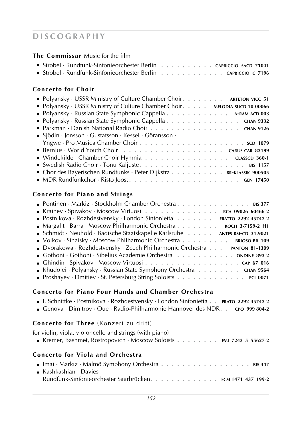**The Commissar** Music for the film

| ■ Strobel · Rundfunk-Sinfonieorchester Berlin capriccio sacp 71041  |  |  |  |  |  |  |  |
|---------------------------------------------------------------------|--|--|--|--|--|--|--|
| <b>Strobel</b> · Rundfunk-Sinfonieorchester Berlin CAPRICCIO C 7196 |  |  |  |  |  |  |  |

### **Concerto for Choir**

| • Polyansky · USSR Ministry of Culture Chamber Choir. ARTETON VICC 51       |
|-----------------------------------------------------------------------------|
| • Polyansky · USSR Ministry of Culture Chamber Choir. MELODIA SUCD 10-00066 |
| Polyansky · Russian State Symphonic Cappella A-RAM ACD 003                  |
| • Polyansky · Russian State Symphonic Cappella CHAN 9332                    |
| Parkman · Danish National Radio Choir CHAN 9126                             |
| $\blacksquare$ Sjödin · Jonsson · Gustafsson · Kessel · Göransson ·         |
|                                                                             |
|                                                                             |
| ■ Windekilde · Chamber Choir Hymnia CLASSCD 360-1                           |
|                                                                             |
| • Chor des Bayerischen Rundfunks · Peter Dijkstra BR-KLASSIK 900505         |
|                                                                             |

### **Concerto for Piano and Strings**

### **Concerto for Piano Four Hands and Chamber Orchestra**

- I. Schnittke · Postnikova · Rozhdestvensky · London Sinfonietta **. . erato 2292-45742-2**
- Genova · Dimitrov · Oue · Radio-Philharmonie Hannover des NDR**. . cpo 999 804-2**

### **Concerto for Three** (Konzert zu dritt)

for violin, viola, violoncello and strings (with piano)

■ Kremer, Bashmet, Rostropovich · Moscow Soloists **. . . . . . . . emi 7243 5 55627-2**

### **Concerto for Viola and Orchestra**

| <b>Exactle Kashkashian</b> • Davies •                      |  |
|------------------------------------------------------------|--|
| Rundfunk-Sinfonieorchester Saarbrücken. ECM 1471 437 199-2 |  |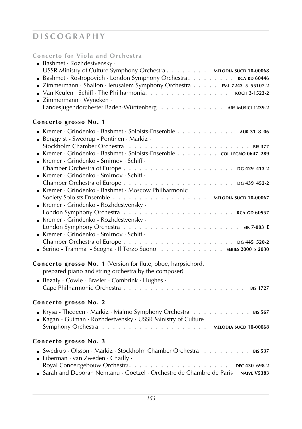**Concerto for Viola and Orchestra**

| <b>Bashmet</b> $\cdot$ Rozhdestvensky $\cdot$                                      |
|------------------------------------------------------------------------------------|
| USSR Ministry of Culture Symphony Orchestra MELODIA SUCD 10-00068                  |
| Bashmet · Rostropovich · London Symphony Orchestra. RCA RD 60446                   |
| E Zimmermann · Shallon · Jerusalem Symphony Orchestra EMI 7243 5 55107-2           |
|                                                                                    |
| ■ Zimmermann · Wyneken ·                                                           |
| Landesjugendorchester Baden-Württenberg ARS MUSICI 1239-2                          |
|                                                                                    |
| Concerto grosso No. 1                                                              |
| Kremer - Grindenko - Bashmet · Soloists-Ensemble 4UR 31 8 06                       |
| Bergqvist - Swedrup - Pöntinen · Markiz ·                                          |
|                                                                                    |
| Kremer - Grindenko - Bashmet · Soloists-Ensemble cou LEGNO 0647 289                |
| Kremer - Grindenko - Smirnov · Schiff ·                                            |
|                                                                                    |
| Kremer - Grindenko - Smirnov · Schiff ·                                            |
|                                                                                    |
| Kremer - Grindenko - Bashmet · Moscow Philharmonic                                 |
| Society Soloists Ensemble MELODIA SUCD 10-00067                                    |
| Kremer - Grindenko - Rozhdestvensky ·                                              |
|                                                                                    |
| Kremer - Grindenko - Rozhdestvensky ·                                              |
|                                                                                    |
| Kremer - Grindenko - Smirnov · Schiff ·                                            |
|                                                                                    |
| Serino - Tramma - Scogna · Il Terzo Suono sERIES 2000 s 2030                       |
|                                                                                    |
| Concerto grosso No. 1 (Version for flute, oboe, harpsichord,                       |
| prepared piano and string orchestra by the composer)                               |
| Bezaly - Cowie - Brasler - Combrink · Hughes ·                                     |
| Cape Philharmonic Orchestra<br><b>BIS 1727</b>                                     |
|                                                                                    |
| <b>Concerto grosso No. 2</b>                                                       |
| Krysa - Thedéen · Markiz · Malmö Symphony Orchestra 81s 567                        |
| Kagan - Gutman · Rozhdestvensky · USSR Ministry of Culture                         |
|                                                                                    |
|                                                                                    |
| Concerto grosso No. 3                                                              |
| Swedrup · Olsson · Markiz · Stockholm Chamber Orchestra BIS 537                    |
| - Liberman $\cdot$ van Zweden $\cdot$ Chailly $\cdot$                              |
|                                                                                    |
| Sarah and Deborah Nemtanu · Goetzel · Orchestre de Chambre de Paris<br>NAIVE V5383 |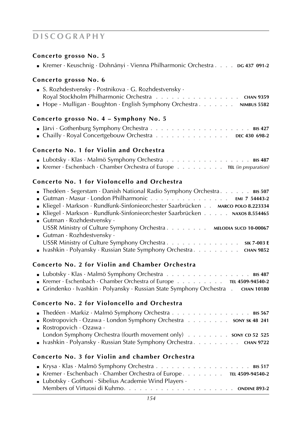### **Concerto grosso No. 5**

#### **Concerto grosso No. 6**

| ■ S. Rozhdestvensky - Postnikova $\cdot$ G. Rozhdestvensky $\cdot$    |  |
|-----------------------------------------------------------------------|--|
| Royal Stockholm Philharmonic Orchestra CHAN 9359                      |  |
| • Hope - Mulligan · Boughton · English Symphony Orchestra NIMBUS 5582 |  |

#### **Concerto grosso No. 4 – Symphony No. 5**

| • Chailly · Royal Concertgebouw Orchestra $\cdots$ |  |  |  |  |  |  |  |  | DEC 430 698-2 |  |
|----------------------------------------------------|--|--|--|--|--|--|--|--|---------------|--|

### **Concerto No. 1 for Violin and Orchestra**

| <b>Lubotsky</b> · Klas · Malmö Symphony Orchestra BIS 487              |  |
|------------------------------------------------------------------------|--|
| Kremer · Eschenbach · Chamber Orchestra of Europe TEL (in preparation) |  |

### **Concerto No. 1 for Violoncello and Orchestra**

| <b>Theorem - Separature - Danish National Radio Symphony Orchestra. BIS 507</b>                                                                 |
|-------------------------------------------------------------------------------------------------------------------------------------------------|
| <b>Gutman</b> $\cdot$ Masur $\cdot$ London Philharmonic $\cdot \cdot \cdot \cdot \cdot \cdot \cdot \cdot \cdot \cdot \cdot \cdot$ EMI 7 54443-2 |
| Kliegel · Markson · Rundfunk-Sinfonieorchester Saarbrücken · · · · <b>MARCO POLO 8.223334</b>                                                   |
| Kliegel · Markson · Rundfunk-Sinfonieorchester Saarbrücken NAXOS 8.554465                                                                       |
| Gutman $\cdot$ Rozhdestvensky $\cdot$                                                                                                           |
| USSR Ministry of Culture Symphony Orchestra MELODIA SUCD 10-00067                                                                               |
| Gutman $\cdot$ Rozhdestvensky $\cdot$                                                                                                           |
| USSR Ministry of Culture Symphony Orchestra SIK 7-003 E                                                                                         |
| ■ Ivashkin · Polyansky · Russian State Symphony Orchestra CHAN 9852                                                                             |

#### **Concerto No. 2 for Violin and Chamber Orchestra**

| Lubotsky · Klas · Malmö Symphony Orchestra BIS 487                         |  |                   |
|----------------------------------------------------------------------------|--|-------------------|
| Kremer · Eschenbach · Chamber Orchestra of Europe TEL 4509-94540-2         |  |                   |
| <b>Grindenko</b> · Ivashkin · Polyansky · Russian State Symphony Orchestra |  | <b>CHAN 10180</b> |

### **Concerto No. 2 for Violoncello and Orchestra**

| <b>Example 1</b> The déen $\cdot$ Markiz $\cdot$ Malmö Symphony Orchestra $\cdot \cdot \cdot \cdot \cdot \cdot \cdot \cdot \cdot \cdot \cdot \cdot \cdot \cdot$ BIS 567 |  |
|-------------------------------------------------------------------------------------------------------------------------------------------------------------------------|--|
| Rostropovich · Ozawa · London Symphony Orchestra sony sk 48 241                                                                                                         |  |
| Rostropovich $\cdot$ Ozawa $\cdot$                                                                                                                                      |  |
| London Symphony Orchestra (fourth movement only) sony cp 52 525                                                                                                         |  |
| <b>E</b> Ivashkin · Polyansky · Russian State Symphony Orchestra <b>A</b> $\ldots$ $\ldots$ <b>CHAN</b> 9722                                                            |  |

### **Concerto No. 3 for Violin and chamber Orchestra**

| <b>Krysa</b> · Klas · Malmö Symphony Orchestra <b>Almanuary - Almanuary - Almanuary - Krysa</b> · Klas · Music |  |
|----------------------------------------------------------------------------------------------------------------|--|
| <b>EXECUTE:</b> Kremer · Eschenbach · Chamber Orchestra of Europe. TEL 4509-94540-2                            |  |
| <b>Lubotsky</b> Gothoni Gibelius Academie Wind Players $\cdot$                                                 |  |
|                                                                                                                |  |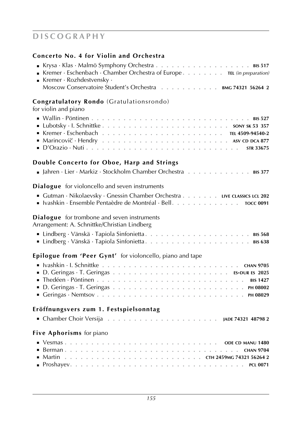#### **Concerto No. 4 for Violin and Orchestra**

| <b>Krysa</b> · Klas · Malmö Symphony Orchestra <b>Almanuary - Almanuary - Almanuary - Krysa</b> · Klas · Music |
|----------------------------------------------------------------------------------------------------------------|
| Kremer · Eschenbach · Chamber Orchestra of Europe TEL (in preparation)                                         |
| <b>Kremer</b> $\cdot$ Rozhdestvensky $\cdot$                                                                   |
| Moscow Conservatoire Student's Orchestra BMG 74321 56264 2                                                     |
| $\sim$ 1 $\sim$ 1 $\sim$ 1 $\sim$ 1 $\sim$ 1 $\sim$<br>$\sim$ $\sim$ $\sim$                                    |

#### **Congratulatory Rondo** (Gratulationsrondo)

for violin and piano

| ■ Kremer · Eschenbach …………………………………………… TEL 4509-94540-2 |  |  |  |  |  |  |  |  |  |  |  |  |  |  |
|----------------------------------------------------------|--|--|--|--|--|--|--|--|--|--|--|--|--|--|
|                                                          |  |  |  |  |  |  |  |  |  |  |  |  |  |  |
|                                                          |  |  |  |  |  |  |  |  |  |  |  |  |  |  |

### **Double Concerto for Oboe, Harp and Strings**

|  | <b>a</b> Jahren · Lier · Markiz · Stockholm Chamber Orchestra 815 377 |  |  |  |  |  |  |  |  |  |  |  |  |  |  |  |  |  |  |
|--|-----------------------------------------------------------------------|--|--|--|--|--|--|--|--|--|--|--|--|--|--|--|--|--|--|
|--|-----------------------------------------------------------------------|--|--|--|--|--|--|--|--|--|--|--|--|--|--|--|--|--|--|

#### **Dialogue** for violoncello and seven instruments

| Gutman · Nikolaevsky · Gnessin Chamber Orchestra LIVE CLASSICS LCL 202 |                  |
|------------------------------------------------------------------------|------------------|
|                                                                        | <b>TOCC 0091</b> |

#### **Dialogue** for trombone and seven instruments

Arrangement: A. Schnittke/Christian Lindberg

### **Epilogue from 'Peer Gynt'** for violoncello, piano and tape

| ■ Thedéen · Pöntinen …………………………………………………… BIS 1427 |  |  |  |  |  |  |  |  |  |  |  |  |  |  |  |
|----------------------------------------------------|--|--|--|--|--|--|--|--|--|--|--|--|--|--|--|
|                                                    |  |  |  |  |  |  |  |  |  |  |  |  |  |  |  |
|                                                    |  |  |  |  |  |  |  |  |  |  |  |  |  |  |  |

### **Eröffnungsvers zum 1. Festspielsonntag**

|  |  |  |  |  |  |  |  |  |  |  |  |  |  |  |  |  |  |  |  |  |  | JADE 74321 48798 2 |  |  |
|--|--|--|--|--|--|--|--|--|--|--|--|--|--|--|--|--|--|--|--|--|--|--------------------|--|--|
|--|--|--|--|--|--|--|--|--|--|--|--|--|--|--|--|--|--|--|--|--|--|--------------------|--|--|

### **Five Aphorisms** for piano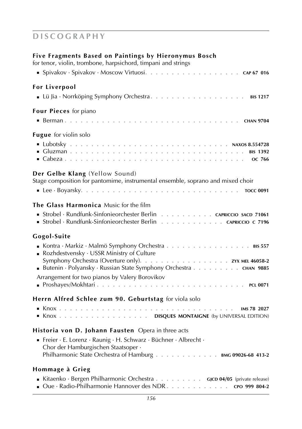### **Five Fragments Based on Paintings by Hieronymus Bosch**

for tenor, violin, trombone, harpsichord, timpani and strings

| <b>For Liverpool</b>                                                                                                                                                                                                                 |
|--------------------------------------------------------------------------------------------------------------------------------------------------------------------------------------------------------------------------------------|
| Four Pieces for piano                                                                                                                                                                                                                |
| Fugue for violin solo                                                                                                                                                                                                                |
| Der Gelbe Klang (Yellow Sound)<br>Stage composition for pantomime, instrumental ensemble, soprano and mixed choir                                                                                                                    |
| The Glass Harmonica Music for the film<br>Strobel · Rundfunk-Sinfonieorchester Berlin CAPRICCIO SACD 71061<br>Strobel · Rundfunk-Sinfonieorchester Berlin CAPRICCIO C 7196                                                           |
| Gogol-Suite<br>Kontra · Markiz · Malmö Symphony Orchestra 815 557<br>Rozhdestvensky · USSR Ministry of Culture<br>Butenin · Polyansky · Russian State Symphony Orchestra CHAN 9885<br>Arrangement for two pianos by Valery Borovikov |
| Herrn Alfred Schlee zum 90. Geburtstag for viola solo<br>Knox DISQUES MONTAIGNE (by UNIVERSAL EDITION)                                                                                                                               |
| Historia von D. Johann Fausten Opera in three acts<br>Freier · E. Lorenz · Raunig · H. Schwarz · Büchner · Albrecht ·<br>Chor der Hamburgischen Staatsoper ·<br>Philharmonic State Orchestra of Hamburg BMG 09026-68 413-2           |
| Hommage à Grieg<br>Kitaenko · Bergen Philharmonic Orchestra GJCD 04/05 (private release)                                                                                                                                             |

| <b>I</b> NILACTINO DETECT I HIIITAHITOHIC OTCHESUA <b>A</b> $\cdots$ <b>A</b> $\cdots$ <b>A</b> $\cdots$ <b>GJCD 04/03</b> (private release) |               |
|----------------------------------------------------------------------------------------------------------------------------------------------|---------------|
| <b>Que</b> $\cdot$ Radio-Philharmonie Hannover des NDR.                                                                                      | CPO 999 804-2 |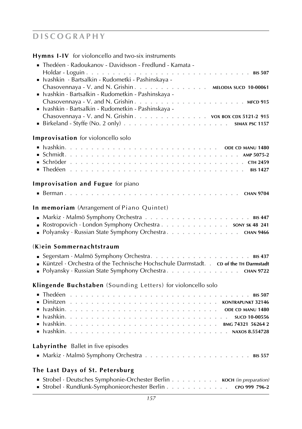| <b>Hymns I-IV</b> for violoncello and two-six instruments                                                                                                                                                                                                                                                                  |
|----------------------------------------------------------------------------------------------------------------------------------------------------------------------------------------------------------------------------------------------------------------------------------------------------------------------------|
| ■ Thedéen · Radoukanov - Davidsson - Fredlund - Kamata -<br>Holdar - Loguin.<br>. BIS 507<br>- Ivashkin · Bartsalkin - Rudometki - Pashinskaya -<br>Chasovennaya - V. and N. Grishin MELODIA SUCD 10-00061<br>- Ivashkin · Bartsalkin - Rudometkin - Pashinskaya -<br>■ Ivashkin · Bartsalkin - Rudometkin - Pashinskaya - |
| Chasovennaya - V. and N. Grishin vox Box cDx 5121-2 915                                                                                                                                                                                                                                                                    |
| <b>Improvisation</b> for violoncello solo                                                                                                                                                                                                                                                                                  |
|                                                                                                                                                                                                                                                                                                                            |
| <b>Improvisation and Fugue for piano</b>                                                                                                                                                                                                                                                                                   |
|                                                                                                                                                                                                                                                                                                                            |
| In memoriam (Arrangement of Piano Quintet)                                                                                                                                                                                                                                                                                 |
| Rostropovich · London Symphony Orchestra sony sk 48 241<br>■ Polyansky · Russian State Symphony Orchestra. CHAN 9466                                                                                                                                                                                                       |
| (K)ein Sommernachtstraum                                                                                                                                                                                                                                                                                                   |
| Küntzel · Orchestra of the Technische Hochschule Darmstadt. . cp of the TH Darmstadt<br>■ Polyansky · Russian State Symphony Orchestra. CHAN 9722                                                                                                                                                                          |
| Klingende Buchstaben (Sounding Letters) for violoncello solo                                                                                                                                                                                                                                                               |
|                                                                                                                                                                                                                                                                                                                            |
| Labyrinthe Ballet in five episodes                                                                                                                                                                                                                                                                                         |
|                                                                                                                                                                                                                                                                                                                            |
| The Last Days of St. Petersburg                                                                                                                                                                                                                                                                                            |
| Strobel · Deutsches Symphonie-Orchester Berlin KOCH (in preparation)<br>Strobel · Rundfunk-Symphonieorchester Berlin cro 999 796-2                                                                                                                                                                                         |
| 157                                                                                                                                                                                                                                                                                                                        |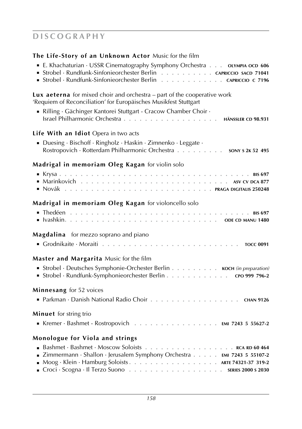|  |  |  |  |  | The Life-Story of an Unknown Actor Music for the film |
|--|--|--|--|--|-------------------------------------------------------|
|--|--|--|--|--|-------------------------------------------------------|

| • E. Khachaturian · USSR Cinematography Symphony Orchestra oLYMPIA OCD 606<br>Strobel · Rundfunk-Sinfonieorchester Berlin CAPRICCIO SACD 71041<br>Strobel · Rundfunk-Sinfonieorchester Berlin CAPRICCIO C 7196         |
|------------------------------------------------------------------------------------------------------------------------------------------------------------------------------------------------------------------------|
| <b>Lux aeterna</b> for mixed choir and orchestra – part of the cooperative work<br>'Requiem of Reconciliation' for Europäisches Musikfest Stuttgart<br>Rilling · Gächinger Kantorei Stuttgart - Cracow Chamber Choir · |
| Life With an Idiot Opera in two acts<br>Duesing · Bischoff · Ringholz · Haskin · Zimnenko · Leggate ·<br>Rostropovich · Rotterdam Philharmonic Orchestra sony s 2K 52 495                                              |
| Madrigal in memoriam Oleg Kagan for violin solo                                                                                                                                                                        |
| Madrigal in memoriam Oleg Kagan for violoncello solo                                                                                                                                                                   |
| Magdalina for mezzo soprano and piano                                                                                                                                                                                  |
| <b>Master and Margarita</b> Music for the film<br>• Strobel · Deutsches Symphonie-Orchester Berlin KOCH (in preparation)<br>Strobel · Rundfunk-Symphonieorchester Berlin 0999 796-2<br>Minnesang for 52 voices         |
| Parkman · Danish National Radio Choir CHAN 9126                                                                                                                                                                        |
| Minuet for string trio<br>Kremer · Bashmet - Rostropovich EMI 7243 5 55627-2                                                                                                                                           |
| <b>Monologue for Viola and strings</b><br><b>EXAMPLE 2018</b> Zimmermann · Shallon · Jerusalem Symphony Orchestra EMI 7243 5 55107-2<br>Moog · Klein · Hamburg Soloists ARTE 74321-37 319-2                            |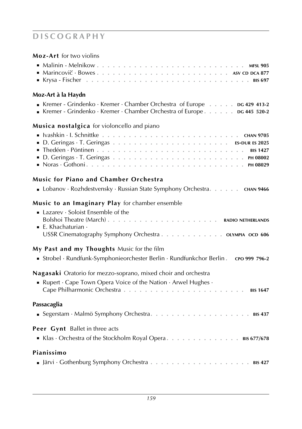| Moz-Art for two violins                                                                                                                                                                  |
|------------------------------------------------------------------------------------------------------------------------------------------------------------------------------------------|
|                                                                                                                                                                                          |
| Moz-Art à la Haydn                                                                                                                                                                       |
| Kremer - Grindenko · Kremer · Chamber Orchestra of Europe DG 429 413-2<br>Kremer - Grindenko · Kremer · Chamber Orchestra of Europe 06 445 520-2                                         |
| Musica nostalgica for violoncello and piano                                                                                                                                              |
|                                                                                                                                                                                          |
| <b>Music for Piano and Chamber Orchestra</b>                                                                                                                                             |
| • Lobanov · Rozhdestvensky · Russian State Symphony Orchestra. CHAN 9466                                                                                                                 |
| Music to an Imaginary Play for chamber ensemble<br>Lazarev · Soloist Ensemble of the<br>$\blacksquare$ E. Khachaturian $\cdot$<br>USSR Cinematography Symphony Orchestra OLYMPIA OCD 606 |
| My Past and my Thoughts Music for the film<br>Strobel · Rundfunk-Symphonieorchester Berlin · Rundfunkchor Berlin . cro 999 796-2                                                         |
| Nagasaki Oratorio for mezzo-soprano, mixed choir and orchestra<br>Rupert $\cdot$ Cape Town Opera Voice of the Nation $\cdot$ Arwel Hughes $\cdot$                                        |
| Passacaglia                                                                                                                                                                              |
| Peer Gynt Ballet in three acts<br>Klas · Orchestra of the Stockholm Royal Opera. 815 677/678                                                                                             |
| Pianissimo                                                                                                                                                                               |
|                                                                                                                                                                                          |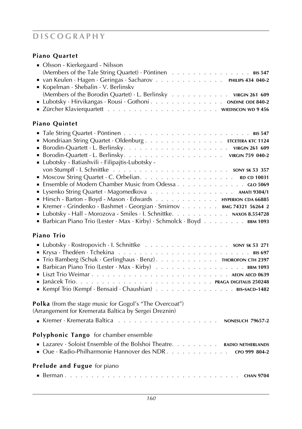## **Piano Quartet**

| • Olsson - Kierkegaard - Nilsson                                      |
|-----------------------------------------------------------------------|
| (Members of the Tale String Quartet) · Pöntinen BIS 547               |
| van Keulen · Hagen · Geringas · Sacharov PHILIPS 434 040-2            |
| Kopelman · Shebalin · V. Berlinskv                                    |
| (Members of the Borodin Quartet) · L. Berlinsky virGIN 261 609        |
| Lubotsky · Hirvikangas · Rousi · Gothoni. ONDINE ODE 840-2            |
|                                                                       |
|                                                                       |
| <b>Piano Quintet</b>                                                  |
|                                                                       |
| Mondriaan String Quartet · Oldenburg ETCETERA KTC 1124                |
|                                                                       |
|                                                                       |
| - Lubotsky - Batiashvili - Filipajtis-Lubotsky -                      |
|                                                                       |
|                                                                       |
|                                                                       |
| Lysenko String Quartet · Magomedkova AMATI 9304/1                     |
| Hirsch - Barton - Boyd - Mason · Edwards HYPERION CDA 66885           |
| Kremer - Grindenko - Bashmet - Georgian · Smirnov BMG 74321 56264 2   |
| Lubotsky - Hall - Morozova - Smiles · I. Schnittke. NAXOS 8.554728    |
|                                                                       |
| Barbican Piano Trio (Lester · Max · Kirby) · Schmolck · Boyd BBM 1093 |
| <b>Piano Trio</b>                                                     |
| Lubotsky · Rostropovich · I. Schnittke sony sk 53 271                 |
|                                                                       |
| • Trio Bamberg (Schuk · Gerlinghaus · Benz). THOROFON CTH 2397        |
|                                                                       |
|                                                                       |
|                                                                       |
| Kempf Trio (Kempf · Bensaid · Chaushian) BIS-SACD-1482                |
|                                                                       |
| Polka (from the stage music for Gogol's "The Overcoat")               |
| (Arrangement for Kremerata Baltica by Sergei Dreznin)                 |
|                                                                       |
|                                                                       |
| <b>Polyphonic Tango</b> for chamber ensemble                          |
| Lazarev · Soloist Ensemble of the Bolshoi Theatre. RADIO NETHERLANDS  |
|                                                                       |
|                                                                       |
| <b>Prelude and Fugue</b> for piano                                    |
|                                                                       |
|                                                                       |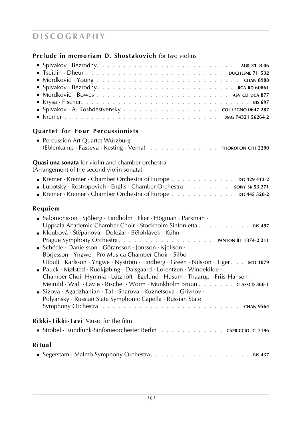### **Prelude in memoriam D. Shostakovich** for two violins

| <b>EXTERNAL STATES IN STATE STATE IS STATE</b> STATE STATE STATE STATE STATE STATE STATE STATE STATE STATE STATE STATE STATE STATE STATE STATE STATE STATE STATE STATE STATE STATE STATE STATE STATE STATE STATE STATE STATE STATE |  |
|------------------------------------------------------------------------------------------------------------------------------------------------------------------------------------------------------------------------------------|--|
| Quartet for Four Percussionists                                                                                                                                                                                                    |  |
| • Percussion Art Quartet Würzburg                                                                                                                                                                                                  |  |
| (Eblenkamp · Fasseva · Kesting · Verna) THOROFON CTH 2290                                                                                                                                                                          |  |

#### **Quasi una sonata** for violin and chamber orchestra

(Arrangement of the second violin sonata)

| Kremer · Kremer · Chamber Orchestra of Europe DG 429 413-2         |  |  |  |
|--------------------------------------------------------------------|--|--|--|
| Lubotsky · Rostropovich · English Chamber Orchestra sony sk 53 271 |  |  |  |
| Kremer · Kremer · Chamber Orchestra of Europe DG 445 520-2         |  |  |  |

### **Requiem**

| ■ Salomonsson · Sjöberg · Lindholm · Eker · Högman · Parkman ·<br>Uppsala Academic Chamber Choir · Stockholm Sinfonietta BIS 497<br>Kloubová $\cdot$ Štěpánová $\cdot$ Doležal $\cdot$ Bělohlávek $\cdot$ Kühn $\cdot$                                                          |
|---------------------------------------------------------------------------------------------------------------------------------------------------------------------------------------------------------------------------------------------------------------------------------|
| Schéele · Danielsson · Göransson · Jonsson · Kjellson ·<br>Börjesson · Yngwe · Pro Musica Chamber Choir · Silbo ·                                                                                                                                                               |
| Utbult · Karlsson · Yngwe · Nyström · Lindberg · Green · Nilsson · Tiger. sco 1079<br>■ Pauck · Mølsted · Rudkjøbing · Dalsgaard · Lorentzen · Windekilde ·<br>Chamber Choir Hymnia $\cdot$ Lützhöft $\cdot$ Egelund $\cdot$ Husum $\cdot$ Thaarup $\cdot$ Friis-Hansen $\cdot$ |
| Meinild · Wall · Lavie · Rischel · Worm · Munkholm Bruun cLASSCD 360-1<br>Sizova · Agadzhanian · Tal · Sharova · Kuznetsova · Grivnov ·<br>Polyansky · Russian State Symphonic Capella · Russian State                                                                          |
|                                                                                                                                                                                                                                                                                 |
| <b>Rikki-Tikki-Tavi</b> Music for the film                                                                                                                                                                                                                                      |
| Strobel · Rundfunk-Sinfonieorchester Berlin CAPRICCIO C 7196                                                                                                                                                                                                                    |
| Ritual                                                                                                                                                                                                                                                                          |
|                                                                                                                                                                                                                                                                                 |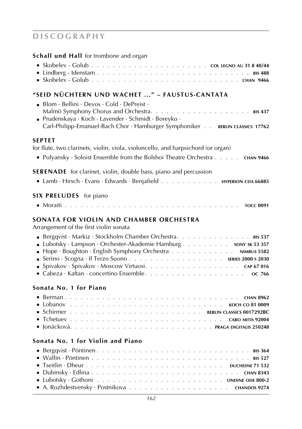**Schall und Hall** for trombone and organ

### **"Seid nüchtern und wachet ..." – Faustus-Cantata**

| <b>Blom</b> · Bellini · Devos · Cold · DePreist ·<br><b>Prudenskaya</b> · Koch · Lavender · Schmidt · Boreyko ·<br>Carl-Philipp-Emanuel-Bach Chor · Hamburger Symphoniker BERLIN CLASSICS 17762 |
|-------------------------------------------------------------------------------------------------------------------------------------------------------------------------------------------------|
| SEPTET<br>for flute, two clarinets, violin, viola, violoncello, and harpsichord (or organ)                                                                                                      |
| • Polyansky · Soloist Ensemble from the Bolshoi Theatre Orchestra CHAN 9466                                                                                                                     |
| <b>SERENADE</b> for clarinet, violin, double bass, piano and percussion                                                                                                                         |
| Lamb · Hirsch · Evans · Edwards · Benjafield HYPERION CDA 66885                                                                                                                                 |
| SIX PRELUDES for piano                                                                                                                                                                          |
|                                                                                                                                                                                                 |
| SONATA FOR VIOLIN AND CHAMBER ORCHESTRA<br>Arrangement of the first violin sonata                                                                                                               |
| Bergqvist · Markiz · Stockholm Chamber Orchestra BIS 537                                                                                                                                        |
| Lubotsky · Lampson · Orchester-Akademie Hamburg sony sk 53 357                                                                                                                                  |
| • Hope · Boughton · English Symphony Orchestra NIMBUS 5582                                                                                                                                      |
| ■ Spivakov·Spivakov·Moscow Virtuosi. CAP 67 016                                                                                                                                                 |
|                                                                                                                                                                                                 |
|                                                                                                                                                                                                 |

#### **Sonata No. 1 for Piano**

## **Sonata No. 1 for Violin and Piano**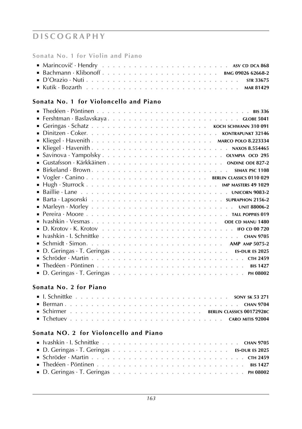**Sonata No. 1 for Violin and Piano**

|  | $\blacksquare$ Marincovič · Hendry $\ldots \ldots \ldots \ldots \ldots \ldots \ldots \ldots \ldots$ Asy co DCA 868 |
|--|--------------------------------------------------------------------------------------------------------------------|
|  |                                                                                                                    |
|  |                                                                                                                    |
|  |                                                                                                                    |

## **Sonata No. 1 for Violoncello and Piano**

| ■ Ivashkin ・ I. Schnittke ・・・・・・・・・・・・・・・・・・・・・・・・・・・・ CHAN 9705 |
|------------------------------------------------------------------|
|                                                                  |
|                                                                  |
|                                                                  |
| <b>BIS 1427</b>                                                  |
|                                                                  |

### **Sonata No. 2 for Piano**

### **Sonata NO. 2 for Violoncello and Piano**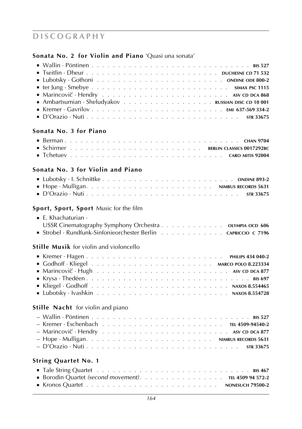## **Sonata No. 2 for Violin and Piano** 'Quasi una sonata'

| Sonata No. 3 for Piano                                       |
|--------------------------------------------------------------|
|                                                              |
|                                                              |
|                                                              |
|                                                              |
| Sonata No. 3 for Violin and Piano                            |
|                                                              |
|                                                              |
|                                                              |
|                                                              |
| Sport, Sport, Sport Music for the film                       |
|                                                              |
| $\blacksquare$ E. Khachaturian $\cdot$                       |
| USSR Cinematography Symphony Orchestra OLYMPIA OCD 606       |
| Strobel · Rundfunk-Sinfonieorchester Berlin CAPRICCIO C 7196 |
| <b>Stille Musik</b> for violin and violoncello               |
|                                                              |
|                                                              |
|                                                              |
|                                                              |
|                                                              |
|                                                              |
|                                                              |
|                                                              |
| Stille Nacht for violin and piano                            |
|                                                              |
|                                                              |
|                                                              |
|                                                              |
|                                                              |
|                                                              |
| <b>String Quartet No. 1</b>                                  |
|                                                              |
| ■ Borodin Quartet (second movement). TEL 4509 94 572-2       |
|                                                              |
|                                                              |
|                                                              |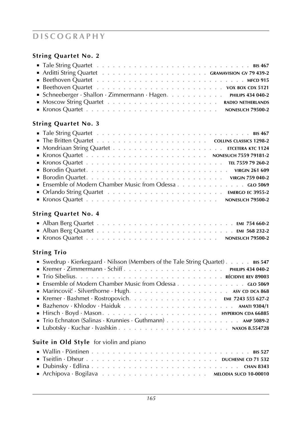## **String Quartet No. 2**

| Schneeberger · Shallon · Zimmermann · Hagen. PHILIPS 434 040-2                                                                                                                                                                      |  |  |  |  |  |  |  |  |  |
|-------------------------------------------------------------------------------------------------------------------------------------------------------------------------------------------------------------------------------------|--|--|--|--|--|--|--|--|--|
|                                                                                                                                                                                                                                     |  |  |  |  |  |  |  |  |  |
| <b>EXPLOSE CONTRACT CONTRACT CONTRACT SUBSET OF STATE CONTRACT SUBSET OF STATE CONTRACT SUBSET CONTRACT SUBSET CONTRACT SUBSET CONTRACT SUBSET CONTRACT SUBSET CONTRACT SUBSET OF STATE SUBSET OF STATE SUBSET OF STATE SUBSET </b> |  |  |  |  |  |  |  |  |  |
|                                                                                                                                                                                                                                     |  |  |  |  |  |  |  |  |  |

### **String Quartet No. 3**

### **String Quartet No. 4**

| Alban Berg Quartet Alban Berg Quartet Alban Berg Cuartet Alban Berg Quartet Alban Alban Alban Alban Alban Alban Alban Alban Alban Alban Alban Alban Alban Alban Alban Alban Alban Alban Alban Alban Alban Alban Alban Alban Al |  |  |  |  |  |  |  |  |  |  |  |  |  |  |  |
|--------------------------------------------------------------------------------------------------------------------------------------------------------------------------------------------------------------------------------|--|--|--|--|--|--|--|--|--|--|--|--|--|--|--|
| Alban Berg Quartet $\ldots \ldots \ldots \ldots \ldots \ldots \ldots \ldots \ldots \ldots$ EMI 568 232-2                                                                                                                       |  |  |  |  |  |  |  |  |  |  |  |  |  |  |  |
|                                                                                                                                                                                                                                |  |  |  |  |  |  |  |  |  |  |  |  |  |  |  |

## **String Trio**

| Swedrup · Kierkegaard · Nilsson (Members of the Tale String Quartet). $\ldots$ BIS 547            |
|---------------------------------------------------------------------------------------------------|
|                                                                                                   |
|                                                                                                   |
| • Ensemble of Modern Chamber Music from Odessa GLO 5069                                           |
| Marincovič · Silverthorne · Hugh $\ldots \ldots \ldots \ldots \ldots \ldots \ldots$ sv cD DCA 868 |
|                                                                                                   |
|                                                                                                   |
|                                                                                                   |
| Trio Echnaton (Salinas · Krunnies · Guthmann) AMP 5089-2                                          |
|                                                                                                   |
|                                                                                                   |

## **Suite in Old Style** for violin and piano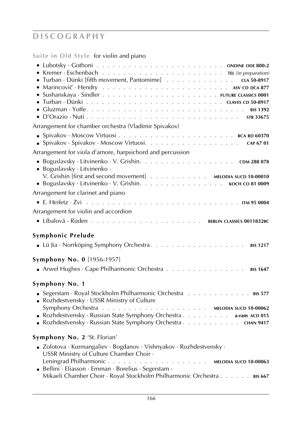**Suite in Old Style** for violin and piano

| Turban · Dünki [fifth movement, Pantomime] CLA 50-8917                                                                         |
|--------------------------------------------------------------------------------------------------------------------------------|
| Arrangement for chamber orchestra (Vladimir Spivakov)                                                                          |
|                                                                                                                                |
| Arrangement for viola d'amore, harpsichord and percussion                                                                      |
| ■ Boguslavsky · Litvinenko ·<br>V. Grishin [first and second movement] MELODIA SUCD 10-00010                                   |
| Arrangement for clarinet and piano                                                                                             |
|                                                                                                                                |
| Arrangement for violin and accordion                                                                                           |
|                                                                                                                                |
|                                                                                                                                |
| Symphonic Prelude                                                                                                              |
| <b>Symphony No. 0</b> [1956-1957]                                                                                              |
| Arwel Hughes · Cape Philharmonic Orchestra BIS 1647                                                                            |
| Symphony No. 1                                                                                                                 |
| Segerstam · Royal Stockholm Philharmonic Orchestra 815 577<br>Rozhdestvensky · USSR Ministry of Culture                        |
| Rozhdestvensky · Russian State Symphony Orchestra a-ram ACD 015<br>Rozhdestvensky · Russian State Symphony Orchestra CHAN 9417 |
| Symphony No. 2 'St. Florian'                                                                                                   |
| ■ Zolotova · Kurmangaliev · Bogdanov · Vishnyakov · Rozhdestvensky ·<br>USSR Ministry of Culture Chamber Choir -               |
| Bellini · Eliasson · Ernman · Borelius · Segerstam ·<br>Mikaeli Chamber Choir · Royal Stockholm Philharmonic Orchestra BIS 667 |
|                                                                                                                                |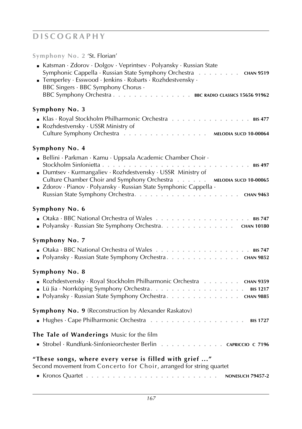### **Symphony No. 2** 'St. Florian'

| Katsman · Zdorov · Dolgov · Veprintsev · Polyansky · Russian State<br>Symphonic Cappella · Russian State Symphony Orchestra .<br>. CHAN 9519<br>Temperley · Esswood · Jenkins · Robarts · Rozhdestvensky ·<br>BBC Singers · BBC Symphony Chorus ·<br>BBC Symphony Orchestra BBC RADIO CLASSICS 15656 91962         |
|--------------------------------------------------------------------------------------------------------------------------------------------------------------------------------------------------------------------------------------------------------------------------------------------------------------------|
| Symphony No. 3<br>Klas · Royal Stockholm Philharmonic Orchestra BIS 477<br>Rozhdestvensky · USSR Ministry of<br>Culture Symphony Orchestra MELODIA SUCD 10-00064                                                                                                                                                   |
| Symphony No. 4<br>Bellini · Parkman · Kamu · Uppsala Academic Chamber Choir ·<br>Dumtsev · Kurmangaliev · Rozhdestvensky · USSR Ministry of<br>Culture Chamber Choir and Symphony Orchestra MELODIA SUCD 10-00065<br>■ Zdorov · Pianov · Polyansky · Russian State Symphonic Cappella ·                            |
| Symphony No. 6<br>■ Polyansky · Russian Ste Symphony Orchestra. CHAN 10180                                                                                                                                                                                                                                         |
| Symphony No. 7<br><b>Department Orcharge Startes Assumes Assumes Assumes Assumes Assumes Assumes Assumes Assumes Assumes Assumes Assumes Assumes Assumes Assumes Assumes Assumes Assumes Assumes Assumes Assumes Assumes Assumes Assumes Assumes </b><br>■ Polyansky · Russian State Symphony Orchestra. CHAN 9852 |
| Symphony No. 8<br>• Rozhdestvensky · Royal Stockholm Philharmonic Orchestra CHAN 9359<br><b>BIS 1217</b><br>■ Polyansky · Russian State Symphony Orchestra. CHAN 9885                                                                                                                                              |
| <b>Symphony No. 9</b> (Reconstruction by Alexander Raskatov)<br><b>BIS 1727</b>                                                                                                                                                                                                                                    |
| The Tale of Wanderings Music for the film<br>Strobel · Rundfunk-Sinfonieorchester Berlin CAPRICCIO C 7196                                                                                                                                                                                                          |
| "These songs, where every verse is filled with grief "<br>Second movement from Concerto for Choir, arranged for string quartet                                                                                                                                                                                     |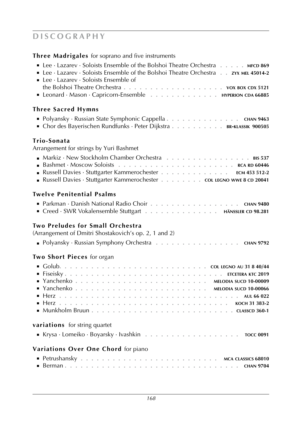### **Three Madrigales** for soprano and five instruments

| • Lee · Lazarev · Soloists Ensemble of the Bolshoi Theatre Orchestra MFCD 869<br>• Lee · Lazarev · Soloists Ensemble of the Bolshoi Theatre Orchestra zyx MEL 45014-2<br><b>Lee</b> $\cdot$ Lazarev $\cdot$ Soloists Ensemble of<br>Leonard · Mason · Capricorn-Ensemble HYPERION CDA 66885 |
|---------------------------------------------------------------------------------------------------------------------------------------------------------------------------------------------------------------------------------------------------------------------------------------------|
| Three Sacred Hymns                                                                                                                                                                                                                                                                          |
| • Polyansky · Russian State Symphonic Cappella CHAN 9463<br>• Chor des Bayerischen Rundfunks · Peter Dijkstra BR-KLASSIK 900505                                                                                                                                                             |
| Trio-Sonata                                                                                                                                                                                                                                                                                 |
| Arrangement for strings by Yuri Bashmet                                                                                                                                                                                                                                                     |
|                                                                                                                                                                                                                                                                                             |
|                                                                                                                                                                                                                                                                                             |
| Russell Davies · Stuttgarter Kammerochester ECM 453 512-2                                                                                                                                                                                                                                   |
| Russell Davies · Stuttgarter Kammerochester COL LEGNO WWE 8 CD 20041                                                                                                                                                                                                                        |
| Twelve Penitential Psalms<br>Parkman · Danish National Radio Choir CHAN 9480                                                                                                                                                                                                                |
| Creed · SWR Vokalensemble Stuttgart HÄNSSLER CD 98.281                                                                                                                                                                                                                                      |
| <b>Two Preludes for Small Orchestra</b><br>(Arrangement of Dmitri Shostakovich's op. 2, 1 and 2)                                                                                                                                                                                            |
| • Polyansky · Russian Symphony Orchestra CHAN 9792                                                                                                                                                                                                                                          |
| Two Short Pieces for organ                                                                                                                                                                                                                                                                  |
|                                                                                                                                                                                                                                                                                             |
|                                                                                                                                                                                                                                                                                             |
|                                                                                                                                                                                                                                                                                             |
|                                                                                                                                                                                                                                                                                             |
|                                                                                                                                                                                                                                                                                             |
|                                                                                                                                                                                                                                                                                             |
|                                                                                                                                                                                                                                                                                             |
| variations for string quartet                                                                                                                                                                                                                                                               |
|                                                                                                                                                                                                                                                                                             |
| Variations Over One Chord for piano                                                                                                                                                                                                                                                         |
|                                                                                                                                                                                                                                                                                             |